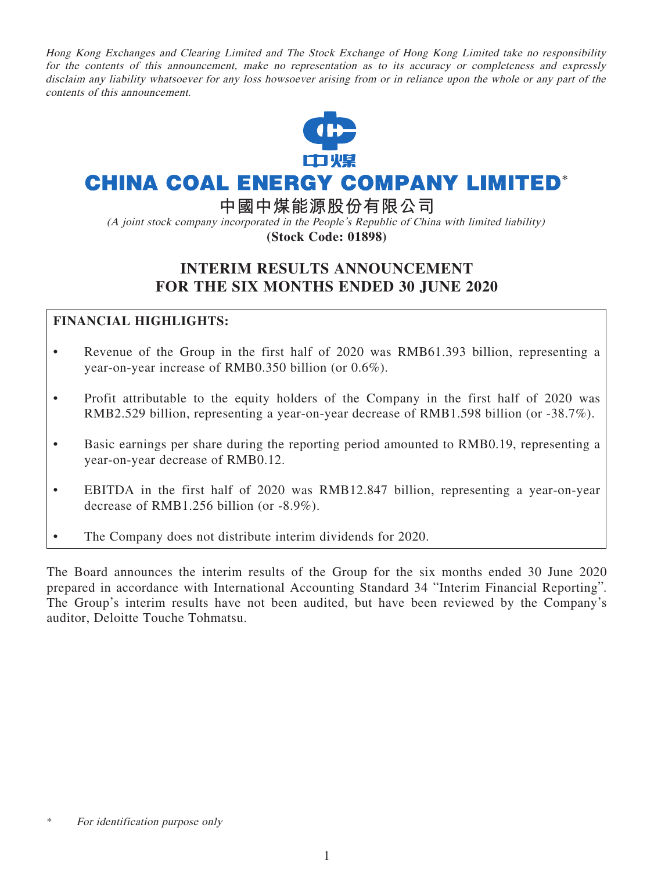Hong Kong Exchanges and Clearing Limited and The Stock Exchange of Hong Kong Limited take no responsibility for the contents of this announcement, make no representation as to its accuracy or completeness and expressly disclaim any liability whatsoever for any loss howsoever arising from or in reliance upon the whole or any part of the contents of this announcement.



# **CHINA COAL ENERGY COMPANY LIMITED\***

**中國中煤能源股份有限公司**

(A joint stock company incorporated in the People's Republic of China with limited liability) **(Stock Code: 01898)**

# **INTERIM RESULTS ANNOUNCEMENT FOR THE SIX MONTHS ENDED 30 JUNE 2020**

# **FINANCIAL HIGHLIGHTS:**

- Revenue of the Group in the first half of 2020 was RMB61.393 billion, representing a year-on-year increase of RMB0.350 billion (or 0.6%).
- Profit attributable to the equity holders of the Company in the first half of 2020 was RMB2.529 billion, representing a year-on-year decrease of RMB1.598 billion (or -38.7%).
- Basic earnings per share during the reporting period amounted to RMB0.19, representing a year-on-year decrease of RMB0.12.
- EBITDA in the first half of 2020 was RMB12.847 billion, representing a year-on-year decrease of RMB1.256 billion (or -8.9%).
- The Company does not distribute interim dividends for 2020.

The Board announces the interim results of the Group for the six months ended 30 June 2020 prepared in accordance with International Accounting Standard 34 "Interim Financial Reporting". The Group's interim results have not been audited, but have been reviewed by the Company's auditor, Deloitte Touche Tohmatsu.

<sup>\*</sup> For identification purpose only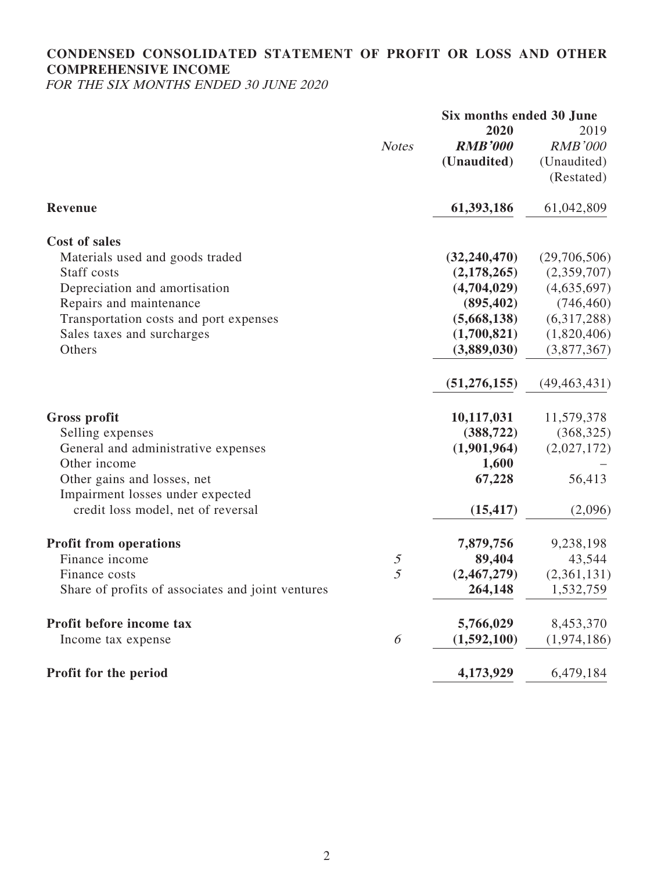# **CONDENSED CONSOLIDATED STATEMENT OF PROFIT OR LOSS AND OTHER COMPREHENSIVE INCOME**

FOR THE SIX MONTHS ENDED 30 JUNE 2020

|                                                   |                                                                                                                    | Six months ended 30 June |                |  |  |
|---------------------------------------------------|--------------------------------------------------------------------------------------------------------------------|--------------------------|----------------|--|--|
|                                                   |                                                                                                                    | 2020                     | 2019           |  |  |
|                                                   | <b>Notes</b>                                                                                                       | <b>RMB'000</b>           | <b>RMB'000</b> |  |  |
|                                                   |                                                                                                                    | (Unaudited)              | (Unaudited)    |  |  |
|                                                   |                                                                                                                    |                          | (Restated)     |  |  |
| Revenue                                           |                                                                                                                    | 61,393,186               | 61,042,809     |  |  |
| <b>Cost of sales</b>                              |                                                                                                                    |                          |                |  |  |
| Materials used and goods traded                   |                                                                                                                    | (32, 240, 470)           | (29,706,506)   |  |  |
| Staff costs                                       |                                                                                                                    | (2,178,265)              | (2,359,707)    |  |  |
| Depreciation and amortisation                     |                                                                                                                    | (4,704,029)              | (4,635,697)    |  |  |
| Repairs and maintenance                           |                                                                                                                    | (895, 402)               | (746, 460)     |  |  |
| Transportation costs and port expenses            |                                                                                                                    | (5,668,138)              | (6,317,288)    |  |  |
| Sales taxes and surcharges                        |                                                                                                                    | (1,700,821)              | (1,820,406)    |  |  |
| Others                                            |                                                                                                                    | (3,889,030)              | (3,877,367)    |  |  |
|                                                   |                                                                                                                    | (51, 276, 155)           | (49, 463, 431) |  |  |
| <b>Gross profit</b>                               |                                                                                                                    | 10,117,031               | 11,579,378     |  |  |
| Selling expenses                                  |                                                                                                                    | (388, 722)               | (368, 325)     |  |  |
| General and administrative expenses               |                                                                                                                    | (1,901,964)              | (2,027,172)    |  |  |
| Other income                                      |                                                                                                                    | 1,600                    |                |  |  |
| Other gains and losses, net                       |                                                                                                                    | 67,228                   | 56,413         |  |  |
| Impairment losses under expected                  |                                                                                                                    |                          |                |  |  |
| credit loss model, net of reversal                |                                                                                                                    | (15, 417)                | (2,096)        |  |  |
| <b>Profit from operations</b>                     |                                                                                                                    | 7,879,756                | 9,238,198      |  |  |
| Finance income                                    | $\mathfrak{H}% _{C}=\mathfrak{H}_{C}\!\left( a,b\right) ,\ \mathfrak{H}_{C}=\mathfrak{H}_{C}\!\left( a,b\right) ,$ | 89,404                   | 43,544         |  |  |
| Finance costs                                     | 5                                                                                                                  | (2,467,279)              | (2,361,131)    |  |  |
| Share of profits of associates and joint ventures |                                                                                                                    | 264,148                  | 1,532,759      |  |  |
| Profit before income tax                          |                                                                                                                    | 5,766,029                | 8,453,370      |  |  |
| Income tax expense                                | 6                                                                                                                  | (1,592,100)              | (1,974,186)    |  |  |
| Profit for the period                             |                                                                                                                    | 4,173,929                | 6,479,184      |  |  |
|                                                   |                                                                                                                    |                          |                |  |  |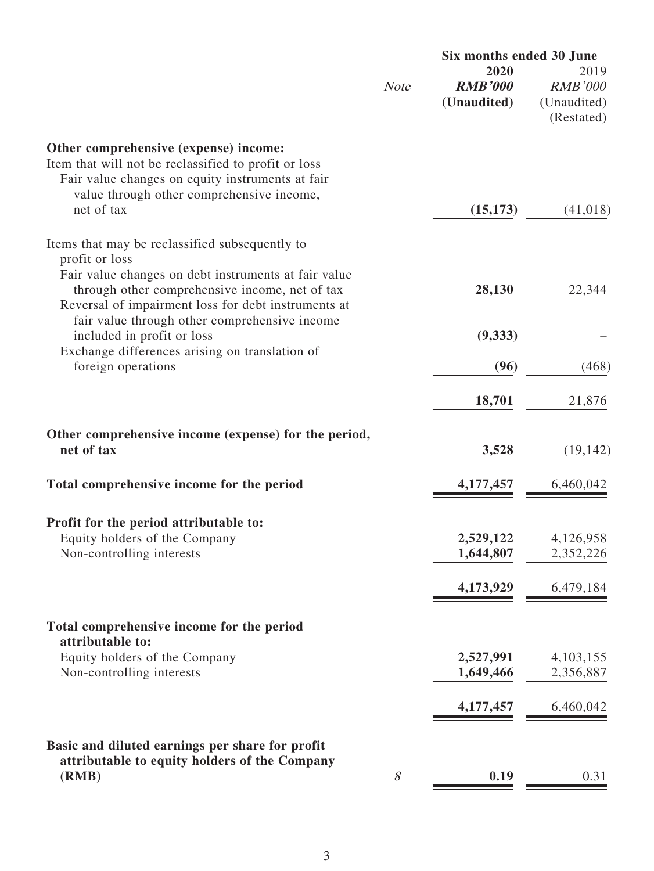|                                                                                                                                                                                                |             | Six months ended 30 June              |                                                     |  |
|------------------------------------------------------------------------------------------------------------------------------------------------------------------------------------------------|-------------|---------------------------------------|-----------------------------------------------------|--|
|                                                                                                                                                                                                | <b>Note</b> | 2020<br><b>RMB'000</b><br>(Unaudited) | 2019<br><b>RMB'000</b><br>(Unaudited)<br>(Restated) |  |
| Other comprehensive (expense) income:<br>Item that will not be reclassified to profit or loss<br>Fair value changes on equity instruments at fair<br>value through other comprehensive income, |             |                                       |                                                     |  |
| net of tax                                                                                                                                                                                     |             | (15, 173)                             | (41, 018)                                           |  |
| Items that may be reclassified subsequently to<br>profit or loss                                                                                                                               |             |                                       |                                                     |  |
| Fair value changes on debt instruments at fair value<br>through other comprehensive income, net of tax<br>Reversal of impairment loss for debt instruments at                                  |             | 28,130                                | 22,344                                              |  |
| fair value through other comprehensive income<br>included in profit or loss<br>Exchange differences arising on translation of                                                                  |             | (9, 333)                              |                                                     |  |
| foreign operations                                                                                                                                                                             |             | (96)                                  | (468)                                               |  |
|                                                                                                                                                                                                |             | 18,701                                | 21,876                                              |  |
| Other comprehensive income (expense) for the period,<br>net of tax                                                                                                                             |             | 3,528                                 | (19, 142)                                           |  |
| Total comprehensive income for the period                                                                                                                                                      |             | 4,177,457                             | 6,460,042                                           |  |
| Profit for the period attributable to:                                                                                                                                                         |             |                                       |                                                     |  |
| Equity holders of the Company<br>Non-controlling interests                                                                                                                                     |             | 2,529,122<br>1,644,807                | 4,126,958<br>2,352,226                              |  |
|                                                                                                                                                                                                |             | 4,173,929                             | 6,479,184                                           |  |
| Total comprehensive income for the period<br>attributable to:                                                                                                                                  |             |                                       |                                                     |  |
| Equity holders of the Company<br>Non-controlling interests                                                                                                                                     |             | 2,527,991<br>1,649,466                | 4, 103, 155<br>2,356,887                            |  |
|                                                                                                                                                                                                |             | 4,177,457                             | 6,460,042                                           |  |
| Basic and diluted earnings per share for profit                                                                                                                                                |             |                                       |                                                     |  |
| attributable to equity holders of the Company<br>(RMB)                                                                                                                                         | 8           | 0.19                                  | 0.31                                                |  |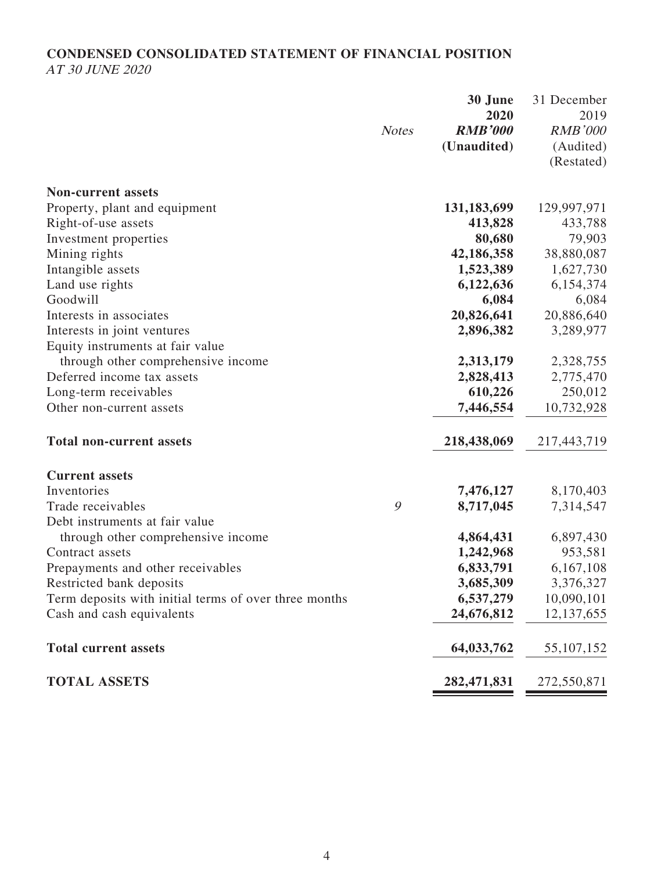# **CONDENSED CONSOLIDATED STATEMENT OF FINANCIAL POSITION** AT 30 JUNE 2020

|                                                       |              | 30 June        | 31 December    |
|-------------------------------------------------------|--------------|----------------|----------------|
|                                                       |              | 2020           | 2019           |
|                                                       | <b>Notes</b> | <b>RMB'000</b> | <b>RMB'000</b> |
|                                                       |              | (Unaudited)    | (Audited)      |
|                                                       |              |                | (Restated)     |
| <b>Non-current assets</b>                             |              |                |                |
| Property, plant and equipment                         |              | 131,183,699    | 129,997,971    |
| Right-of-use assets                                   |              | 413,828        | 433,788        |
| Investment properties                                 |              | 80,680         | 79,903         |
| Mining rights                                         |              | 42,186,358     | 38,880,087     |
| Intangible assets                                     |              | 1,523,389      | 1,627,730      |
| Land use rights                                       |              | 6,122,636      | 6,154,374      |
| Goodwill                                              |              | 6,084          | 6,084          |
| Interests in associates                               |              | 20,826,641     | 20,886,640     |
| Interests in joint ventures                           |              | 2,896,382      | 3,289,977      |
| Equity instruments at fair value                      |              |                |                |
| through other comprehensive income                    |              | 2,313,179      | 2,328,755      |
| Deferred income tax assets                            |              | 2,828,413      | 2,775,470      |
| Long-term receivables                                 |              | 610,226        | 250,012        |
| Other non-current assets                              |              | 7,446,554      | 10,732,928     |
| <b>Total non-current assets</b>                       |              | 218,438,069    | 217,443,719    |
| <b>Current assets</b>                                 |              |                |                |
| Inventories                                           |              | 7,476,127      | 8,170,403      |
| Trade receivables                                     | 9            | 8,717,045      | 7,314,547      |
| Debt instruments at fair value                        |              |                |                |
| through other comprehensive income                    |              | 4,864,431      | 6,897,430      |
| Contract assets                                       |              | 1,242,968      | 953,581        |
| Prepayments and other receivables                     |              | 6,833,791      | 6,167,108      |
| Restricted bank deposits                              |              | 3,685,309      | 3,376,327      |
| Term deposits with initial terms of over three months |              | 6,537,279      | 10,090,101     |
| Cash and cash equivalents                             |              | 24,676,812     | 12, 137, 655   |
| <b>Total current assets</b>                           |              | 64,033,762     | 55, 107, 152   |
| <b>TOTAL ASSETS</b>                                   |              | 282,471,831    | 272,550,871    |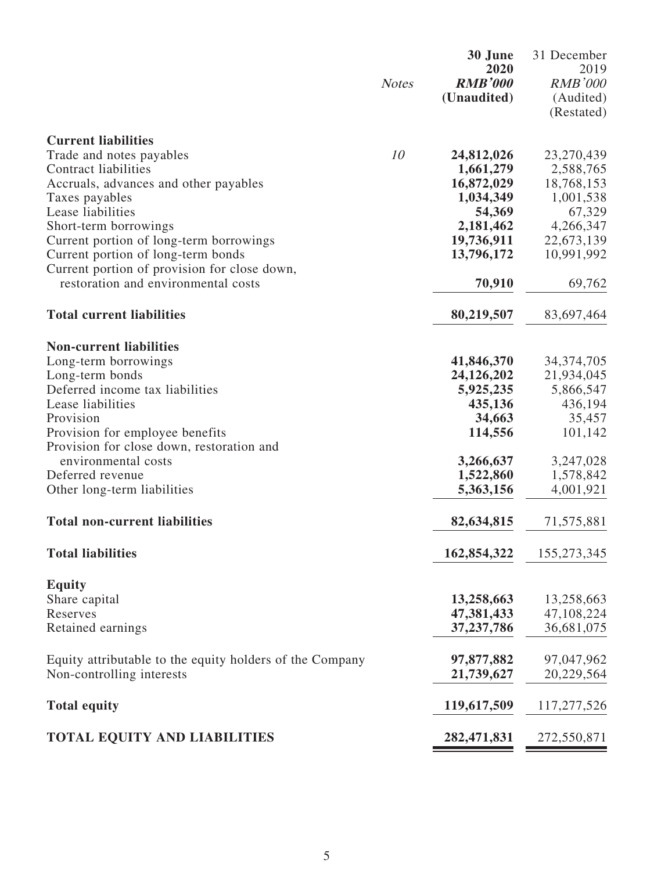|                                                                                     | <b>Notes</b> | 30 June<br>2020<br><b>RMB'000</b><br>(Unaudited) | 31 December<br>2019<br><b>RMB'000</b><br>(Audited)<br>(Restated) |
|-------------------------------------------------------------------------------------|--------------|--------------------------------------------------|------------------------------------------------------------------|
| <b>Current liabilities</b>                                                          |              |                                                  |                                                                  |
| Trade and notes payables                                                            | 10           | 24,812,026                                       | 23,270,439                                                       |
| Contract liabilities                                                                |              | 1,661,279                                        | 2,588,765                                                        |
| Accruals, advances and other payables                                               |              | 16,872,029                                       | 18,768,153                                                       |
| Taxes payables                                                                      |              | 1,034,349                                        | 1,001,538                                                        |
| Lease liabilities                                                                   |              | 54,369                                           | 67,329                                                           |
| Short-term borrowings                                                               |              | 2,181,462                                        | 4,266,347                                                        |
| Current portion of long-term borrowings                                             |              | 19,736,911                                       | 22,673,139                                                       |
| Current portion of long-term bonds                                                  |              | 13,796,172                                       | 10,991,992                                                       |
| Current portion of provision for close down,<br>restoration and environmental costs |              | 70,910                                           | 69,762                                                           |
| <b>Total current liabilities</b>                                                    |              | 80,219,507                                       | 83,697,464                                                       |
|                                                                                     |              |                                                  |                                                                  |
| <b>Non-current liabilities</b>                                                      |              |                                                  |                                                                  |
| Long-term borrowings                                                                |              | 41,846,370                                       | 34, 374, 705                                                     |
| Long-term bonds                                                                     |              | 24,126,202                                       | 21,934,045                                                       |
| Deferred income tax liabilities                                                     |              | 5,925,235                                        | 5,866,547                                                        |
| Lease liabilities                                                                   |              | 435,136                                          | 436,194                                                          |
| Provision                                                                           |              | 34,663                                           | 35,457                                                           |
| Provision for employee benefits<br>Provision for close down, restoration and        |              | 114,556                                          | 101,142                                                          |
| environmental costs                                                                 |              | 3,266,637                                        | 3,247,028                                                        |
| Deferred revenue                                                                    |              | 1,522,860                                        | 1,578,842                                                        |
| Other long-term liabilities                                                         |              | 5,363,156                                        | 4,001,921                                                        |
|                                                                                     |              |                                                  |                                                                  |
| <b>Total non-current liabilities</b>                                                |              | 82,634,815                                       | 71,575,881                                                       |
| <b>Total liabilities</b>                                                            |              | 162,854,322                                      | 155,273,345                                                      |
| <b>Equity</b>                                                                       |              |                                                  |                                                                  |
| Share capital                                                                       |              | 13,258,663                                       | 13,258,663                                                       |
| Reserves                                                                            |              | 47,381,433                                       | 47,108,224                                                       |
| Retained earnings                                                                   |              | 37, 237, 786                                     | 36,681,075                                                       |
| Equity attributable to the equity holders of the Company                            |              | 97,877,882                                       | 97,047,962                                                       |
| Non-controlling interests                                                           |              | 21,739,627                                       | 20,229,564                                                       |
| <b>Total equity</b>                                                                 |              | 119,617,509                                      | 117, 277, 526                                                    |
| <b>TOTAL EQUITY AND LIABILITIES</b>                                                 |              | 282,471,831                                      | 272,550,871                                                      |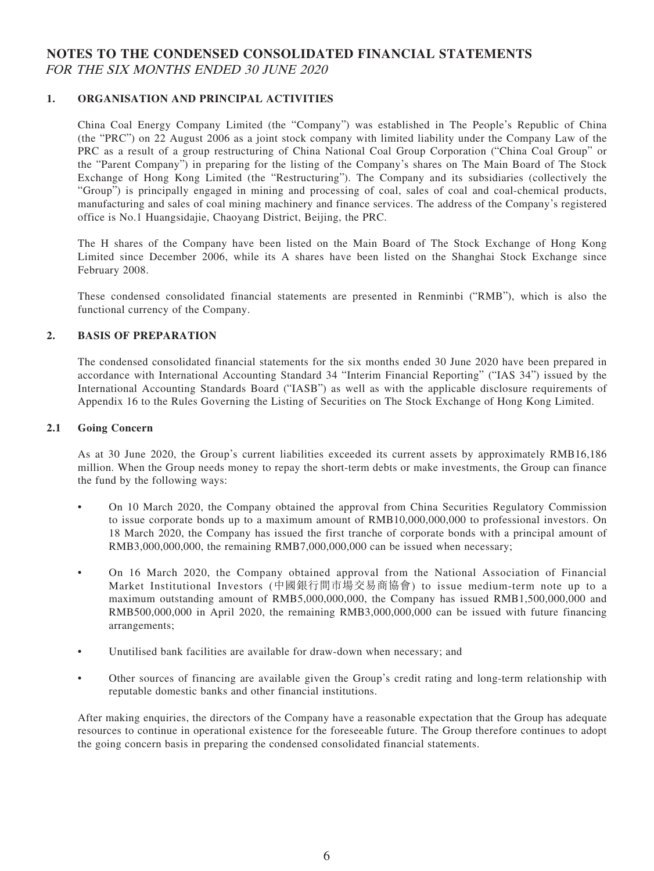### **NOTES TO THE CONDENSED CONSOLIDATED FINANCIAL STATEMENTS** FOR THE SIX MONTHS ENDED 30 JUNE 2020

### **1. ORGANISATION AND PRINCIPAL ACTIVITIES**

China Coal Energy Company Limited (the "Company") was established in The People's Republic of China (the "PRC") on 22 August 2006 as a joint stock company with limited liability under the Company Law of the PRC as a result of a group restructuring of China National Coal Group Corporation ("China Coal Group" or the "Parent Company") in preparing for the listing of the Company's shares on The Main Board of The Stock Exchange of Hong Kong Limited (the "Restructuring"). The Company and its subsidiaries (collectively the "Group") is principally engaged in mining and processing of coal, sales of coal and coal-chemical products, manufacturing and sales of coal mining machinery and finance services. The address of the Company's registered office is No.1 Huangsidajie, Chaoyang District, Beijing, the PRC.

The H shares of the Company have been listed on the Main Board of The Stock Exchange of Hong Kong Limited since December 2006, while its A shares have been listed on the Shanghai Stock Exchange since February 2008.

These condensed consolidated financial statements are presented in Renminbi ("RMB"), which is also the functional currency of the Company.

### **2. BASIS OF PREPARATION**

The condensed consolidated financial statements for the six months ended 30 June 2020 have been prepared in accordance with International Accounting Standard 34 "Interim Financial Reporting" ("IAS 34") issued by the International Accounting Standards Board ("IASB") as well as with the applicable disclosure requirements of Appendix 16 to the Rules Governing the Listing of Securities on The Stock Exchange of Hong Kong Limited.

#### **2.1 Going Concern**

As at 30 June 2020, the Group's current liabilities exceeded its current assets by approximately RMB16,186 million. When the Group needs money to repay the short-term debts or make investments, the Group can finance the fund by the following ways:

- On 10 March 2020, the Company obtained the approval from China Securities Regulatory Commission to issue corporate bonds up to a maximum amount of RMB10,000,000,000 to professional investors. On 18 March 2020, the Company has issued the first tranche of corporate bonds with a principal amount of RMB3,000,000,000, the remaining RMB7,000,000,000 can be issued when necessary;
- On 16 March 2020, the Company obtained approval from the National Association of Financial Market Institutional Investors (中國銀行間市場交易商協會) to issue medium-term note up to a maximum outstanding amount of RMB5,000,000,000, the Company has issued RMB1,500,000,000 and RMB500,000,000 in April 2020, the remaining RMB3,000,000,000 can be issued with future financing arrangements;
- Unutilised bank facilities are available for draw-down when necessary; and
- Other sources of financing are available given the Group's credit rating and long-term relationship with reputable domestic banks and other financial institutions.

After making enquiries, the directors of the Company have a reasonable expectation that the Group has adequate resources to continue in operational existence for the foreseeable future. The Group therefore continues to adopt the going concern basis in preparing the condensed consolidated financial statements.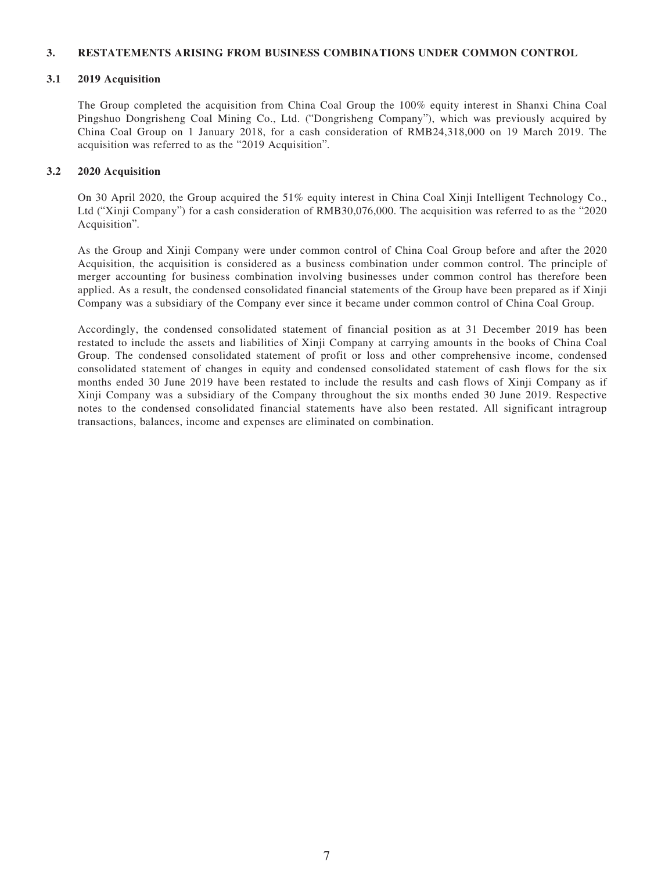#### **3. RESTATEMENTS ARISING FROM BUSINESS COMBINATIONS UNDER COMMON CONTROL**

#### **3.1 2019 Acquisition**

The Group completed the acquisition from China Coal Group the 100% equity interest in Shanxi China Coal Pingshuo Dongrisheng Coal Mining Co., Ltd. ("Dongrisheng Company"), which was previously acquired by China Coal Group on 1 January 2018, for a cash consideration of RMB24,318,000 on 19 March 2019. The acquisition was referred to as the "2019 Acquisition".

#### **3.2 2020 Acquisition**

On 30 April 2020, the Group acquired the 51% equity interest in China Coal Xinji Intelligent Technology Co., Ltd ("Xinji Company") for a cash consideration of RMB30,076,000. The acquisition was referred to as the "2020 Acquisition".

As the Group and Xinji Company were under common control of China Coal Group before and after the 2020 Acquisition, the acquisition is considered as a business combination under common control. The principle of merger accounting for business combination involving businesses under common control has therefore been applied. As a result, the condensed consolidated financial statements of the Group have been prepared as if Xinji Company was a subsidiary of the Company ever since it became under common control of China Coal Group.

Accordingly, the condensed consolidated statement of financial position as at 31 December 2019 has been restated to include the assets and liabilities of Xinji Company at carrying amounts in the books of China Coal Group. The condensed consolidated statement of profit or loss and other comprehensive income, condensed consolidated statement of changes in equity and condensed consolidated statement of cash flows for the six months ended 30 June 2019 have been restated to include the results and cash flows of Xinji Company as if Xinji Company was a subsidiary of the Company throughout the six months ended 30 June 2019. Respective notes to the condensed consolidated financial statements have also been restated. All significant intragroup transactions, balances, income and expenses are eliminated on combination.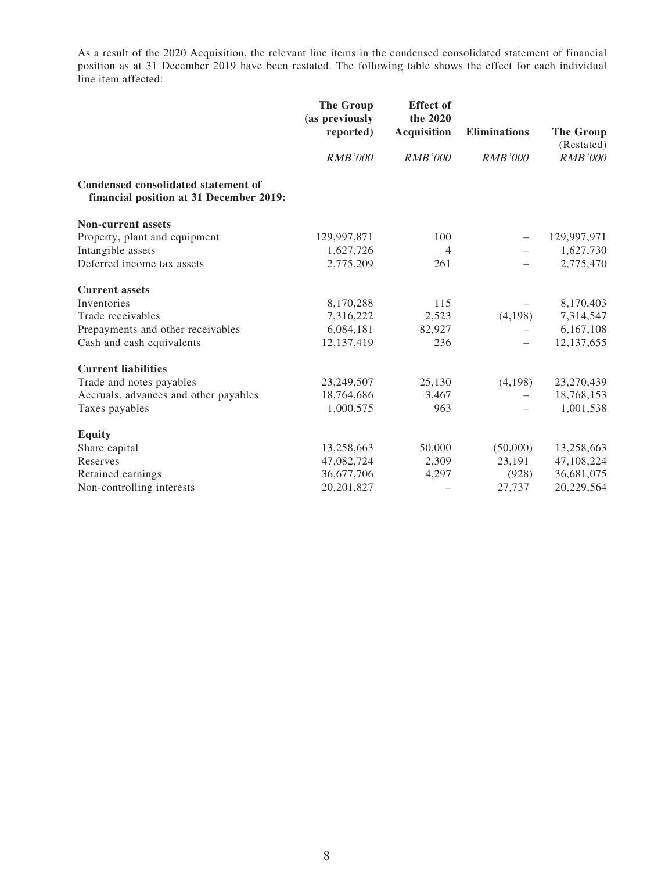As a result of the 2020 Acquisition, the relevant line items in the condensed consolidated statement of financial position as at 31 December 2019 have been restated. The following table shows the effect for each individual line item affected:

|                                                                                | <b>The Group</b><br>(as previously<br>reported) | <b>Effect</b> of<br>the 2020<br><b>Acquisition</b> | Eliminations             |                              |
|--------------------------------------------------------------------------------|-------------------------------------------------|----------------------------------------------------|--------------------------|------------------------------|
|                                                                                | <b>RMB'000</b>                                  | <i>RMB'000</i>                                     | <b>RMB'000</b>           | (Restated)<br><b>RMB'000</b> |
| Condensed consolidated statement of<br>financial position at 31 December 2019: |                                                 |                                                    |                          |                              |
| <b>Non-current assets</b>                                                      |                                                 |                                                    |                          |                              |
| Property, plant and equipment                                                  | 129,997,871                                     | 100                                                |                          | 129,997,971                  |
| Intangible assets                                                              | 1,627,726                                       | 4                                                  |                          | 1,627,730                    |
| Deferred income tax assets                                                     | 2,775,209                                       | 261                                                |                          | 2,775,470                    |
| <b>Current assets</b>                                                          |                                                 |                                                    |                          |                              |
| Inventories                                                                    | 8,170,288                                       | 115                                                |                          | 8,170,403                    |
| Trade receivables                                                              | 7,316,222                                       | 2,523                                              | (4,198)                  | 7,314,547                    |
| Prepayments and other receivables                                              | 6,084,181                                       | 82,927                                             |                          | 6,167,108                    |
| Cash and cash equivalents                                                      | 12,137,419                                      | 236                                                | $\overline{\phantom{0}}$ | 12,137,655                   |
| <b>Current liabilities</b>                                                     |                                                 |                                                    |                          |                              |
| Trade and notes payables                                                       | 23,249,507                                      | 25,130                                             | (4,198)                  | 23,270,439                   |
| Accruals, advances and other payables                                          | 18,764,686                                      | 3,467                                              |                          | 18,768,153                   |
| Taxes payables                                                                 | 1,000,575                                       | 963                                                |                          | 1,001,538                    |
| <b>Equity</b>                                                                  |                                                 |                                                    |                          |                              |
| Share capital                                                                  | 13,258,663                                      | 50,000                                             | (50,000)                 | 13,258,663                   |
| Reserves                                                                       | 47,082,724                                      | 2,309                                              | 23,191                   | 47,108,224                   |
| Retained earnings                                                              | 36,677,706                                      | 4,297                                              | (928)                    | 36,681,075                   |
| Non-controlling interests                                                      | 20, 201, 827                                    |                                                    | 27,737                   | 20,229,564                   |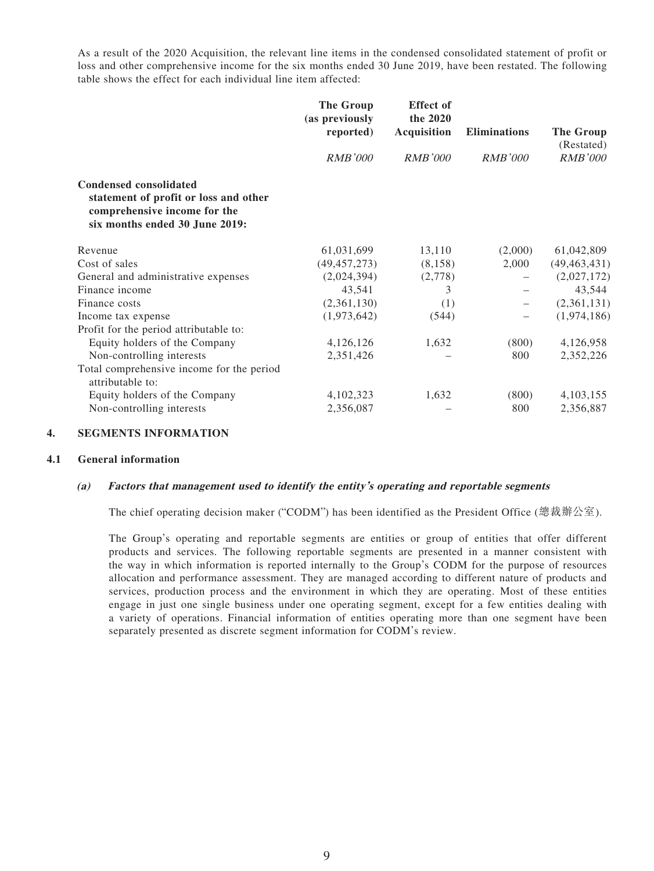As a result of the 2020 Acquisition, the relevant line items in the condensed consolidated statement of profit or loss and other comprehensive income for the six months ended 30 June 2019, have been restated. The following table shows the effect for each individual line item affected:

|                                                                                                                                          | The Group<br>(as previously | <b>Effect</b> of<br>the 2020 |                     |                              |
|------------------------------------------------------------------------------------------------------------------------------------------|-----------------------------|------------------------------|---------------------|------------------------------|
|                                                                                                                                          | reported)                   | <b>Acquisition</b>           | <b>Eliminations</b> | The Group                    |
|                                                                                                                                          | <b>RMB'000</b>              | <b>RMB'000</b>               | <b>RMB'000</b>      | (Restated)<br><b>RMB'000</b> |
| <b>Condensed consolidated</b><br>statement of profit or loss and other<br>comprehensive income for the<br>six months ended 30 June 2019: |                             |                              |                     |                              |
| Revenue                                                                                                                                  | 61,031,699                  | 13,110                       | (2,000)             | 61,042,809                   |
| Cost of sales                                                                                                                            | (49, 457, 273)              | (8,158)                      | 2,000               | (49, 463, 431)               |
| General and administrative expenses                                                                                                      | (2,024,394)                 | (2,778)                      |                     | (2,027,172)                  |
| Finance income                                                                                                                           | 43,541                      | 3                            |                     | 43,544                       |
| Finance costs                                                                                                                            | (2,361,130)                 | (1)                          |                     | (2,361,131)                  |
| Income tax expense                                                                                                                       | (1,973,642)                 | (544)                        |                     | (1,974,186)                  |
| Profit for the period attributable to:                                                                                                   |                             |                              |                     |                              |
| Equity holders of the Company                                                                                                            | 4,126,126                   | 1,632                        | (800)               | 4,126,958                    |
| Non-controlling interests                                                                                                                | 2,351,426                   |                              | 800                 | 2,352,226                    |
| Total comprehensive income for the period<br>attributable to:                                                                            |                             |                              |                     |                              |
| Equity holders of the Company                                                                                                            | 4,102,323                   | 1,632                        | (800)               | 4,103,155                    |
| Non-controlling interests                                                                                                                | 2,356,087                   |                              | 800                 | 2,356,887                    |

#### **4. SEGMENTS INFORMATION**

#### **4.1 General information**

#### **(a) Factors that management used to identify the entity's operating and reportable segments**

The chief operating decision maker ("CODM") has been identified as the President Office (總裁辦公室).

The Group's operating and reportable segments are entities or group of entities that offer different products and services. The following reportable segments are presented in a manner consistent with the way in which information is reported internally to the Group's CODM for the purpose of resources allocation and performance assessment. They are managed according to different nature of products and services, production process and the environment in which they are operating. Most of these entities engage in just one single business under one operating segment, except for a few entities dealing with a variety of operations. Financial information of entities operating more than one segment have been separately presented as discrete segment information for CODM's review.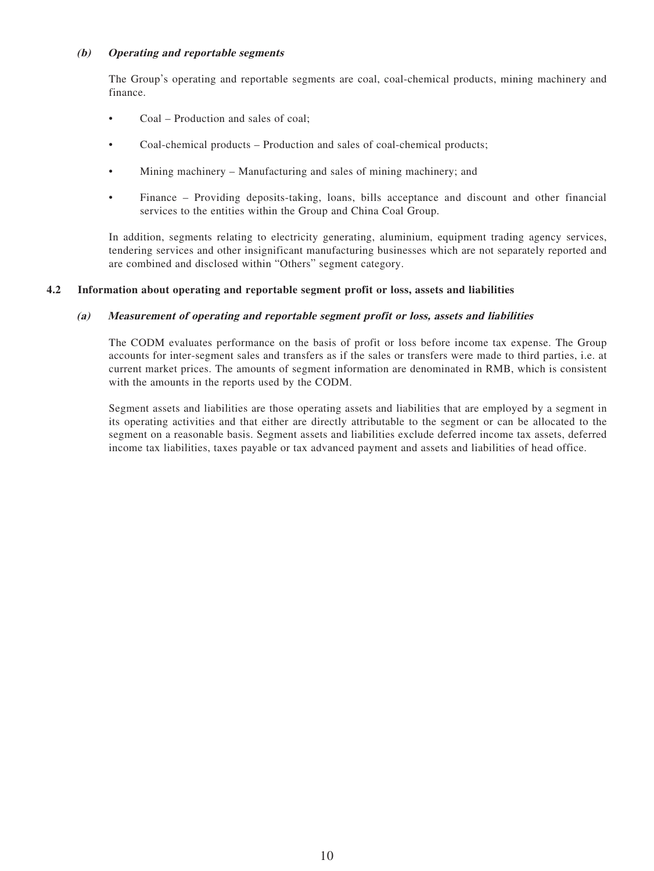#### **(b) Operating and reportable segments**

The Group's operating and reportable segments are coal, coal-chemical products, mining machinery and finance.

- Coal Production and sales of coal;
- Coal-chemical products Production and sales of coal-chemical products;
- Mining machinery Manufacturing and sales of mining machinery; and
- Finance Providing deposits-taking, loans, bills acceptance and discount and other financial services to the entities within the Group and China Coal Group.

In addition, segments relating to electricity generating, aluminium, equipment trading agency services, tendering services and other insignificant manufacturing businesses which are not separately reported and are combined and disclosed within "Others" segment category.

#### **4.2 Information about operating and reportable segment profit or loss, assets and liabilities**

#### **(a) Measurement of operating and reportable segment profit or loss, assets and liabilities**

The CODM evaluates performance on the basis of profit or loss before income tax expense. The Group accounts for inter-segment sales and transfers as if the sales or transfers were made to third parties, i.e. at current market prices. The amounts of segment information are denominated in RMB, which is consistent with the amounts in the reports used by the CODM.

Segment assets and liabilities are those operating assets and liabilities that are employed by a segment in its operating activities and that either are directly attributable to the segment or can be allocated to the segment on a reasonable basis. Segment assets and liabilities exclude deferred income tax assets, deferred income tax liabilities, taxes payable or tax advanced payment and assets and liabilities of head office.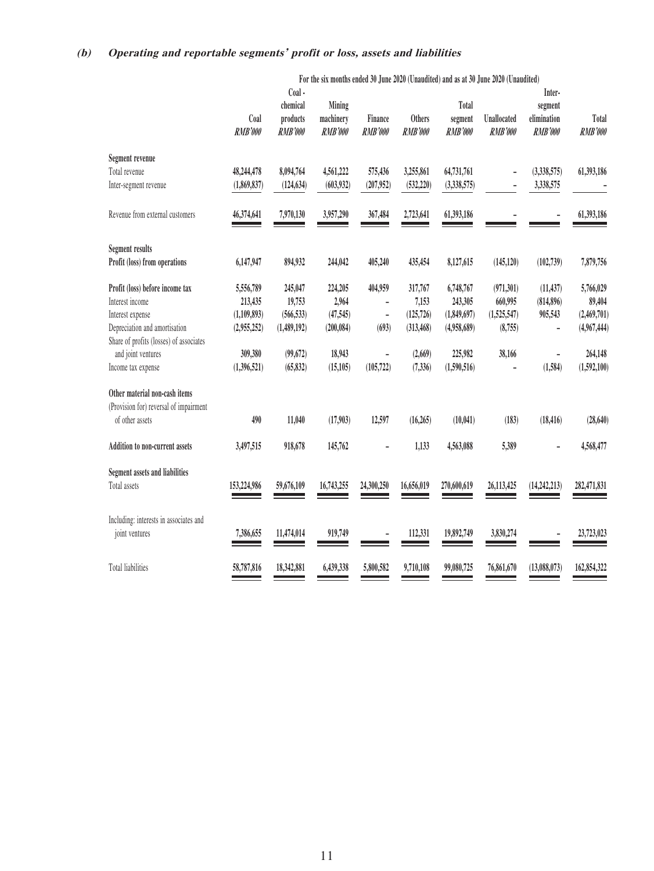### **(b) Operating and reportable segments' profit or loss, assets and liabilities**

|                                         |                           |                                                  |                                       |                           |                          |                                    | For the six months ended 30 June 2020 (Unaudited) and as at 30 June 2020 (Unaudited) |                                                    |                         |
|-----------------------------------------|---------------------------|--------------------------------------------------|---------------------------------------|---------------------------|--------------------------|------------------------------------|--------------------------------------------------------------------------------------|----------------------------------------------------|-------------------------|
|                                         | Coal<br>RMB'000           | Coal -<br>chemical<br>products<br><b>RMB'000</b> | Mining<br>machinery<br><b>RMB'000</b> | Finance<br><b>RMB'000</b> | <b>Others</b><br>RMB'000 | Total<br>segment<br><b>RMB'000</b> | Unallocated<br><b>RMB'000</b>                                                        | Inter-<br>segment<br>elimination<br><b>RMB'000</b> | Total<br><b>RMB'000</b> |
| Segment revenue                         |                           |                                                  |                                       |                           |                          |                                    |                                                                                      |                                                    |                         |
| Total revenue<br>Inter-segment revenue  | 48,244,478<br>(1,869,837) | 8,094,764<br>(124, 634)                          | 4,561,222<br>(603, 932)               | 575,436<br>(207,952)      | 3,255,861<br>(532, 220)  | 64,731,761<br>(3,338,575)          | -<br>-                                                                               | (3,338,575)<br>3,338,575                           | 61,393,186              |
|                                         |                           |                                                  |                                       |                           |                          |                                    |                                                                                      |                                                    |                         |
| Revenue from external customers         | 46,374,641                | 7,970,130                                        | 3,957,290                             | 367,484                   | 2,723,641                | 61,393,186                         |                                                                                      |                                                    | 61,393,186              |
| <b>Segment results</b>                  |                           |                                                  |                                       |                           |                          |                                    |                                                                                      |                                                    |                         |
| Profit (loss) from operations           | 6,147,947                 | 894,932                                          | 244,042                               | 405,240                   | 435,454                  | 8,127,615                          | (145, 120)                                                                           | (102, 739)                                         | 7,879,756               |
| Profit (loss) before income tax         | 5,556,789                 | 245,047                                          | 224,205                               | 404,959                   | 317,767                  | 6,748,767                          | (971, 301)                                                                           | (11, 437)                                          | 5,766,029               |
| Interest income                         | 213,435                   | 19,753                                           | 2,964                                 |                           | 7,153                    | 243,305                            | 660,995                                                                              | (814, 896)                                         | 89,404                  |
| Interest expense                        | (1,109,893)               | (566, 533)                                       | (47, 545)                             | $\overline{a}$            | (125, 726)               | (1,849,697)                        | (1,525,547)                                                                          | 905,543                                            | (2,469,701)             |
| Depreciation and amortisation           | (2,955,252)               | (1,489,192)                                      | (200, 084)                            | (693)                     | (313, 468)               | (4,958,689)                        | (8,755)                                                                              |                                                    | (4,967,444)             |
| Share of profits (losses) of associates |                           |                                                  |                                       |                           |                          |                                    |                                                                                      |                                                    |                         |
| and joint ventures                      | 309,380                   | (99, 672)                                        | 18,943                                | $\overline{a}$            | (2,669)                  | 225,982                            | 38,166                                                                               | $\overline{\phantom{0}}$                           | 264,148                 |
| Income tax expense                      | (1,396,521)               | (65, 832)                                        | (15, 105)                             | (105, 722)                | (7, 336)                 | (1,590,516)                        |                                                                                      | (1,584)                                            | (1,592,100)             |
| Other material non-cash items           |                           |                                                  |                                       |                           |                          |                                    |                                                                                      |                                                    |                         |
| (Provision for) reversal of impairment  |                           |                                                  |                                       |                           |                          |                                    |                                                                                      |                                                    |                         |
| of other assets                         | 490                       | 11,040                                           | (17,903)                              | 12,597                    | (16, 265)                | (10, 041)                          | (183)                                                                                | (18, 416)                                          | (28, 640)               |
| <b>Addition to non-current assets</b>   | 3,497,515                 | 918,678                                          | 145,762                               |                           | 1,133                    | 4,563,088                          | 5,389                                                                                |                                                    | 4,568,477               |
| <b>Segment assets and liabilities</b>   |                           |                                                  |                                       |                           |                          |                                    |                                                                                      |                                                    |                         |
| Total assets                            | 153,224,986               | 59,676,109                                       | 16,743,255                            | 24,300,250                | 16,656,019               | 270,600,619                        | 26,113,425                                                                           | (14, 242, 213)                                     | 282,471,831             |
|                                         |                           |                                                  |                                       |                           |                          |                                    |                                                                                      |                                                    |                         |
| Including: interests in associates and  |                           |                                                  |                                       |                           |                          |                                    |                                                                                      |                                                    |                         |
| joint ventures                          | 7,386,655                 | 11,474,014                                       | 919,749                               | $\overline{a}$            | 112,331                  | 19,892,749                         | 3,830,274                                                                            |                                                    | 23,723,023              |
|                                         |                           |                                                  |                                       |                           |                          |                                    |                                                                                      |                                                    |                         |
| <b>Total liabilities</b>                | 58,787,816                | 18,342,881                                       | 6,439,338                             | 5,800,582                 | 9,710,108                | 99,080,725                         | 76,861,670                                                                           | (13,088,073)                                       | 162,854,322             |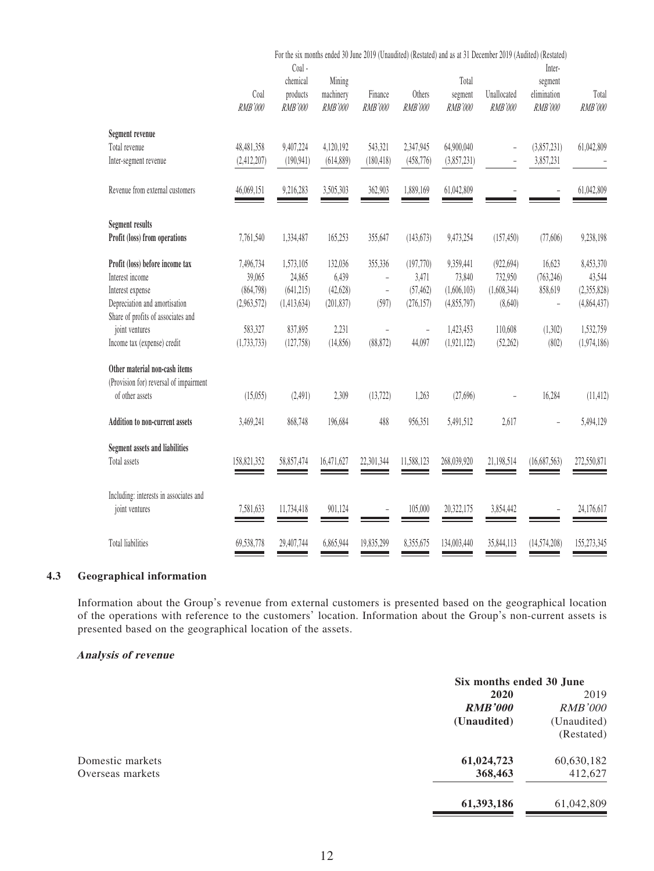|                                                                           | For the six months ended 30 June 2019 (Unaudited) (Restated) and as at 31 December 2019 (Audited) (Restated)<br>$Coal -$ |                                       |                           |                          |                                    |                               |                                                    |                         |
|---------------------------------------------------------------------------|--------------------------------------------------------------------------------------------------------------------------|---------------------------------------|---------------------------|--------------------------|------------------------------------|-------------------------------|----------------------------------------------------|-------------------------|
| Coal<br><b>RMB'000</b>                                                    | chemical<br>products<br><b>RMB'000</b>                                                                                   | Mining<br>machinery<br><b>RMB'000</b> | Finance<br><b>RMB'000</b> | Others<br><b>RMB'000</b> | Total<br>segment<br><b>RMB'000</b> | Unallocated<br><b>RMB'000</b> | Inter-<br>segment<br>elimination<br><b>RMB'000</b> | Total<br><b>RMB'000</b> |
| Segment revenue                                                           |                                                                                                                          |                                       |                           |                          |                                    |                               |                                                    |                         |
| Total revenue<br>48,481,358<br>(2,412,207)<br>Inter-segment revenue       | 9,407,224<br>(190, 941)                                                                                                  | 4,120,192<br>(614, 889)               | 543,321<br>(180, 418)     | 2,347,945<br>(458, 776)  | 64,900,040<br>(3,857,231)          | ÷<br>$\overline{a}$           | (3,857,231)<br>3,857,231                           | 61,042,809              |
| Revenue from external customers<br>46,069,151                             | 9,216,283                                                                                                                | 3,505,303                             | 362,903                   | 1,889,169                | 61,042,809                         |                               |                                                    | 61,042,809              |
| <b>Segment results</b>                                                    |                                                                                                                          |                                       |                           |                          |                                    |                               |                                                    |                         |
| Profit (loss) from operations<br>7,761,540                                | 1,334,487                                                                                                                | 165,253                               | 355,647                   | (143, 673)               | 9,473,254                          | (157, 450)                    | (77,606)                                           | 9,238,198               |
| Profit (loss) before income tax<br>7,496,734<br>Interest income<br>39,065 | 1,573,105<br>24,865                                                                                                      | 132,036<br>6,439                      | 355,336<br>$\overline{a}$ | (197, 770)<br>3,471      | 9,359,441<br>73,840                | (922, 694)<br>732,950         | 16,623<br>(763, 246)                               | 8,453,370<br>43,544     |
| (864,798)<br>Interest expense                                             | (641,215)                                                                                                                | (42, 628)                             | $\frac{1}{2}$             | (57, 462)                | (1,606,103)                        | (1,608,344)                   | 858,619                                            | (2,355,828)             |
| Depreciation and amortisation<br>(2,963,572)                              | (1,413,634)                                                                                                              | (201, 837)                            | (597)                     | (276, 157)               | (4,855,797)                        | (8,640)                       | $\overline{a}$                                     | (4,864,437)             |
| Share of profits of associates and<br>joint ventures<br>583,327           | 837,895                                                                                                                  | 2,231                                 |                           | $\overline{\phantom{0}}$ | 1,423,453                          | 110,608                       | (1,302)                                            | 1,532,759               |
| Income tax (expense) credit<br>(1,733,733)                                | (127, 758)                                                                                                               | (14, 856)                             | (88, 872)                 | 44,097                   | (1, 921, 122)                      | (52, 262)                     | (802)                                              | (1,974,186)             |
| Other material non-cash items                                             |                                                                                                                          |                                       |                           |                          |                                    |                               |                                                    |                         |
| (Provision for) reversal of impairment<br>of other assets<br>(15,055)     | (2,491)                                                                                                                  | 2,309                                 | (13, 722)                 | 1,263                    | (27,696)                           |                               | 16,284                                             | (11, 412)               |
| 3,469,241<br><b>Addition to non-current assets</b>                        | 868,748                                                                                                                  | 196,684                               | 488                       | 956,351                  | 5,491,512                          | 2,617                         |                                                    | 5,494,129               |
| Segment assets and liabilities                                            |                                                                                                                          |                                       |                           |                          |                                    |                               |                                                    |                         |
| Total assets<br>158,821,352                                               | 58,857,474                                                                                                               | 16,471,627                            | 22,301,344                | 11,588,123               | 268,039,920                        | 21,198,514                    | (16,687,563)                                       | 272,550,871             |
| Including: interests in associates and<br>7,581,633<br>joint ventures     | 11,734,418                                                                                                               | 901,124                               |                           | 105,000                  | 20,322,175                         | 3,854,442                     |                                                    | 24,176,617              |
| <b>Total liabilities</b><br>69,538,778                                    | 29,407,744                                                                                                               | 6,865,944                             | 19,835,299                | 8,355,675                | 134,003,440                        | 35,844,113                    | (14, 574, 208)                                     | 155,273,345             |

### **4.3 Geographical information**

Information about the Group's revenue from external customers is presented based on the geographical location of the operations with reference to the customers' location. Information about the Group's non-current assets is presented based on the geographical location of the assets.

#### **Analysis of revenue**

|                  | Six months ended 30 June |                |
|------------------|--------------------------|----------------|
|                  | 2020                     | 2019           |
|                  | <b>RMB'000</b>           | <b>RMB'000</b> |
|                  | (Unaudited)              | (Unaudited)    |
|                  |                          | (Restated)     |
| Domestic markets | 61,024,723               | 60,630,182     |
| Overseas markets | 368,463                  | 412,627        |
|                  | 61,393,186               | 61,042,809     |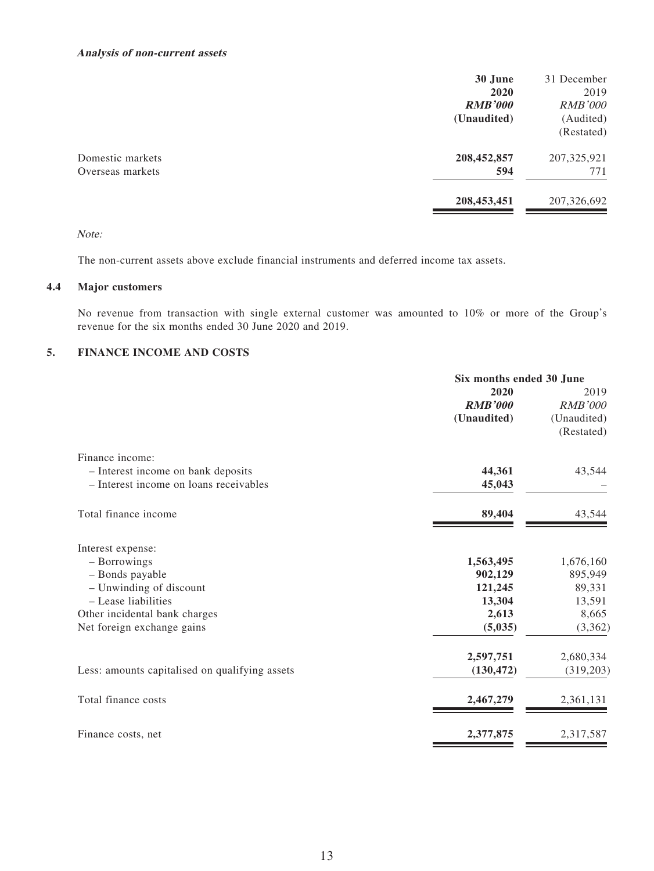#### **Analysis of non-current assets**

|                  | 30 June        | 31 December    |
|------------------|----------------|----------------|
|                  | 2020           | 2019           |
|                  | <b>RMB'000</b> | <b>RMB'000</b> |
|                  | (Unaudited)    | (Audited)      |
|                  |                | (Restated)     |
| Domestic markets | 208,452,857    | 207,325,921    |
| Overseas markets | 594            | 771            |
|                  | 208,453,451    | 207,326,692    |
|                  |                |                |

Note:

The non-current assets above exclude financial instruments and deferred income tax assets.

### **4.4 Major customers**

No revenue from transaction with single external customer was amounted to 10% or more of the Group's revenue for the six months ended 30 June 2020 and 2019.

### **5. FINANCE INCOME AND COSTS**

|                                                | Six months ended 30 June |                |  |
|------------------------------------------------|--------------------------|----------------|--|
|                                                | 2020                     | 2019           |  |
|                                                | <b>RMB'000</b>           | <b>RMB'000</b> |  |
|                                                | (Unaudited)              | (Unaudited)    |  |
|                                                |                          | (Restated)     |  |
| Finance income:                                |                          |                |  |
| - Interest income on bank deposits             | 44,361                   | 43,544         |  |
| - Interest income on loans receivables         | 45,043                   |                |  |
| Total finance income                           | 89,404                   | 43,544         |  |
| Interest expense:                              |                          |                |  |
| - Borrowings                                   | 1,563,495                | 1,676,160      |  |
| - Bonds payable                                | 902,129                  | 895,949        |  |
| - Unwinding of discount                        | 121,245                  | 89,331         |  |
| - Lease liabilities                            | 13,304                   | 13,591         |  |
| Other incidental bank charges                  | 2,613                    | 8,665          |  |
| Net foreign exchange gains                     | (5,035)                  | (3,362)        |  |
|                                                | 2,597,751                | 2,680,334      |  |
| Less: amounts capitalised on qualifying assets | (130, 472)               | (319,203)      |  |
| Total finance costs                            | 2,467,279                | 2,361,131      |  |
| Finance costs, net                             | 2,377,875                | 2,317,587      |  |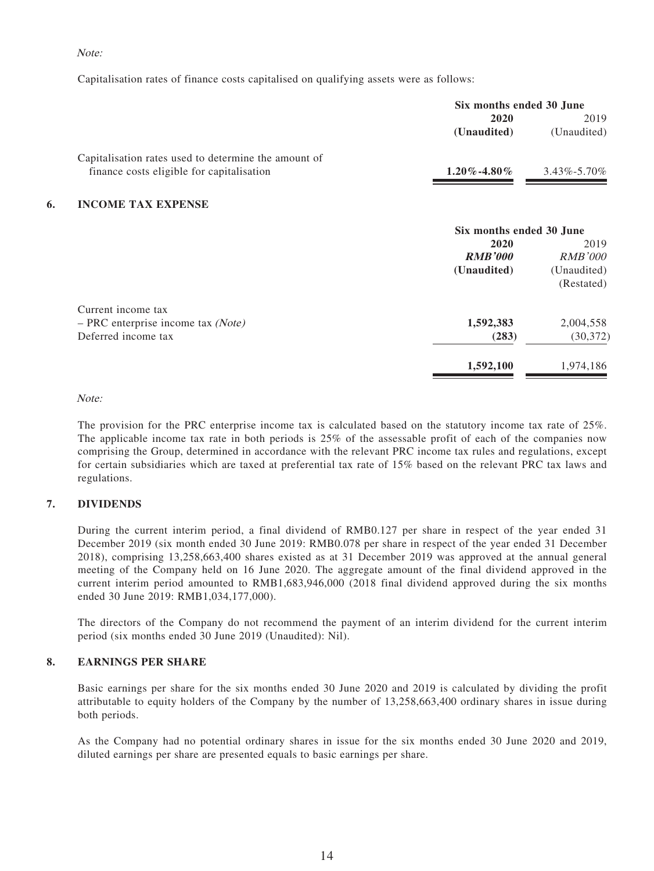#### Note:

Capitalisation rates of finance costs capitalised on qualifying assets were as follows:

|    |                                                      | Six months ended 30 June |                   |  |
|----|------------------------------------------------------|--------------------------|-------------------|--|
|    |                                                      | 2020                     | 2019              |  |
|    |                                                      | (Unaudited)              | (Unaudited)       |  |
|    | Capitalisation rates used to determine the amount of |                          |                   |  |
|    | finance costs eligible for capitalisation            | $1.20\%$ -4.80%          | $3.43\% - 5.70\%$ |  |
| 6. | <b>INCOME TAX EXPENSE</b>                            |                          |                   |  |
|    |                                                      | Six months ended 30 June |                   |  |
|    |                                                      | 2020                     | 2019              |  |
|    |                                                      | <b>RMB'000</b>           | <i>RMB'000</i>    |  |
|    |                                                      | (Unaudited)              | (Unaudited)       |  |
|    |                                                      |                          | (Restated)        |  |
|    | Current income tax                                   |                          |                   |  |
|    | $-$ PRC enterprise income tax (Note)                 | 1,592,383                | 2,004,558         |  |
|    | Deferred income tax                                  | (283)                    | (30, 372)         |  |
|    |                                                      | 1,592,100                | 1,974,186         |  |

#### Note:

The provision for the PRC enterprise income tax is calculated based on the statutory income tax rate of 25%. The applicable income tax rate in both periods is 25% of the assessable profit of each of the companies now comprising the Group, determined in accordance with the relevant PRC income tax rules and regulations, except for certain subsidiaries which are taxed at preferential tax rate of 15% based on the relevant PRC tax laws and regulations.

#### **7. DIVIDENDS**

During the current interim period, a final dividend of RMB0.127 per share in respect of the year ended 31 December 2019 (six month ended 30 June 2019: RMB0.078 per share in respect of the year ended 31 December 2018), comprising 13,258,663,400 shares existed as at 31 December 2019 was approved at the annual general meeting of the Company held on 16 June 2020. The aggregate amount of the final dividend approved in the current interim period amounted to RMB1,683,946,000 (2018 final dividend approved during the six months ended 30 June 2019: RMB1,034,177,000).

The directors of the Company do not recommend the payment of an interim dividend for the current interim period (six months ended 30 June 2019 (Unaudited): Nil).

#### **8. EARNINGS PER SHARE**

Basic earnings per share for the six months ended 30 June 2020 and 2019 is calculated by dividing the profit attributable to equity holders of the Company by the number of 13,258,663,400 ordinary shares in issue during both periods.

As the Company had no potential ordinary shares in issue for the six months ended 30 June 2020 and 2019, diluted earnings per share are presented equals to basic earnings per share.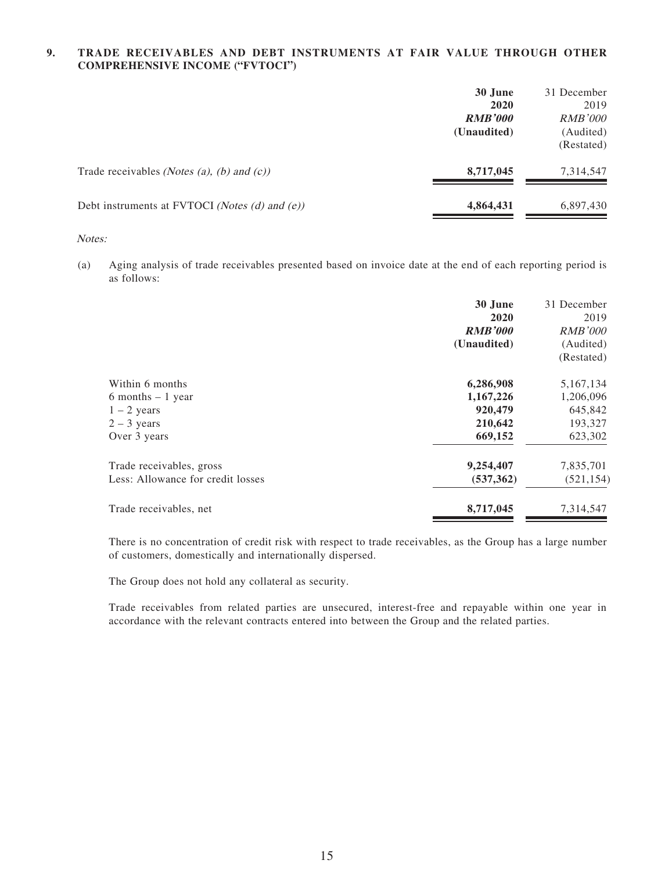#### **9. TRADE RECEIVABLES AND DEBT INSTRUMENTS AT FAIR VALUE THROUGH OTHER COMPREHENSIVE INCOME ("FVTOCI")**

|                                                                    | 30 June<br>2020<br><b>RMB'000</b><br>(Unaudited) | 31 December<br>2019<br><b>RMB'000</b><br>(Audited)<br>(Restated) |
|--------------------------------------------------------------------|--------------------------------------------------|------------------------------------------------------------------|
| Trade receivables ( <i>Notes (a)</i> , <i>(b)</i> and <i>(c)</i> ) | 8,717,045                                        | 7,314,547                                                        |
| Debt instruments at FVTOCI (Notes (d) and (e))                     | 4,864,431                                        | 6,897,430                                                        |

#### Notes:

(a) Aging analysis of trade receivables presented based on invoice date at the end of each reporting period is as follows:

|                                   | 30 June<br>2020<br><b>RMB'000</b><br>(Unaudited) | 31 December<br>2019<br><b>RMB'000</b><br>(Audited)<br>(Restated) |
|-----------------------------------|--------------------------------------------------|------------------------------------------------------------------|
| Within 6 months                   | 6,286,908                                        | 5,167,134                                                        |
| 6 months $-1$ year                | 1,167,226                                        | 1,206,096                                                        |
| $1 - 2$ years                     | 920,479                                          | 645,842                                                          |
| $2 - 3$ years                     | 210,642                                          | 193,327                                                          |
| Over 3 years                      | 669,152                                          | 623,302                                                          |
| Trade receivables, gross          | 9,254,407                                        | 7,835,701                                                        |
| Less: Allowance for credit losses | (537, 362)                                       | (521, 154)                                                       |
| Trade receivables, net            | 8,717,045                                        | 7,314,547                                                        |

There is no concentration of credit risk with respect to trade receivables, as the Group has a large number of customers, domestically and internationally dispersed.

The Group does not hold any collateral as security.

Trade receivables from related parties are unsecured, interest-free and repayable within one year in accordance with the relevant contracts entered into between the Group and the related parties.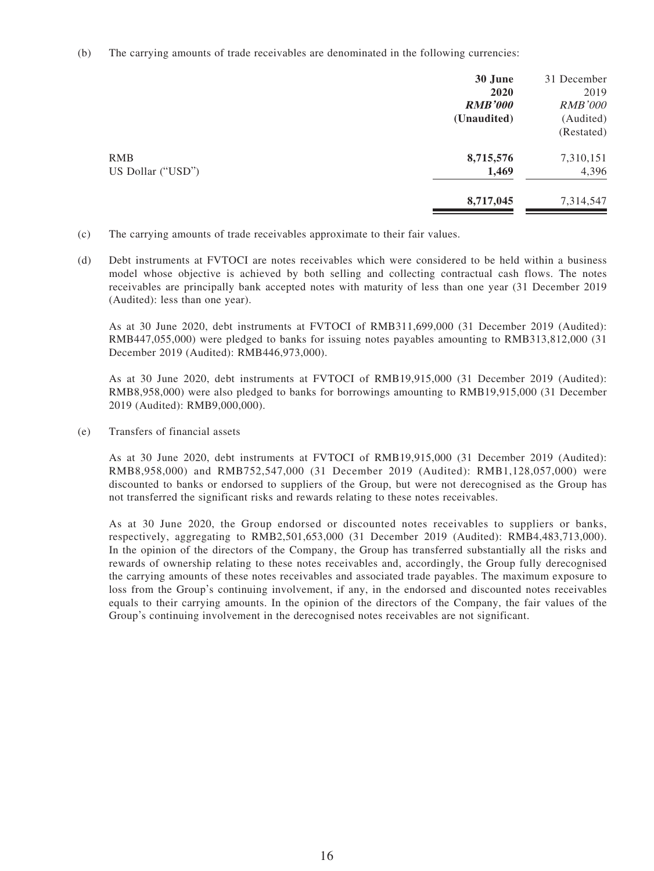(b) The carrying amounts of trade receivables are denominated in the following currencies:

|                   | 30 June        | 31 December    |
|-------------------|----------------|----------------|
|                   | 2020           | 2019           |
|                   | <b>RMB'000</b> | <b>RMB'000</b> |
|                   | (Unaudited)    | (Audited)      |
|                   |                | (Restated)     |
| <b>RMB</b>        | 8,715,576      | 7,310,151      |
| US Dollar ("USD") | 1,469          | 4,396          |
|                   | 8,717,045      | 7,314,547      |
|                   |                |                |

- (c) The carrying amounts of trade receivables approximate to their fair values.
- (d) Debt instruments at FVTOCI are notes receivables which were considered to be held within a business model whose objective is achieved by both selling and collecting contractual cash flows. The notes receivables are principally bank accepted notes with maturity of less than one year (31 December 2019 (Audited): less than one year).

As at 30 June 2020, debt instruments at FVTOCI of RMB311,699,000 (31 December 2019 (Audited): RMB447,055,000) were pledged to banks for issuing notes payables amounting to RMB313,812,000 (31 December 2019 (Audited): RMB446,973,000).

As at 30 June 2020, debt instruments at FVTOCI of RMB19,915,000 (31 December 2019 (Audited): RMB8,958,000) were also pledged to banks for borrowings amounting to RMB19,915,000 (31 December 2019 (Audited): RMB9,000,000).

(e) Transfers of financial assets

As at 30 June 2020, debt instruments at FVTOCI of RMB19,915,000 (31 December 2019 (Audited): RMB8,958,000) and RMB752,547,000 (31 December 2019 (Audited): RMB1,128,057,000) were discounted to banks or endorsed to suppliers of the Group, but were not derecognised as the Group has not transferred the significant risks and rewards relating to these notes receivables.

As at 30 June 2020, the Group endorsed or discounted notes receivables to suppliers or banks, respectively, aggregating to RMB2,501,653,000 (31 December 2019 (Audited): RMB4,483,713,000). In the opinion of the directors of the Company, the Group has transferred substantially all the risks and rewards of ownership relating to these notes receivables and, accordingly, the Group fully derecognised the carrying amounts of these notes receivables and associated trade payables. The maximum exposure to loss from the Group's continuing involvement, if any, in the endorsed and discounted notes receivables equals to their carrying amounts. In the opinion of the directors of the Company, the fair values of the Group's continuing involvement in the derecognised notes receivables are not significant.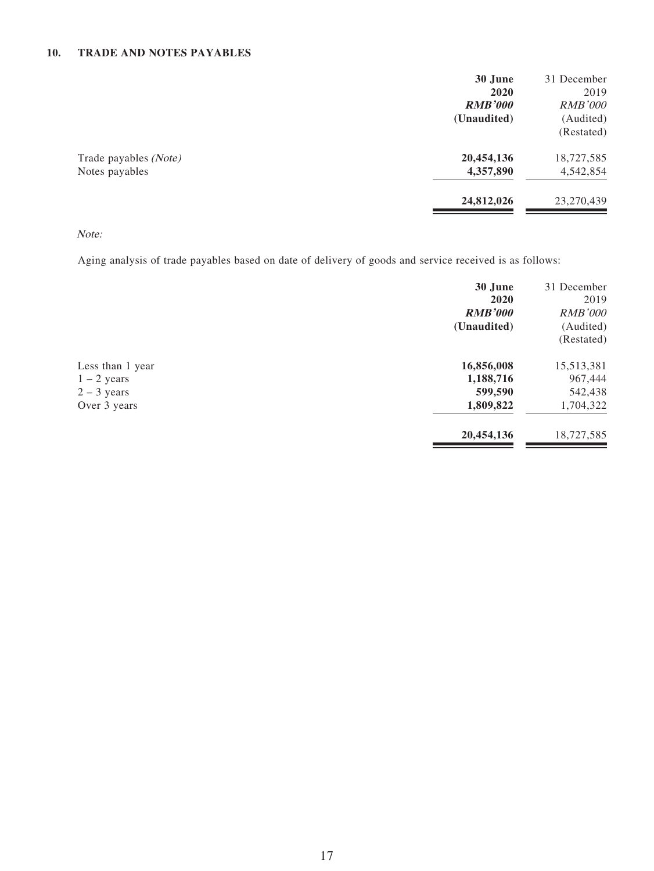### **10. TRADE AND NOTES PAYABLES**

| 30 June        | 31 December    |
|----------------|----------------|
| 2020           | 2019           |
| <b>RMB'000</b> | <b>RMB'000</b> |
| (Unaudited)    | (Audited)      |
|                | (Restated)     |
| 20,454,136     | 18,727,585     |
| 4,357,890      | 4,542,854      |
| 24,812,026     | 23,270,439     |
|                |                |

### Note:

Aging analysis of trade payables based on date of delivery of goods and service received is as follows:

|                                                                    | 30 June<br>2020<br><b>RMB'000</b><br>(Unaudited) | 31 December<br>2019<br><b>RMB'000</b><br>(Audited)<br>(Restated) |
|--------------------------------------------------------------------|--------------------------------------------------|------------------------------------------------------------------|
| Less than 1 year<br>$1 - 2$ years<br>$2 - 3$ years<br>Over 3 years | 16,856,008<br>1,188,716<br>599,590<br>1,809,822  | 15,513,381<br>967,444<br>542,438<br>1,704,322                    |
|                                                                    | 20,454,136                                       | 18,727,585                                                       |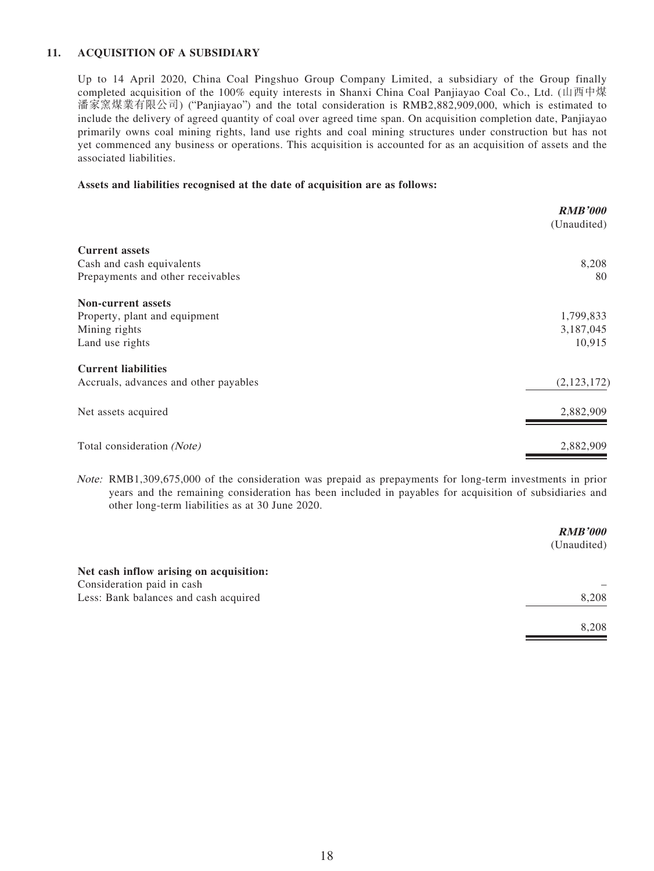### **11. ACQUISITION OF A SUBSIDIARY**

Up to 14 April 2020, China Coal Pingshuo Group Company Limited, a subsidiary of the Group finally completed acquisition of the 100% equity interests in Shanxi China Coal Panjiayao Coal Co., Ltd. (山西中煤 潘家窯煤業有限公司) ("Panjiayao") and the total consideration is RMB2,882,909,000, which is estimated to include the delivery of agreed quantity of coal over agreed time span. On acquisition completion date, Panjiayao primarily owns coal mining rights, land use rights and coal mining structures under construction but has not yet commenced any business or operations. This acquisition is accounted for as an acquisition of assets and the associated liabilities.

#### **Assets and liabilities recognised at the date of acquisition are as follows:**

|                                       | <b>RMB'000</b> |
|---------------------------------------|----------------|
|                                       | (Unaudited)    |
| <b>Current assets</b>                 |                |
| Cash and cash equivalents             | 8,208          |
| Prepayments and other receivables     | 80             |
| <b>Non-current assets</b>             |                |
| Property, plant and equipment         | 1,799,833      |
| Mining rights                         | 3,187,045      |
| Land use rights                       | 10,915         |
| <b>Current liabilities</b>            |                |
| Accruals, advances and other payables | (2,123,172)    |
| Net assets acquired                   | 2,882,909      |
| Total consideration (Note)            | 2,882,909      |

Note: RMB1,309,675,000 of the consideration was prepaid as prepayments for long-term investments in prior years and the remaining consideration has been included in payables for acquisition of subsidiaries and other long-term liabilities as at 30 June 2020.

|                                         | <b>RMB'000</b> |
|-----------------------------------------|----------------|
|                                         | (Unaudited)    |
| Net cash inflow arising on acquisition: |                |
| Consideration paid in cash              |                |
| Less: Bank balances and cash acquired   | 8,208          |
|                                         | 8,208          |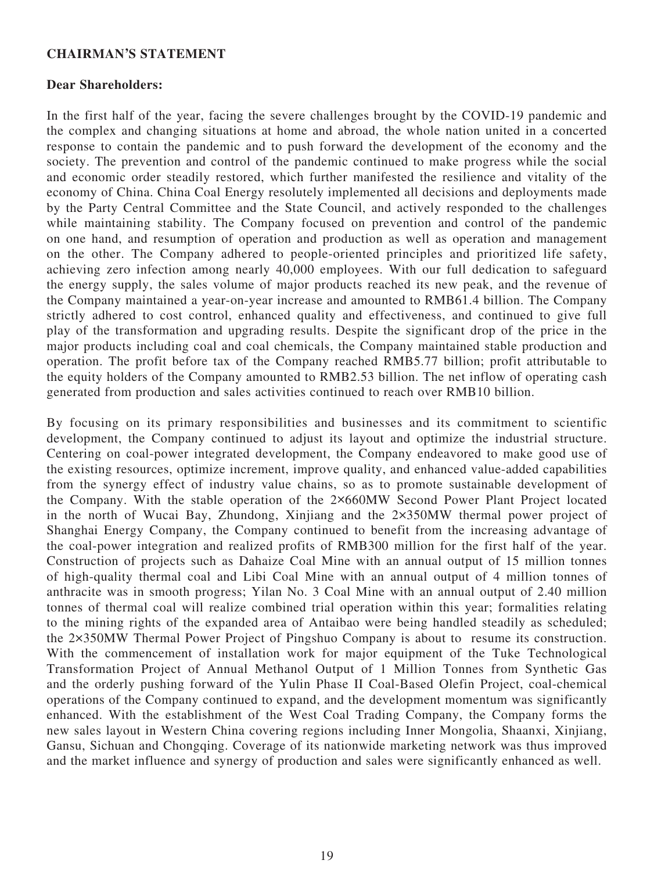### **CHAIRMAN'S STATEMENT**

### **Dear Shareholders:**

In the first half of the year, facing the severe challenges brought by the COVID-19 pandemic and the complex and changing situations at home and abroad, the whole nation united in a concerted response to contain the pandemic and to push forward the development of the economy and the society. The prevention and control of the pandemic continued to make progress while the social and economic order steadily restored, which further manifested the resilience and vitality of the economy of China. China Coal Energy resolutely implemented all decisions and deployments made by the Party Central Committee and the State Council, and actively responded to the challenges while maintaining stability. The Company focused on prevention and control of the pandemic on one hand, and resumption of operation and production as well as operation and management on the other. The Company adhered to people-oriented principles and prioritized life safety, achieving zero infection among nearly 40,000 employees. With our full dedication to safeguard the energy supply, the sales volume of major products reached its new peak, and the revenue of the Company maintained a year-on-year increase and amounted to RMB61.4 billion. The Company strictly adhered to cost control, enhanced quality and effectiveness, and continued to give full play of the transformation and upgrading results. Despite the significant drop of the price in the major products including coal and coal chemicals, the Company maintained stable production and operation. The profit before tax of the Company reached RMB5.77 billion; profit attributable to the equity holders of the Company amounted to RMB2.53 billion. The net inflow of operating cash generated from production and sales activities continued to reach over RMB10 billion.

By focusing on its primary responsibilities and businesses and its commitment to scientific development, the Company continued to adjust its layout and optimize the industrial structure. Centering on coal-power integrated development, the Company endeavored to make good use of the existing resources, optimize increment, improve quality, and enhanced value-added capabilities from the synergy effect of industry value chains, so as to promote sustainable development of the Company. With the stable operation of the 2×660MW Second Power Plant Project located in the north of Wucai Bay, Zhundong, Xinjiang and the 2×350MW thermal power project of Shanghai Energy Company, the Company continued to benefit from the increasing advantage of the coal-power integration and realized profits of RMB300 million for the first half of the year. Construction of projects such as Dahaize Coal Mine with an annual output of 15 million tonnes of high-quality thermal coal and Libi Coal Mine with an annual output of 4 million tonnes of anthracite was in smooth progress; Yilan No. 3 Coal Mine with an annual output of 2.40 million tonnes of thermal coal will realize combined trial operation within this year; formalities relating to the mining rights of the expanded area of Antaibao were being handled steadily as scheduled; the 2×350MW Thermal Power Project of Pingshuo Company is about to resume its construction. With the commencement of installation work for major equipment of the Tuke Technological Transformation Project of Annual Methanol Output of 1 Million Tonnes from Synthetic Gas and the orderly pushing forward of the Yulin Phase II Coal-Based Olefin Project, coal-chemical operations of the Company continued to expand, and the development momentum was significantly enhanced. With the establishment of the West Coal Trading Company, the Company forms the new sales layout in Western China covering regions including Inner Mongolia, Shaanxi, Xinjiang, Gansu, Sichuan and Chongqing. Coverage of its nationwide marketing network was thus improved and the market influence and synergy of production and sales were significantly enhanced as well.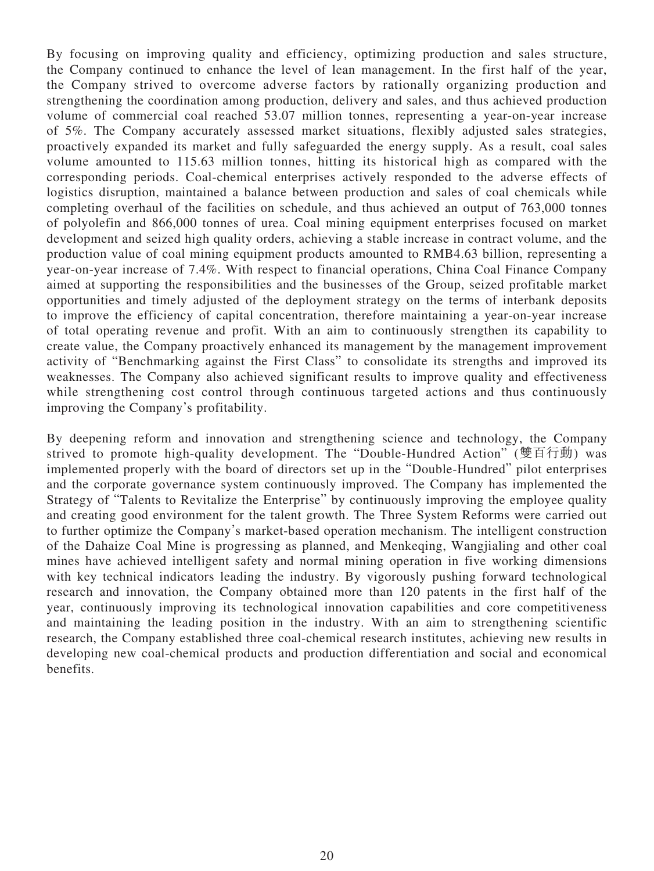By focusing on improving quality and efficiency, optimizing production and sales structure, the Company continued to enhance the level of lean management. In the first half of the year, the Company strived to overcome adverse factors by rationally organizing production and strengthening the coordination among production, delivery and sales, and thus achieved production volume of commercial coal reached 53.07 million tonnes, representing a year-on-year increase of 5%. The Company accurately assessed market situations, flexibly adjusted sales strategies, proactively expanded its market and fully safeguarded the energy supply. As a result, coal sales volume amounted to 115.63 million tonnes, hitting its historical high as compared with the corresponding periods. Coal-chemical enterprises actively responded to the adverse effects of logistics disruption, maintained a balance between production and sales of coal chemicals while completing overhaul of the facilities on schedule, and thus achieved an output of 763,000 tonnes of polyolefin and 866,000 tonnes of urea. Coal mining equipment enterprises focused on market development and seized high quality orders, achieving a stable increase in contract volume, and the production value of coal mining equipment products amounted to RMB4.63 billion, representing a year-on-year increase of 7.4%. With respect to financial operations, China Coal Finance Company aimed at supporting the responsibilities and the businesses of the Group, seized profitable market opportunities and timely adjusted of the deployment strategy on the terms of interbank deposits to improve the efficiency of capital concentration, therefore maintaining a year-on-year increase of total operating revenue and profit. With an aim to continuously strengthen its capability to create value, the Company proactively enhanced its management by the management improvement activity of "Benchmarking against the First Class" to consolidate its strengths and improved its weaknesses. The Company also achieved significant results to improve quality and effectiveness while strengthening cost control through continuous targeted actions and thus continuously improving the Company's profitability.

By deepening reform and innovation and strengthening science and technology, the Company strived to promote high-quality development. The "Double-Hundred Action" (雙百行動) was implemented properly with the board of directors set up in the "Double-Hundred" pilot enterprises and the corporate governance system continuously improved. The Company has implemented the Strategy of "Talents to Revitalize the Enterprise" by continuously improving the employee quality and creating good environment for the talent growth. The Three System Reforms were carried out to further optimize the Company's market-based operation mechanism. The intelligent construction of the Dahaize Coal Mine is progressing as planned, and Menkeqing, Wangjialing and other coal mines have achieved intelligent safety and normal mining operation in five working dimensions with key technical indicators leading the industry. By vigorously pushing forward technological research and innovation, the Company obtained more than 120 patents in the first half of the year, continuously improving its technological innovation capabilities and core competitiveness and maintaining the leading position in the industry. With an aim to strengthening scientific research, the Company established three coal-chemical research institutes, achieving new results in developing new coal-chemical products and production differentiation and social and economical benefits.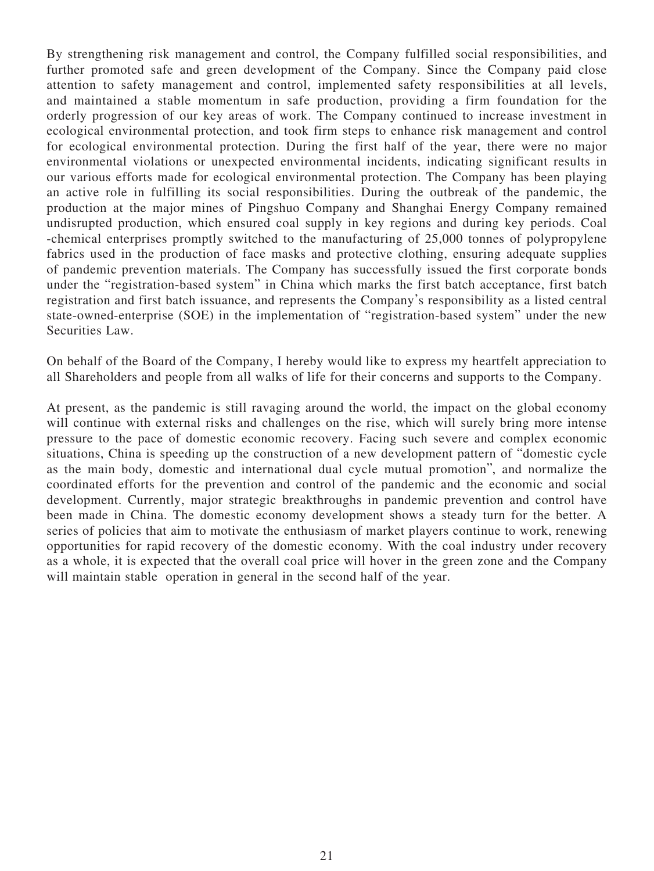By strengthening risk management and control, the Company fulfilled social responsibilities, and further promoted safe and green development of the Company. Since the Company paid close attention to safety management and control, implemented safety responsibilities at all levels, and maintained a stable momentum in safe production, providing a firm foundation for the orderly progression of our key areas of work. The Company continued to increase investment in ecological environmental protection, and took firm steps to enhance risk management and control for ecological environmental protection. During the first half of the year, there were no major environmental violations or unexpected environmental incidents, indicating significant results in our various efforts made for ecological environmental protection. The Company has been playing an active role in fulfilling its social responsibilities. During the outbreak of the pandemic, the production at the major mines of Pingshuo Company and Shanghai Energy Company remained undisrupted production, which ensured coal supply in key regions and during key periods. Coal -chemical enterprises promptly switched to the manufacturing of 25,000 tonnes of polypropylene fabrics used in the production of face masks and protective clothing, ensuring adequate supplies of pandemic prevention materials. The Company has successfully issued the first corporate bonds under the "registration-based system" in China which marks the first batch acceptance, first batch registration and first batch issuance, and represents the Company's responsibility as a listed central state-owned-enterprise (SOE) in the implementation of "registration-based system" under the new Securities Law.

On behalf of the Board of the Company, I hereby would like to express my heartfelt appreciation to all Shareholders and people from all walks of life for their concerns and supports to the Company.

At present, as the pandemic is still ravaging around the world, the impact on the global economy will continue with external risks and challenges on the rise, which will surely bring more intense pressure to the pace of domestic economic recovery. Facing such severe and complex economic situations, China is speeding up the construction of a new development pattern of "domestic cycle as the main body, domestic and international dual cycle mutual promotion", and normalize the coordinated efforts for the prevention and control of the pandemic and the economic and social development. Currently, major strategic breakthroughs in pandemic prevention and control have been made in China. The domestic economy development shows a steady turn for the better. A series of policies that aim to motivate the enthusiasm of market players continue to work, renewing opportunities for rapid recovery of the domestic economy. With the coal industry under recovery as a whole, it is expected that the overall coal price will hover in the green zone and the Company will maintain stable operation in general in the second half of the year.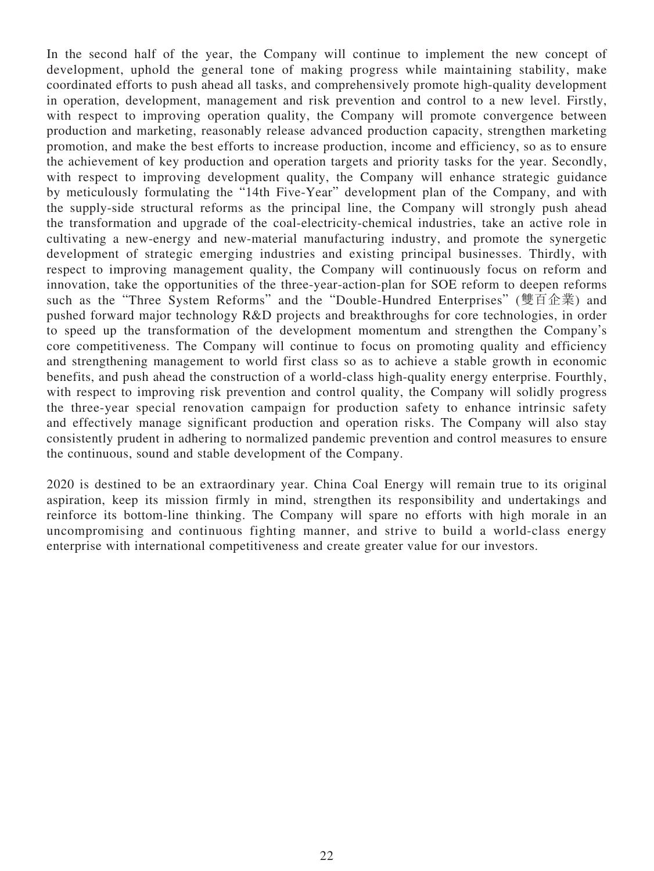In the second half of the year, the Company will continue to implement the new concept of development, uphold the general tone of making progress while maintaining stability, make coordinated efforts to push ahead all tasks, and comprehensively promote high-quality development in operation, development, management and risk prevention and control to a new level. Firstly, with respect to improving operation quality, the Company will promote convergence between production and marketing, reasonably release advanced production capacity, strengthen marketing promotion, and make the best efforts to increase production, income and efficiency, so as to ensure the achievement of key production and operation targets and priority tasks for the year. Secondly, with respect to improving development quality, the Company will enhance strategic guidance by meticulously formulating the "14th Five-Year" development plan of the Company, and with the supply-side structural reforms as the principal line, the Company will strongly push ahead the transformation and upgrade of the coal-electricity-chemical industries, take an active role in cultivating a new-energy and new-material manufacturing industry, and promote the synergetic development of strategic emerging industries and existing principal businesses. Thirdly, with respect to improving management quality, the Company will continuously focus on reform and innovation, take the opportunities of the three-year-action-plan for SOE reform to deepen reforms such as the "Three System Reforms" and the "Double-Hundred Enterprises" (雙百企業) and pushed forward major technology R&D projects and breakthroughs for core technologies, in order to speed up the transformation of the development momentum and strengthen the Company's core competitiveness. The Company will continue to focus on promoting quality and efficiency and strengthening management to world first class so as to achieve a stable growth in economic benefits, and push ahead the construction of a world-class high-quality energy enterprise. Fourthly, with respect to improving risk prevention and control quality, the Company will solidly progress the three-year special renovation campaign for production safety to enhance intrinsic safety and effectively manage significant production and operation risks. The Company will also stay consistently prudent in adhering to normalized pandemic prevention and control measures to ensure the continuous, sound and stable development of the Company.

2020 is destined to be an extraordinary year. China Coal Energy will remain true to its original aspiration, keep its mission firmly in mind, strengthen its responsibility and undertakings and reinforce its bottom-line thinking. The Company will spare no efforts with high morale in an uncompromising and continuous fighting manner, and strive to build a world-class energy enterprise with international competitiveness and create greater value for our investors.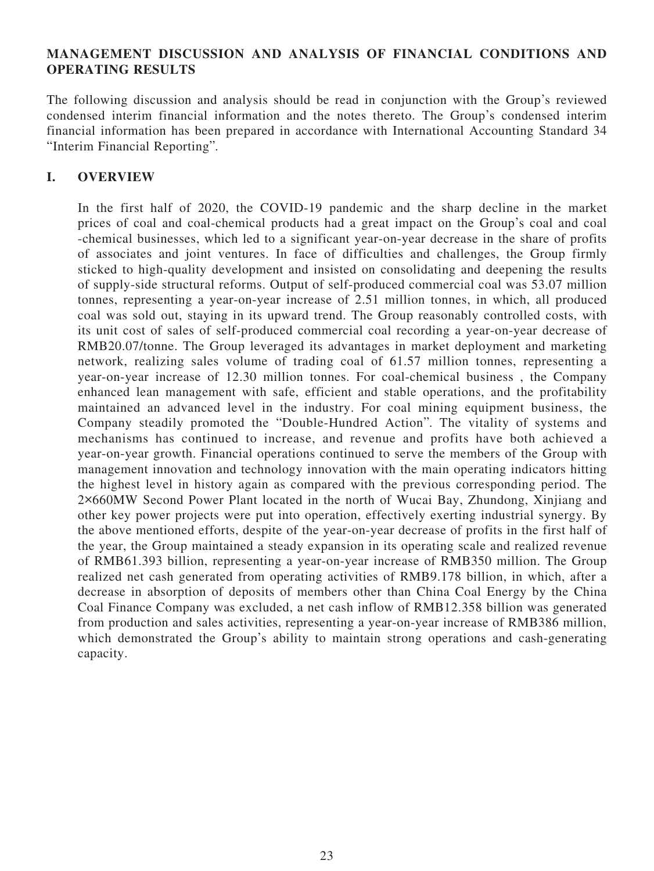### **MANAGEMENT DISCUSSION AND ANALYSIS OF FINANCIAL CONDITIONS AND OPERATING RESULTS**

The following discussion and analysis should be read in conjunction with the Group's reviewed condensed interim financial information and the notes thereto. The Group's condensed interim financial information has been prepared in accordance with International Accounting Standard 34 "Interim Financial Reporting".

### **I. OVERVIEW**

In the first half of 2020, the COVID-19 pandemic and the sharp decline in the market prices of coal and coal-chemical products had a great impact on the Group's coal and coal -chemical businesses, which led to a significant year-on-year decrease in the share of profits of associates and joint ventures. In face of difficulties and challenges, the Group firmly sticked to high-quality development and insisted on consolidating and deepening the results of supply-side structural reforms. Output of self-produced commercial coal was 53.07 million tonnes, representing a year-on-year increase of 2.51 million tonnes, in which, all produced coal was sold out, staying in its upward trend. The Group reasonably controlled costs, with its unit cost of sales of self-produced commercial coal recording a year-on-year decrease of RMB20.07/tonne. The Group leveraged its advantages in market deployment and marketing network, realizing sales volume of trading coal of 61.57 million tonnes, representing a year-on-year increase of 12.30 million tonnes. For coal-chemical business , the Company enhanced lean management with safe, efficient and stable operations, and the profitability maintained an advanced level in the industry. For coal mining equipment business, the Company steadily promoted the "Double-Hundred Action". The vitality of systems and mechanisms has continued to increase, and revenue and profits have both achieved a year-on-year growth. Financial operations continued to serve the members of the Group with management innovation and technology innovation with the main operating indicators hitting the highest level in history again as compared with the previous corresponding period. The 2×660MW Second Power Plant located in the north of Wucai Bay, Zhundong, Xinjiang and other key power projects were put into operation, effectively exerting industrial synergy. By the above mentioned efforts, despite of the year-on-year decrease of profits in the first half of the year, the Group maintained a steady expansion in its operating scale and realized revenue of RMB61.393 billion, representing a year-on-year increase of RMB350 million. The Group realized net cash generated from operating activities of RMB9.178 billion, in which, after a decrease in absorption of deposits of members other than China Coal Energy by the China Coal Finance Company was excluded, a net cash inflow of RMB12.358 billion was generated from production and sales activities, representing a year-on-year increase of RMB386 million, which demonstrated the Group's ability to maintain strong operations and cash-generating capacity.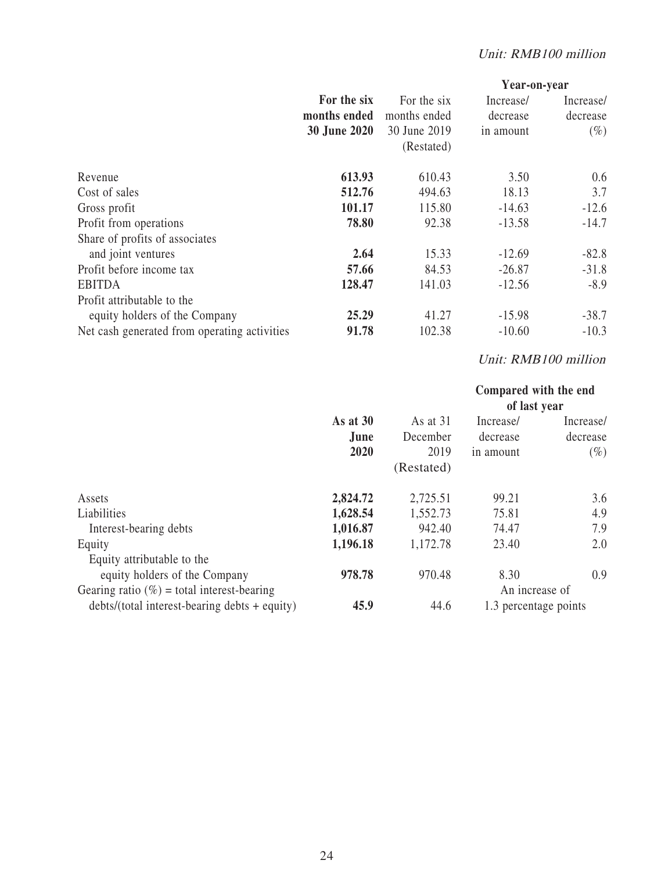|                                              |                     |              |           | Year-on-year |
|----------------------------------------------|---------------------|--------------|-----------|--------------|
|                                              | For the six         | For the six  | Increase/ | Increase/    |
|                                              | months ended        | months ended | decrease  | decrease     |
|                                              | <b>30 June 2020</b> | 30 June 2019 | in amount | $(\%)$       |
|                                              |                     | (Restated)   |           |              |
| Revenue                                      | 613.93              | 610.43       | 3.50      | 0.6          |
| Cost of sales                                | 512.76              | 494.63       | 18.13     | 3.7          |
| Gross profit                                 | 101.17              | 115.80       | $-14.63$  | $-12.6$      |
| Profit from operations                       | 78.80               | 92.38        | $-13.58$  | $-14.7$      |
| Share of profits of associates               |                     |              |           |              |
| and joint ventures                           | 2.64                | 15.33        | $-12.69$  | $-82.8$      |
| Profit before income tax                     | 57.66               | 84.53        | $-26.87$  | $-31.8$      |
| <b>EBITDA</b>                                | 128.47              | 141.03       | $-12.56$  | $-8.9$       |
| Profit attributable to the                   |                     |              |           |              |
| equity holders of the Company                | 25.29               | 41.27        | $-15.98$  | $-38.7$      |
| Net cash generated from operating activities | 91.78               | 102.38       | $-10.60$  | $-10.3$      |

# Unit: RMB100 million

|                                                 |            |            | Compared with the end |           |
|-------------------------------------------------|------------|------------|-----------------------|-----------|
|                                                 |            |            | of last year          |           |
|                                                 | As at $30$ | As at 31   | Increase/             | Increase/ |
|                                                 | June       | December   | decrease              | decrease  |
|                                                 | 2020       | 2019       | in amount             | $(\%)$    |
|                                                 |            | (Restated) |                       |           |
| Assets                                          | 2,824.72   | 2,725.51   | 99.21                 | 3.6       |
| Liabilities                                     | 1,628.54   | 1,552.73   | 75.81                 | 4.9       |
| Interest-bearing debts                          | 1,016.87   | 942.40     | 74.47                 | 7.9       |
| Equity                                          | 1,196.18   | 1,172.78   | 23.40                 | 2.0       |
| Equity attributable to the                      |            |            |                       |           |
| equity holders of the Company                   | 978.78     | 970.48     | 8.30                  | 0.9       |
| Gearing ratio $(\%)$ = total interest-bearing   |            |            | An increase of        |           |
| $debts/(total interest-bearing debts + equity)$ | 45.9       | 44.6       | 1.3 percentage points |           |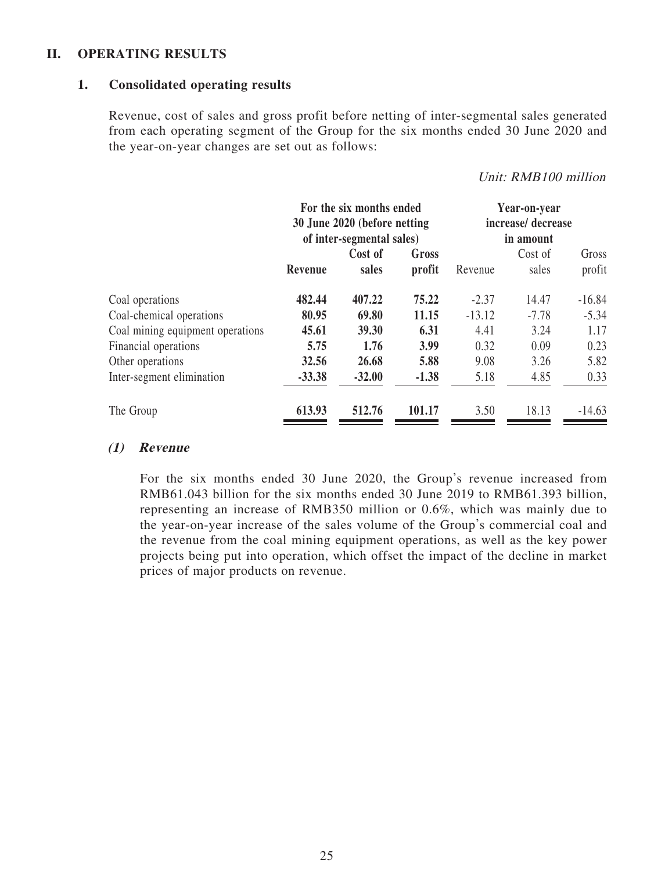### **II. OPERATING RESULTS**

### **1. Consolidated operating results**

Revenue, cost of sales and gross profit before netting of inter-segmental sales generated from each operating segment of the Group for the six months ended 30 June 2020 and the year-on-year changes are set out as follows:

### Unit: RMB100 million

|                                  | For the six months ended<br>30 June 2020 (before netting<br>of inter-segmental sales) |                  | Year-on-year<br>increase/decrease<br>in amount |          |                  |                 |
|----------------------------------|---------------------------------------------------------------------------------------|------------------|------------------------------------------------|----------|------------------|-----------------|
|                                  | Revenue                                                                               | Cost of<br>sales | Gross<br>profit                                | Revenue  | Cost of<br>sales | Gross<br>profit |
| Coal operations                  | 482.44                                                                                | 407.22           | 75.22                                          | $-2.37$  | 14.47            | $-16.84$        |
| Coal-chemical operations         | 80.95                                                                                 | 69.80            | 11.15                                          | $-13.12$ | $-7.78$          | $-5.34$         |
| Coal mining equipment operations | 45.61                                                                                 | 39.30            | 6.31                                           | 4.41     | 3.24             | 1.17            |
| Financial operations             | 5.75                                                                                  | 1.76             | 3.99                                           | 0.32     | 0.09             | 0.23            |
| Other operations                 | 32.56                                                                                 | 26.68            | 5.88                                           | 9.08     | 3.26             | 5.82            |
| Inter-segment elimination        | $-33.38$                                                                              | $-32.00$         | $-1.38$                                        | 5.18     | 4.85             | 0.33            |
| The Group                        | 613.93                                                                                | 512.76           | 101.17                                         | 3.50     | 18.13            | $-14.63$        |

### **(1) Revenue**

For the six months ended 30 June 2020, the Group's revenue increased from RMB61.043 billion for the six months ended 30 June 2019 to RMB61.393 billion, representing an increase of RMB350 million or 0.6%, which was mainly due to the year-on-year increase of the sales volume of the Group's commercial coal and the revenue from the coal mining equipment operations, as well as the key power projects being put into operation, which offset the impact of the decline in market prices of major products on revenue.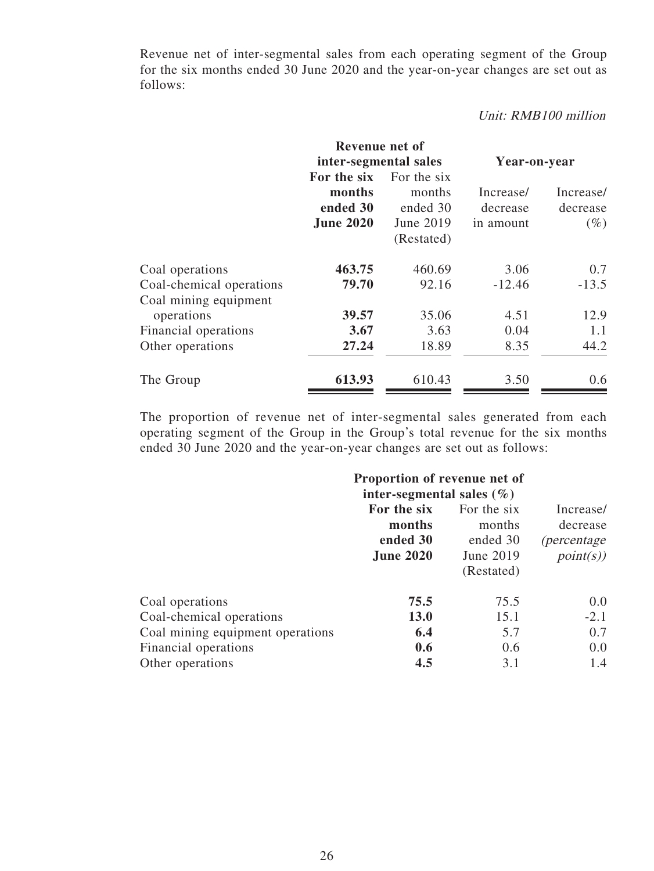Revenue net of inter-segmental sales from each operating segment of the Group for the six months ended 30 June 2020 and the year-on-year changes are set out as follows:

### Unit: RMB100 million

|                          | Revenue net of                                        |                                                              |                                    |                                 |
|--------------------------|-------------------------------------------------------|--------------------------------------------------------------|------------------------------------|---------------------------------|
|                          | inter-segmental sales                                 |                                                              | Year-on-year                       |                                 |
|                          | For the six<br>months<br>ended 30<br><b>June 2020</b> | For the six<br>months<br>ended 30<br>June 2019<br>(Restated) | Increase/<br>decrease<br>in amount | Increase/<br>decrease<br>$(\%)$ |
| Coal operations          | 463.75                                                | 460.69                                                       | 3.06                               | 0.7                             |
| Coal-chemical operations | 79.70                                                 | 92.16                                                        | $-12.46$                           | $-13.5$                         |
| Coal mining equipment    |                                                       |                                                              |                                    |                                 |
| operations               | 39.57                                                 | 35.06                                                        | 4.51                               | 12.9                            |
| Financial operations     | 3.67                                                  | 3.63                                                         | 0.04                               | 1.1                             |
| Other operations         | 27.24                                                 | 18.89                                                        | 8.35                               | 44.2                            |
| The Group                | 613.93                                                | 610.43                                                       | 3.50                               | 0.6                             |

The proportion of revenue net of inter-segmental sales generated from each operating segment of the Group in the Group's total revenue for the six months ended 30 June 2020 and the year-on-year changes are set out as follows:

|                                  | Proportion of revenue net of<br>inter-segmental sales $(\% )$ |                                   |                                              |
|----------------------------------|---------------------------------------------------------------|-----------------------------------|----------------------------------------------|
|                                  | For the six<br>months<br>ended 30                             | For the six<br>months<br>ended 30 | Increase/<br>decrease<br><i>(percentage)</i> |
|                                  | <b>June 2020</b>                                              | June 2019<br>(Restated)           | point(s)                                     |
| Coal operations                  | 75.5                                                          | 75.5                              | 0.0                                          |
| Coal-chemical operations         | <b>13.0</b>                                                   | 15.1                              | $-2.1$                                       |
| Coal mining equipment operations | 6.4                                                           | 5.7                               | 0.7                                          |
| <b>Financial operations</b>      | 0.6                                                           | 0.6                               | 0.0                                          |
| Other operations                 | 4.5                                                           | 3.1                               | 1.4                                          |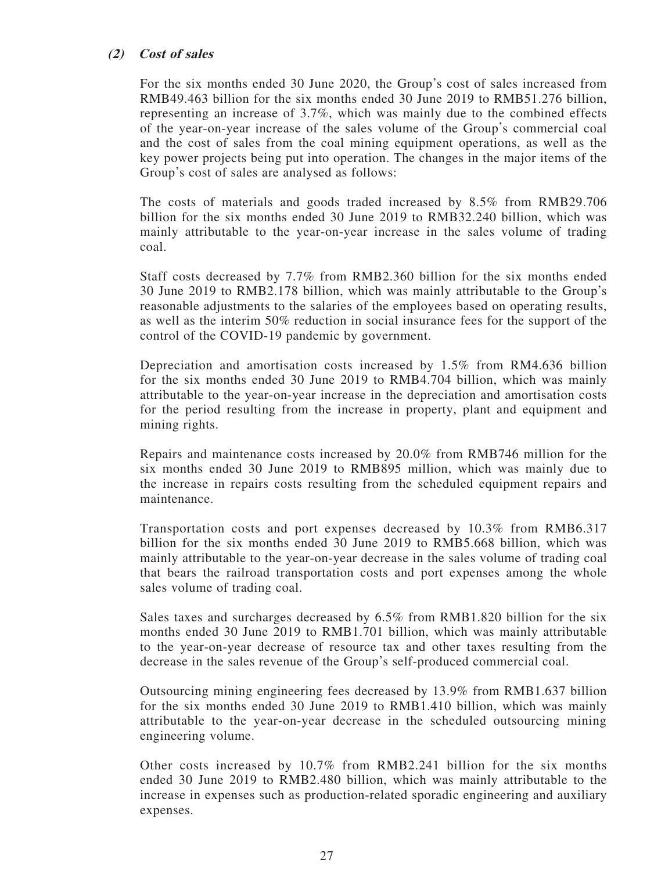### **(2) Cost of sales**

For the six months ended 30 June 2020, the Group's cost of sales increased from RMB49.463 billion for the six months ended 30 June 2019 to RMB51.276 billion, representing an increase of 3.7%, which was mainly due to the combined effects of the year-on-year increase of the sales volume of the Group's commercial coal and the cost of sales from the coal mining equipment operations, as well as the key power projects being put into operation. The changes in the major items of the Group's cost of sales are analysed as follows:

The costs of materials and goods traded increased by 8.5% from RMB29.706 billion for the six months ended 30 June 2019 to RMB32.240 billion, which was mainly attributable to the year-on-year increase in the sales volume of trading coal.

Staff costs decreased by 7.7% from RMB2.360 billion for the six months ended 30 June 2019 to RMB2.178 billion, which was mainly attributable to the Group's reasonable adjustments to the salaries of the employees based on operating results, as well as the interim 50% reduction in social insurance fees for the support of the control of the COVID-19 pandemic by government.

Depreciation and amortisation costs increased by 1.5% from RM4.636 billion for the six months ended 30 June 2019 to RMB4.704 billion, which was mainly attributable to the year-on-year increase in the depreciation and amortisation costs for the period resulting from the increase in property, plant and equipment and mining rights.

Repairs and maintenance costs increased by 20.0% from RMB746 million for the six months ended 30 June 2019 to RMB895 million, which was mainly due to the increase in repairs costs resulting from the scheduled equipment repairs and maintenance.

Transportation costs and port expenses decreased by 10.3% from RMB6.317 billion for the six months ended 30 June 2019 to RMB5.668 billion, which was mainly attributable to the year-on-year decrease in the sales volume of trading coal that bears the railroad transportation costs and port expenses among the whole sales volume of trading coal.

Sales taxes and surcharges decreased by 6.5% from RMB1.820 billion for the six months ended 30 June 2019 to RMB1.701 billion, which was mainly attributable to the year-on-year decrease of resource tax and other taxes resulting from the decrease in the sales revenue of the Group's self-produced commercial coal.

Outsourcing mining engineering fees decreased by 13.9% from RMB1.637 billion for the six months ended 30 June 2019 to RMB1.410 billion, which was mainly attributable to the year-on-year decrease in the scheduled outsourcing mining engineering volume.

Other costs increased by 10.7% from RMB2.241 billion for the six months ended 30 June 2019 to RMB2.480 billion, which was mainly attributable to the increase in expenses such as production-related sporadic engineering and auxiliary expenses.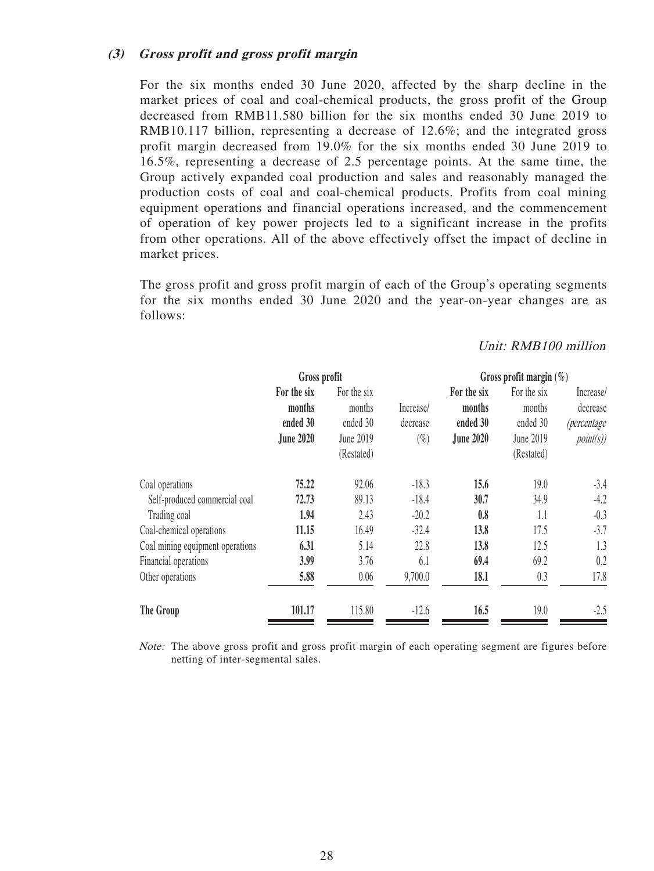### **(3) Gross profit and gross profit margin**

For the six months ended 30 June 2020, affected by the sharp decline in the market prices of coal and coal-chemical products, the gross profit of the Group decreased from RMB11.580 billion for the six months ended 30 June 2019 to RMB10.117 billion, representing a decrease of 12.6%; and the integrated gross profit margin decreased from 19.0% for the six months ended 30 June 2019 to 16.5%, representing a decrease of 2.5 percentage points. At the same time, the Group actively expanded coal production and sales and reasonably managed the production costs of coal and coal-chemical products. Profits from coal mining equipment operations and financial operations increased, and the commencement of operation of key power projects led to a significant increase in the profits from other operations. All of the above effectively offset the impact of decline in market prices.

The gross profit and gross profit margin of each of the Group's operating segments for the six months ended 30 June 2020 and the year-on-year changes are as follows:

### Unit: RMB100 million

|                                  | Gross profit     |             |           | Gross profit margin $(\%)$ |             |                    |  |
|----------------------------------|------------------|-------------|-----------|----------------------------|-------------|--------------------|--|
|                                  | For the six      | For the six |           | For the six                | For the six | Increase/          |  |
|                                  | months           | months      | Increase/ | months                     | months      | decrease           |  |
|                                  | ended 30         | ended 30    | decrease  | ended 30                   | ended 30    | <i>(percentage</i> |  |
|                                  | <b>June 2020</b> | June 2019   | $(\%)$    | <b>June 2020</b>           | June 2019   | point(s)           |  |
|                                  |                  | (Restated)  |           |                            | (Restated)  |                    |  |
| Coal operations                  | 75.22            | 92.06       | $-18.3$   | 15.6                       | 19.0        | $-3.4$             |  |
| Self-produced commercial coal    | 72.73            | 89.13       | $-18.4$   | 30.7                       | 34.9        | $-4.2$             |  |
| Trading coal                     | 1.94             | 2.43        | $-20.2$   | 0.8                        | 1.1         | $-0.3$             |  |
| Coal-chemical operations         | 11.15            | 16.49       | $-32.4$   | 13.8                       | 17.5        | $-3.7$             |  |
| Coal mining equipment operations | 6.31             | 5.14        | 22.8      | 13.8                       | 12.5        | 1.3                |  |
| Financial operations             | 3.99             | 3.76        | 6.1       | 69.4                       | 69.2        | 0.2                |  |
| Other operations                 | 5.88             | 0.06        | 9,700.0   | 18.1                       | 0.3         | 17.8               |  |
| The Group                        | 101.17           | 115.80      | $-12.6$   | 16.5                       | 19.0        | $-2.5$             |  |

Note: The above gross profit and gross profit margin of each operating segment are figures before netting of inter-segmental sales.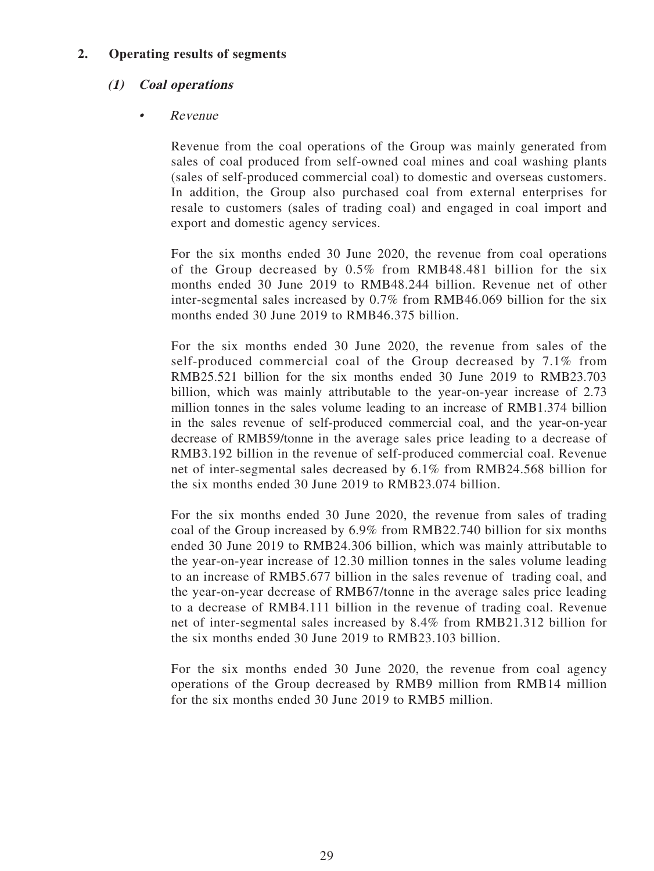# **2. Operating results of segments**

# **(1) Coal operations**

### • Revenue

Revenue from the coal operations of the Group was mainly generated from sales of coal produced from self-owned coal mines and coal washing plants (sales of self-produced commercial coal) to domestic and overseas customers. In addition, the Group also purchased coal from external enterprises for resale to customers (sales of trading coal) and engaged in coal import and export and domestic agency services.

For the six months ended 30 June 2020, the revenue from coal operations of the Group decreased by 0.5% from RMB48.481 billion for the six months ended 30 June 2019 to RMB48.244 billion. Revenue net of other inter-segmental sales increased by 0.7% from RMB46.069 billion for the six months ended 30 June 2019 to RMB46.375 billion.

For the six months ended 30 June 2020, the revenue from sales of the self-produced commercial coal of the Group decreased by 7.1% from RMB25.521 billion for the six months ended 30 June 2019 to RMB23.703 billion, which was mainly attributable to the year-on-year increase of 2.73 million tonnes in the sales volume leading to an increase of RMB1.374 billion in the sales revenue of self-produced commercial coal, and the year-on-year decrease of RMB59/tonne in the average sales price leading to a decrease of RMB3.192 billion in the revenue of self-produced commercial coal. Revenue net of inter-segmental sales decreased by 6.1% from RMB24.568 billion for the six months ended 30 June 2019 to RMB23.074 billion.

For the six months ended 30 June 2020, the revenue from sales of trading coal of the Group increased by 6.9% from RMB22.740 billion for six months ended 30 June 2019 to RMB24.306 billion, which was mainly attributable to the year-on-year increase of 12.30 million tonnes in the sales volume leading to an increase of RMB5.677 billion in the sales revenue of trading coal, and the year-on-year decrease of RMB67/tonne in the average sales price leading to a decrease of RMB4.111 billion in the revenue of trading coal. Revenue net of inter-segmental sales increased by 8.4% from RMB21.312 billion for the six months ended 30 June 2019 to RMB23.103 billion.

For the six months ended 30 June 2020, the revenue from coal agency operations of the Group decreased by RMB9 million from RMB14 million for the six months ended 30 June 2019 to RMB5 million.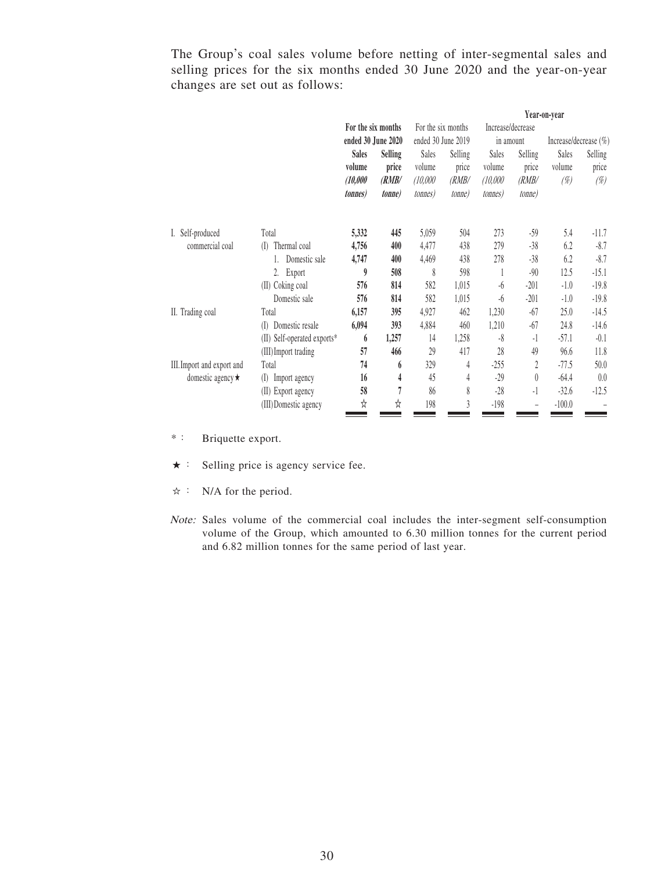The Group's coal sales volume before netting of inter-segmental sales and selling prices for the six months ended 30 June 2020 and the year-on-year changes are set out as follows:

|                            |                                 |                    |                |                    |                | Year-on-year      |                |                       |         |
|----------------------------|---------------------------------|--------------------|----------------|--------------------|----------------|-------------------|----------------|-----------------------|---------|
|                            |                                 | For the six months |                | For the six months |                | Increase/decrease |                |                       |         |
|                            |                                 | ended 30 June 2020 |                | ended 30 June 2019 |                | in amount         |                | Increase/decrease (%) |         |
|                            |                                 | <b>Sales</b>       | <b>Selling</b> | Sales              | Selling        | Sales             | Selling        | Sales                 | Selling |
|                            |                                 | volume             | price          | volume             | price          | volume            | price          | volume                | price   |
|                            |                                 | (10,000)           | (RMB/          | (10,000)           | (RMB/          | (10,000)          | (RMB/          | (%)                   | (%)     |
|                            |                                 | <i>tonnes</i> )    | <i>tonne</i>   | <i>tonnes</i> )    | <i>tonne</i> ) | <i>tonnes</i> )   | <i>tonne</i> ) |                       |         |
| I. Self-produced           | Total                           | 5,332              | 445            | 5,059              | 504            | 273               | $-59$          | 5.4                   | $-11.7$ |
| commercial coal            | Thermal coal<br>$($ $\Box$      | 4,756              | 400            | 4,477              | 438            | 279               | $-38$          | 6.2                   | $-8.7$  |
|                            | Domestic sale                   | 4,747              | 400            | 4,469              | 438            | 278               | $-38$          | 6.2                   | $-8.7$  |
|                            | 2.<br>Export                    | 9                  | 508            | 8                  | 598            |                   | $-90$          | 12.5                  | $-15.1$ |
|                            | Coking coal<br>(II)             | 576                | 814            | 582                | 1,015          | -6                | $-201$         | $-1.0$                | $-19.8$ |
|                            | Domestic sale                   | 576                | 814            | 582                | 1,015          | -6                | $-201$         | $-1.0$                | $-19.8$ |
| II. Trading coal           | Total                           | 6,157              | 395            | 4,927              | 462            | 1,230             | $-67$          | 25.0                  | $-14.5$ |
|                            | Domestic resale<br>$($ $\Gamma$ | 6,094              | 393            | 4,884              | 460            | 1,210             | $-67$          | 24.8                  | $-14.6$ |
|                            | Self-operated exports*<br>(II)  | 6                  | 1,257          | 14                 | 1,258          | $-8$              | $-1$           | $-57.1$               | $-0.1$  |
|                            | (III) Import trading            | 57                 | 466            | 29                 | 417            | 28                | 49             | 96.6                  | 11.8    |
| III. Import and export and | Total                           | 74                 | 6              | 329                | 4              | $-255$            | 2              | $-77.5$               | 50.0    |
| domestic agency $\star$    | Import agency<br>(1)            | 16                 | 4              | 45                 | 4              | $-29$             | $\theta$       | $-64.4$               | 0.0     |
|                            | (II) Export agency              | 58                 | 7              | 86                 | 8              | $-28$             | -1             | $-32.6$               | $-12.5$ |
|                            | (III) Domestic agency           | ☆                  | ☆              | 198                | 3              | $-198$            | -              | $-100.0$              |         |

\*: Briquette export.

- ★: Selling price is agency service fee.
- ☆: N/A for the period.
- Note: Sales volume of the commercial coal includes the inter-segment self-consumption volume of the Group, which amounted to 6.30 million tonnes for the current period and 6.82 million tonnes for the same period of last year.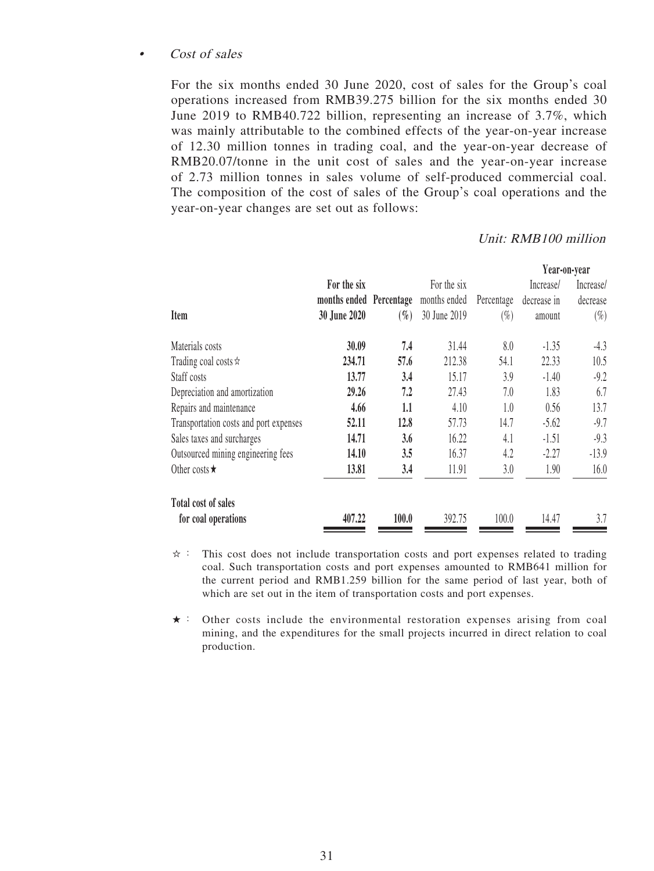### Cost of sales

For the six months ended 30 June 2020, cost of sales for the Group's coal operations increased from RMB39.275 billion for the six months ended 30 June 2019 to RMB40.722 billion, representing an increase of 3.7%, which was mainly attributable to the combined effects of the year-on-year increase of 12.30 million tonnes in trading coal, and the year-on-year decrease of RMB20.07/tonne in the unit cost of sales and the year-on-year increase of 2.73 million tonnes in sales volume of self-produced commercial coal. The composition of the cost of sales of the Group's coal operations and the year-on-year changes are set out as follows:

### Unit: RMB100 million

| For the six  |        | For the six  |                         | Increase/   | Increase/    |
|--------------|--------|--------------|-------------------------|-------------|--------------|
|              |        | months ended | Percentage              | decrease in | decrease     |
| 30 June 2020 | $(\%)$ | 30 June 2019 | $(\%)$                  | amount      | $(\%)$       |
| 30.09        | 7.4    | 31.44        | 8.0                     | $-1.35$     | $-4.3$       |
| 234.71       | 57.6   | 212.38       | 54.1                    | 22.33       | 10.5         |
| 13.77        | 3.4    | 15.17        | 3.9                     | $-1.40$     | $-9.2$       |
| 29.26        | 7.2    | 27.43        | 7.0                     | 1.83        | 6.7          |
| 4.66         | 1.1    | 4.10         | 1.0                     | 0.56        | 13.7         |
| 52.11        | 12.8   | 57.73        | 14.7                    | $-5.62$     | $-9.7$       |
| 14.71        | 3.6    | 16.22        | 4.1                     | $-1.51$     | $-9.3$       |
| 14.10        | 3.5    | 16.37        | 4.2                     | $-2.27$     | $-13.9$      |
| 13.81        | 3.4    | 11.91        | 3.0                     | 1.90        | 16.0         |
|              |        |              |                         |             |              |
| 407.22       | 100.0  | 392.75       | 100.0                   | 14.47       | 3.7          |
|              |        |              | months ended Percentage |             | Year-on-year |

 $\dot{\varphi}$ : This cost does not include transportation costs and port expenses related to trading coal. Such transportation costs and port expenses amounted to RMB641 million for the current period and RMB1.259 billion for the same period of last year, both of which are set out in the item of transportation costs and port expenses.

★: Other costs include the environmental restoration expenses arising from coal mining, and the expenditures for the small projects incurred in direct relation to coal production.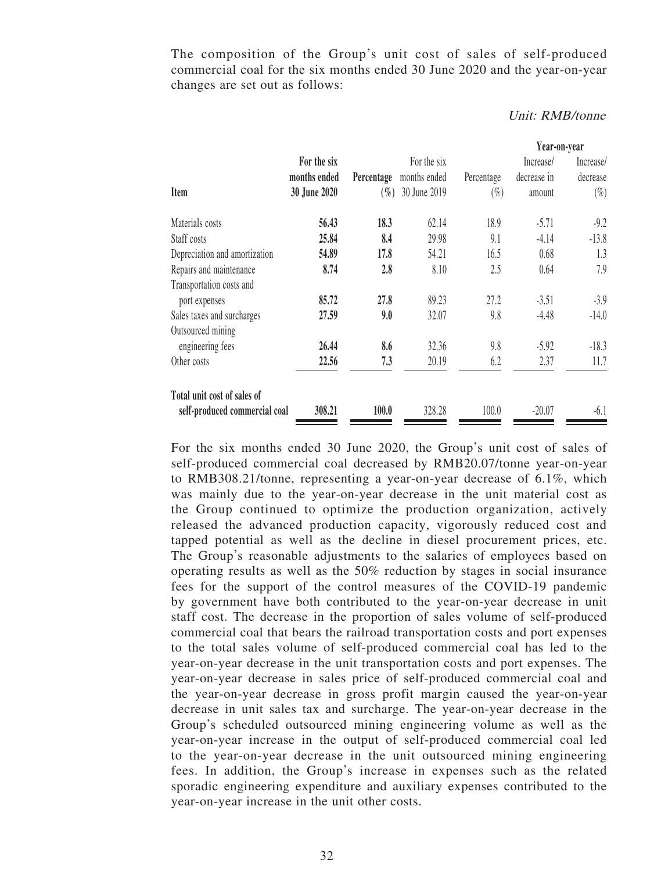The composition of the Group's unit cost of sales of self-produced commercial coal for the six months ended 30 June 2020 and the year-on-year changes are set out as follows:

|                                                              |              |            |              |            | Year-on-year |           |
|--------------------------------------------------------------|--------------|------------|--------------|------------|--------------|-----------|
|                                                              | For the six  |            | For the six  |            | Increase/    | Increase/ |
|                                                              | months ended | Percentage | months ended | Percentage | decrease in  | decrease  |
| Item                                                         | 30 June 2020 | $(\%)$     | 30 June 2019 | $(\%)$     | amount       | $(\%)$    |
| Materials costs                                              | 56.43        | 18.3       | 62.14        | 18.9       | $-5.71$      | $-9.2$    |
| Staff costs                                                  | 25.84        | 8.4        | 29.98        | 9.1        | $-4.14$      | $-13.8$   |
| Depreciation and amortization                                | 54.89        | 17.8       | 54.21        | 16.5       | 0.68         | 1.3       |
| Repairs and maintenance                                      | 8.74         | 2.8        | 8.10         | 2.5        | 0.64         | 7.9       |
| Transportation costs and                                     |              |            |              |            |              |           |
| port expenses                                                | 85.72        | 27.8       | 89.23        | 27.2       | $-3.51$      | $-3.9$    |
| Sales taxes and surcharges                                   | 27.59        | 9.0        | 32.07        | 9.8        | $-4.48$      | $-14.0$   |
| Outsourced mining                                            |              |            |              |            |              |           |
| engineering fees                                             | 26.44        | 8.6        | 32.36        | 9.8        | $-5.92$      | $-18.3$   |
| Other costs                                                  | 22.56        | 7.3        | 20.19        | 6.2        | 2.37         | 11.7      |
| Total unit cost of sales of<br>self-produced commercial coal | 308.21       | 100.0      | 328.28       | 100.0      | $-20.07$     | $-6.1$    |

#### Unit: RMB/tonne

For the six months ended 30 June 2020, the Group's unit cost of sales of self-produced commercial coal decreased by RMB20.07/tonne year-on-year to RMB308.21/tonne, representing a year-on-year decrease of 6.1%, which was mainly due to the year-on-year decrease in the unit material cost as the Group continued to optimize the production organization, actively released the advanced production capacity, vigorously reduced cost and tapped potential as well as the decline in diesel procurement prices, etc. The Group's reasonable adjustments to the salaries of employees based on operating results as well as the 50% reduction by stages in social insurance fees for the support of the control measures of the COVID-19 pandemic by government have both contributed to the year-on-year decrease in unit staff cost. The decrease in the proportion of sales volume of self-produced commercial coal that bears the railroad transportation costs and port expenses to the total sales volume of self-produced commercial coal has led to the year-on-year decrease in the unit transportation costs and port expenses. The year-on-year decrease in sales price of self-produced commercial coal and the year-on-year decrease in gross profit margin caused the year-on-year decrease in unit sales tax and surcharge. The year-on-year decrease in the Group's scheduled outsourced mining engineering volume as well as the year-on-year increase in the output of self-produced commercial coal led to the year-on-year decrease in the unit outsourced mining engineering fees. In addition, the Group's increase in expenses such as the related sporadic engineering expenditure and auxiliary expenses contributed to the year-on-year increase in the unit other costs.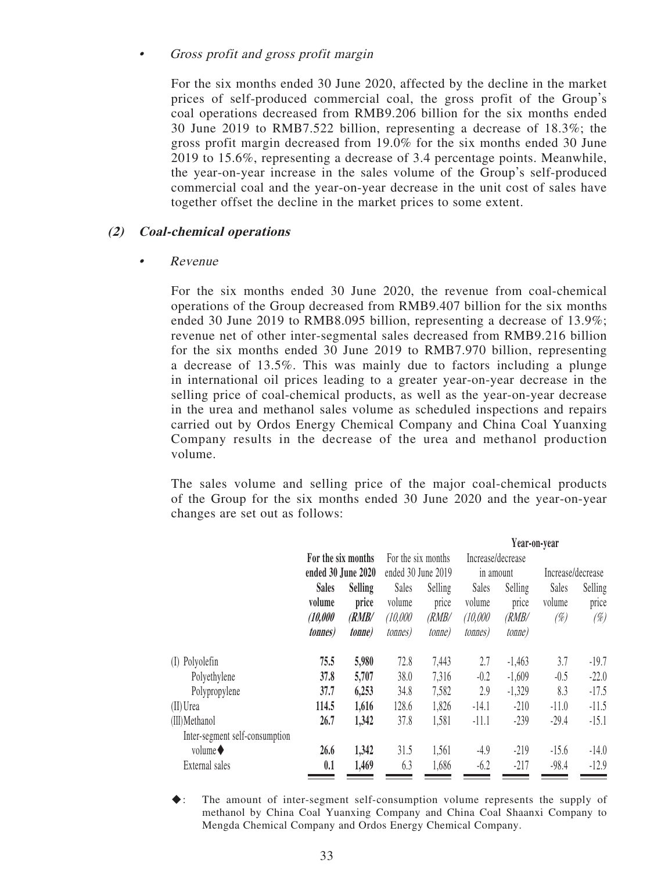### • Gross profit and gross profit margin

For the six months ended 30 June 2020, affected by the decline in the market prices of self-produced commercial coal, the gross profit of the Group's coal operations decreased from RMB9.206 billion for the six months ended 30 June 2019 to RMB7.522 billion, representing a decrease of 18.3%; the gross profit margin decreased from 19.0% for the six months ended 30 June 2019 to 15.6%, representing a decrease of 3.4 percentage points. Meanwhile, the year-on-year increase in the sales volume of the Group's self-produced commercial coal and the year-on-year decrease in the unit cost of sales have together offset the decline in the market prices to some extent.

### **(2) Coal-chemical operations**

### • Revenue

For the six months ended 30 June 2020, the revenue from coal-chemical operations of the Group decreased from RMB9.407 billion for the six months ended 30 June 2019 to RMB8.095 billion, representing a decrease of 13.9%; revenue net of other inter-segmental sales decreased from RMB9.216 billion for the six months ended 30 June 2019 to RMB7.970 billion, representing a decrease of 13.5%. This was mainly due to factors including a plunge in international oil prices leading to a greater year-on-year decrease in the selling price of coal-chemical products, as well as the year-on-year decrease in the urea and methanol sales volume as scheduled inspections and repairs carried out by Ordos Energy Chemical Company and China Coal Yuanxing Company results in the decrease of the urea and methanol production volume.

The sales volume and selling price of the major coal-chemical products of the Group for the six months ended 30 June 2020 and the year-on-year changes are set out as follows:

|                                |                    |                |                    |                    | Year-on-year      |                |                   |         |
|--------------------------------|--------------------|----------------|--------------------|--------------------|-------------------|----------------|-------------------|---------|
|                                | For the six months |                | For the six months |                    | Increase/decrease |                |                   |         |
|                                | ended 30 June 2020 |                |                    | ended 30 June 2019 |                   | in amount      | Increase/decrease |         |
|                                | <b>Sales</b>       | <b>Selling</b> | Sales              | Selling            | Sales             | Selling        | Sales             | Selling |
|                                | volume             | price          | volume             | price              | volume            | price          | volume            | price   |
|                                | (10,000)           | (RMB/          | (10,000)           | (RMB/              | (10,000)          | (RMB/          | $(\%)$            | $(\%)$  |
|                                | <i>tonnes</i> )    | <i>tonne</i>   | <i>tonnes</i> )    | <i>tonne</i> )     | <i>tonnes</i> )   | <i>tonne</i> ) |                   |         |
| Polyolefin<br>(I)              | 75.5               | 5,980          | 72.8               | 7,443              | 2.7               | $-1,463$       | 3.7               | $-19.7$ |
| Polyethylene                   | 37.8               | 5,707          | 38.0               | 7,316              | $-0.2$            | $-1,609$       | $-0.5$            | $-22.0$ |
| Polypropylene                  | 37.7               | 6,253          | 34.8               | 7,582              | 2.9               | $-1,329$       | 8.3               | $-17.5$ |
| $(II)$ Urea                    | 114.5              | 1,616          | 128.6              | 1,826              | $-14.1$           | $-210$         | $-11.0$           | $-11.5$ |
| (III) Methanol                 | 26.7               | 1,342          | 37.8               | 1,581              | $-11.1$           | $-239$         | $-29.4$           | $-15.1$ |
| Inter-segment self-consumption |                    |                |                    |                    |                   |                |                   |         |
| volume $\blacklozenge$         | 26.6               | 1,342          | 31.5               | 1,561              | $-4.9$            | $-219$         | $-15.6$           | $-14.0$ |
| External sales                 | 0.1                | 1,469          | 6.3                | 1,686              | $-6.2$            | $-217$         | $-98.4$           | $-12.9$ |
|                                |                    |                |                    |                    |                   |                |                   |         |

◆: The amount of inter-segment self-consumption volume represents the supply of methanol by China Coal Yuanxing Company and China Coal Shaanxi Company to Mengda Chemical Company and Ordos Energy Chemical Company.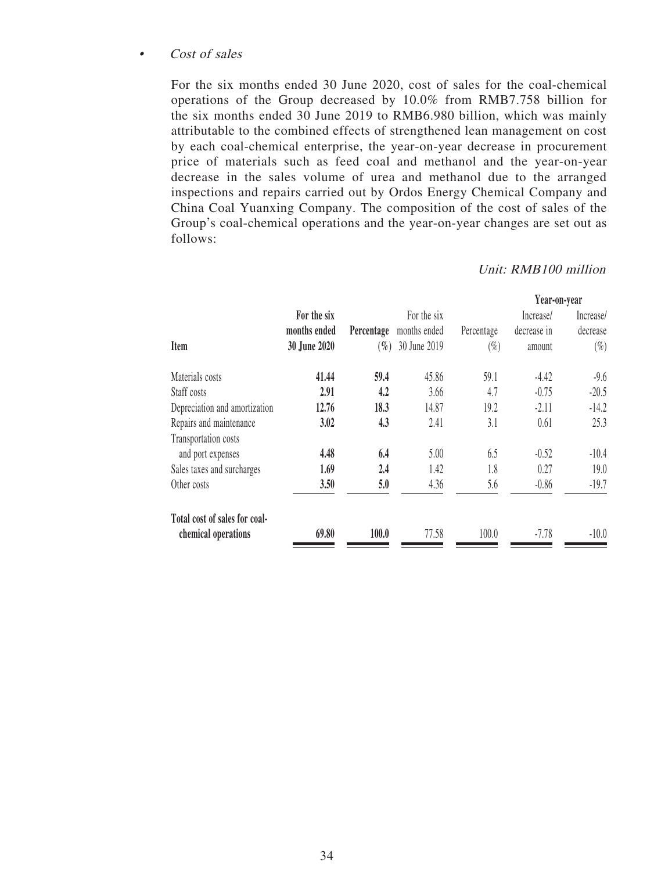### • Cost of sales

For the six months ended 30 June 2020, cost of sales for the coal-chemical operations of the Group decreased by 10.0% from RMB7.758 billion for the six months ended 30 June 2019 to RMB6.980 billion, which was mainly attributable to the combined effects of strengthened lean management on cost by each coal-chemical enterprise, the year-on-year decrease in procurement price of materials such as feed coal and methanol and the year-on-year decrease in the sales volume of urea and methanol due to the arranged inspections and repairs carried out by Ordos Energy Chemical Company and China Coal Yuanxing Company. The composition of the cost of sales of the Group's coal-chemical operations and the year-on-year changes are set out as follows:

|                               |              |            |              |            | Year-on-year |           |
|-------------------------------|--------------|------------|--------------|------------|--------------|-----------|
|                               | For the six  |            | For the six  |            | Increase/    | Increase/ |
|                               | months ended | Percentage | months ended | Percentage | decrease in  | decrease  |
| Item                          | 30 June 2020 | $(\%)$     | 30 June 2019 | $(\%)$     | amount       | $(\%)$    |
| Materials costs               | 41.44        | 59.4       | 45.86        | 59.1       | -4.42        | $-9.6$    |
| Staff costs                   | 2.91         | 4.2        | 3.66         | 4.7        | $-0.75$      | $-20.5$   |
| Depreciation and amortization | 12.76        | 18.3       | 14.87        | 19.2       | $-2.11$      | $-14.2$   |
| Repairs and maintenance       | 3.02         | 4.3        | 2.41         | 3.1        | 0.61         | 25.3      |
| Transportation costs          |              |            |              |            |              |           |
| and port expenses             | 4.48         | 6.4        | 5.00         | 6.5        | $-0.52$      | $-10.4$   |
| Sales taxes and surcharges    | 1.69         | 2.4        | 1.42         | 1.8        | 0.27         | 19.0      |
| Other costs                   | 3.50         | 5.0        | 4.36         | 5.6        | $-0.86$      | $-19.7$   |
| Total cost of sales for coal- |              |            |              |            |              |           |
| chemical operations           | 69.80        | 100.0      | 77.58        | 100.0      | $-7.78$      | $-10.0$   |

### Unit: RMB100 million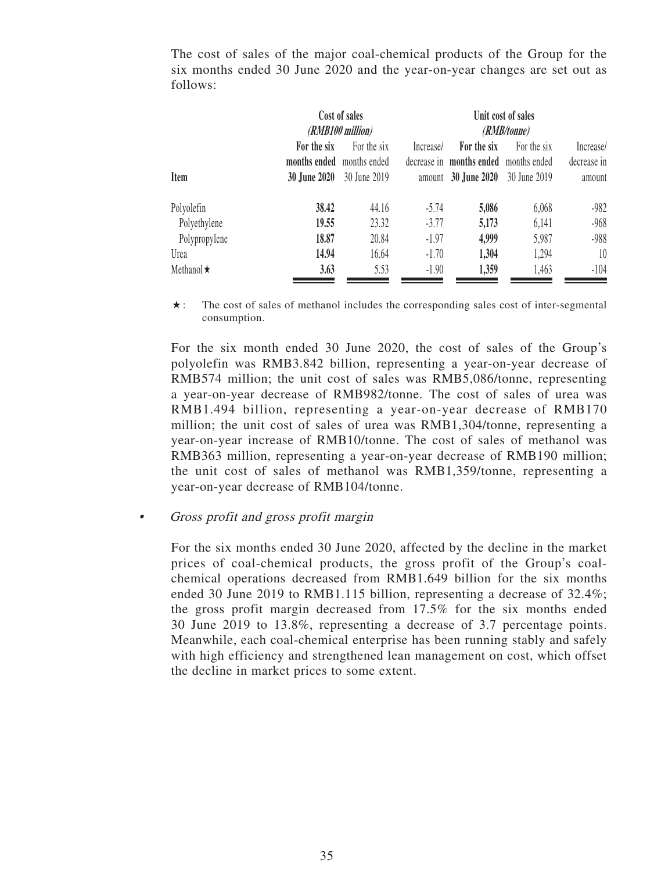The cost of sales of the major coal-chemical products of the Group for the six months ended 30 June 2020 and the year-on-year changes are set out as follows:

|                  | Cost of sales             |              |           | Unit cost of sales                    |             |             |  |  |
|------------------|---------------------------|--------------|-----------|---------------------------------------|-------------|-------------|--|--|
|                  | (RMB100 million)          |              |           | (RMB/tonne)                           |             |             |  |  |
|                  | For the six               | For the six  | Increase/ | For the six                           | For the six | Increase/   |  |  |
|                  | months ended months ended |              |           | decrease in months ended months ended |             | decrease in |  |  |
| <b>Item</b>      | <b>30 June 2020</b>       | 30 June 2019 |           | amount 30 June 2020 30 June 2019      |             | amount      |  |  |
| Polyolefin       | 38.42                     | 44.16        | $-5.74$   | 5,086                                 | 6,068       | -982        |  |  |
| Polyethylene     | 19.55                     | 23.32        | $-3.77$   | 5,173                                 | 6,141       | $-968$      |  |  |
| Polypropylene    | 18.87                     | 20.84        | $-1.97$   | 4,999                                 | 5,987       | $-988$      |  |  |
| Urea             | 14.94                     | 16.64        | $-1.70$   | 1,304                                 | 1,294       | 10          |  |  |
| Methanol $\star$ | 3.63                      | 5.53         | $-1.90$   | 1,359                                 | 1,463       | $-104$      |  |  |

 $\star$ : The cost of sales of methanol includes the corresponding sales cost of inter-segmental consumption.

For the six month ended 30 June 2020, the cost of sales of the Group's polyolefin was RMB3.842 billion, representing a year-on-year decrease of RMB574 million; the unit cost of sales was RMB5,086/tonne, representing a year-on-year decrease of RMB982/tonne. The cost of sales of urea was RMB1.494 billion, representing a year-on-year decrease of RMB170 million; the unit cost of sales of urea was RMB1,304/tonne, representing a year-on-year increase of RMB10/tonne. The cost of sales of methanol was RMB363 million, representing a year-on-year decrease of RMB190 million; the unit cost of sales of methanol was RMB1,359/tonne, representing a year-on-year decrease of RMB104/tonne.

• Gross profit and gross profit margin

For the six months ended 30 June 2020, affected by the decline in the market prices of coal-chemical products, the gross profit of the Group's coalchemical operations decreased from RMB1.649 billion for the six months ended 30 June 2019 to RMB1.115 billion, representing a decrease of  $32.4\%$ ; the gross profit margin decreased from 17.5% for the six months ended 30 June 2019 to 13.8%, representing a decrease of 3.7 percentage points. Meanwhile, each coal-chemical enterprise has been running stably and safely with high efficiency and strengthened lean management on cost, which offset the decline in market prices to some extent.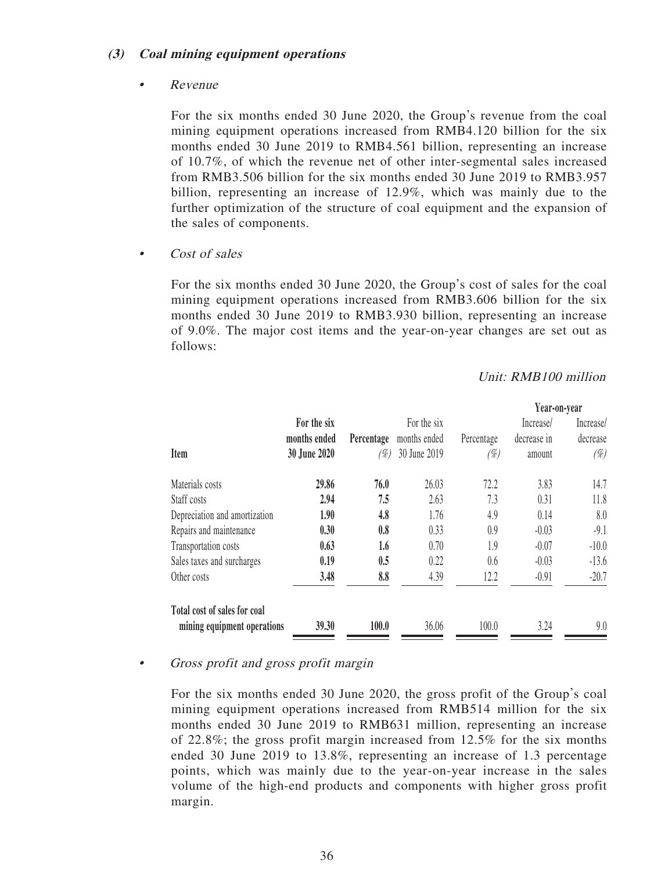### **(3) Coal mining equipment operations**

### • Revenue

For the six months ended 30 June 2020, the Group's revenue from the coal mining equipment operations increased from RMB4.120 billion for the six months ended 30 June 2019 to RMB4.561 billion, representing an increase of 10.7%, of which the revenue net of other inter-segmental sales increased from RMB3.506 billion for the six months ended 30 June 2019 to RMB3.957 billion, representing an increase of 12.9%, which was mainly due to the further optimization of the structure of coal equipment and the expansion of the sales of components.

Cost of sales

For the six months ended 30 June 2020, the Group's cost of sales for the coal mining equipment operations increased from RMB3.606 billion for the six months ended 30 June 2019 to RMB3.930 billion, representing an increase of 9.0%. The major cost items and the year-on-year changes are set out as follows:

### Unit: RMB100 million

|                               |              |            |              |            | Year-on-year |           |
|-------------------------------|--------------|------------|--------------|------------|--------------|-----------|
|                               | For the six  |            | For the six  |            | Increase/    | Increase/ |
|                               | months ended | Percentage | months ended | Percentage | decrease in  | decrease  |
| Item                          | 30 June 2020 | (%)        | 30 June 2019 | (%)        | amount       | $(\%)$    |
| Materials costs               | 29.86        | 76.0       | 26.03        | 72.2       | 3.83         | 14.7      |
| Staff costs                   | 2.94         | 7.5        | 2.63         | 7.3        | 0.31         | 11.8      |
| Depreciation and amortization | 1.90         | 4.8        | 1.76         | 4.9        | 0.14         | 8.0       |
| Repairs and maintenance       | 0.30         | 0.8        | 0.33         | 0.9        | $-0.03$      | $-9.1$    |
| Transportation costs          | 0.63         | 1.6        | 0.70         | 1.9        | $-0.07$      | $-10.0$   |
| Sales taxes and surcharges    | 0.19         | 0.5        | 0.22         | 0.6        | $-0.03$      | $-13.6$   |
| Other costs                   | 3.48         | 8.8        | 4.39         | 12.2       | $-0.91$      | $-20.7$   |
| Total cost of sales for coal  |              |            |              |            |              |           |
| mining equipment operations   | 39.30        | 100.0      | 36.06        | 100.0      | 3.24         | 9.0       |

### • Gross profit and gross profit margin

For the six months ended 30 June 2020, the gross profit of the Group's coal mining equipment operations increased from RMB514 million for the six months ended 30 June 2019 to RMB631 million, representing an increase of 22.8%; the gross profit margin increased from 12.5% for the six months ended 30 June 2019 to 13.8%, representing an increase of 1.3 percentage points, which was mainly due to the year-on-year increase in the sales volume of the high-end products and components with higher gross profit margin.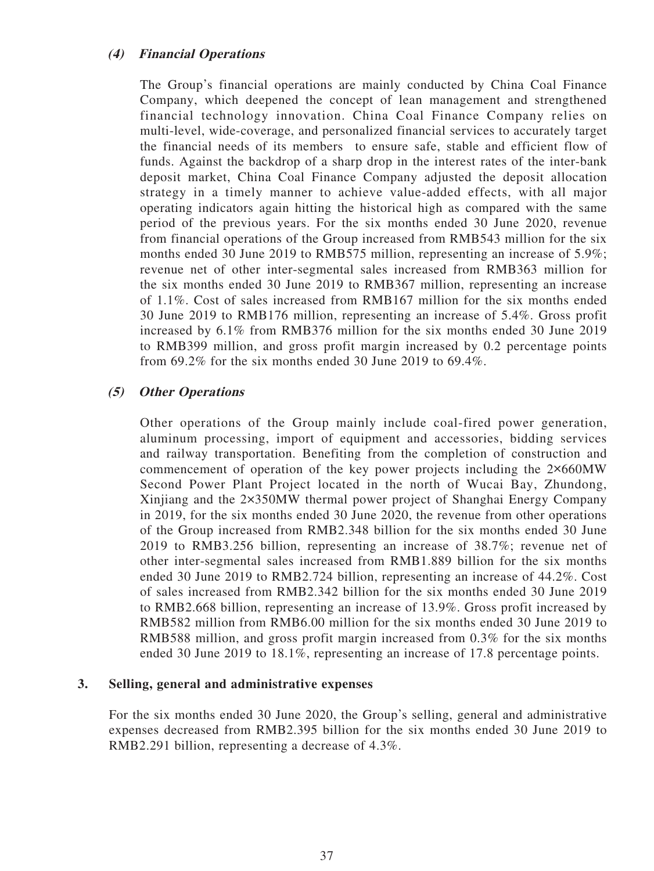### **(4) Financial Operations**

The Group's financial operations are mainly conducted by China Coal Finance Company, which deepened the concept of lean management and strengthened financial technology innovation. China Coal Finance Company relies on multi-level, wide-coverage, and personalized financial services to accurately target the financial needs of its members to ensure safe, stable and efficient flow of funds. Against the backdrop of a sharp drop in the interest rates of the inter-bank deposit market, China Coal Finance Company adjusted the deposit allocation strategy in a timely manner to achieve value-added effects, with all major operating indicators again hitting the historical high as compared with the same period of the previous years. For the six months ended 30 June 2020, revenue from financial operations of the Group increased from RMB543 million for the six months ended 30 June 2019 to RMB575 million, representing an increase of 5.9%; revenue net of other inter-segmental sales increased from RMB363 million for the six months ended 30 June 2019 to RMB367 million, representing an increase of 1.1%. Cost of sales increased from RMB167 million for the six months ended 30 June 2019 to RMB176 million, representing an increase of 5.4%. Gross profit increased by 6.1% from RMB376 million for the six months ended 30 June 2019 to RMB399 million, and gross profit margin increased by 0.2 percentage points from 69.2% for the six months ended 30 June 2019 to 69.4%.

### **(5) Other Operations**

Other operations of the Group mainly include coal-fired power generation, aluminum processing, import of equipment and accessories, bidding services and railway transportation. Benefiting from the completion of construction and commencement of operation of the key power projects including the 2×660MW Second Power Plant Project located in the north of Wucai Bay, Zhundong, Xinjiang and the 2×350MW thermal power project of Shanghai Energy Company in 2019, for the six months ended 30 June 2020, the revenue from other operations of the Group increased from RMB2.348 billion for the six months ended 30 June 2019 to RMB3.256 billion, representing an increase of 38.7%; revenue net of other inter-segmental sales increased from RMB1.889 billion for the six months ended 30 June 2019 to RMB2.724 billion, representing an increase of 44.2%. Cost of sales increased from RMB2.342 billion for the six months ended 30 June 2019 to RMB2.668 billion, representing an increase of 13.9%. Gross profit increased by RMB582 million from RMB6.00 million for the six months ended 30 June 2019 to RMB588 million, and gross profit margin increased from 0.3% for the six months ended 30 June 2019 to 18.1%, representing an increase of 17.8 percentage points.

### **3. Selling, general and administrative expenses**

For the six months ended 30 June 2020, the Group's selling, general and administrative expenses decreased from RMB2.395 billion for the six months ended 30 June 2019 to RMB2.291 billion, representing a decrease of 4.3%.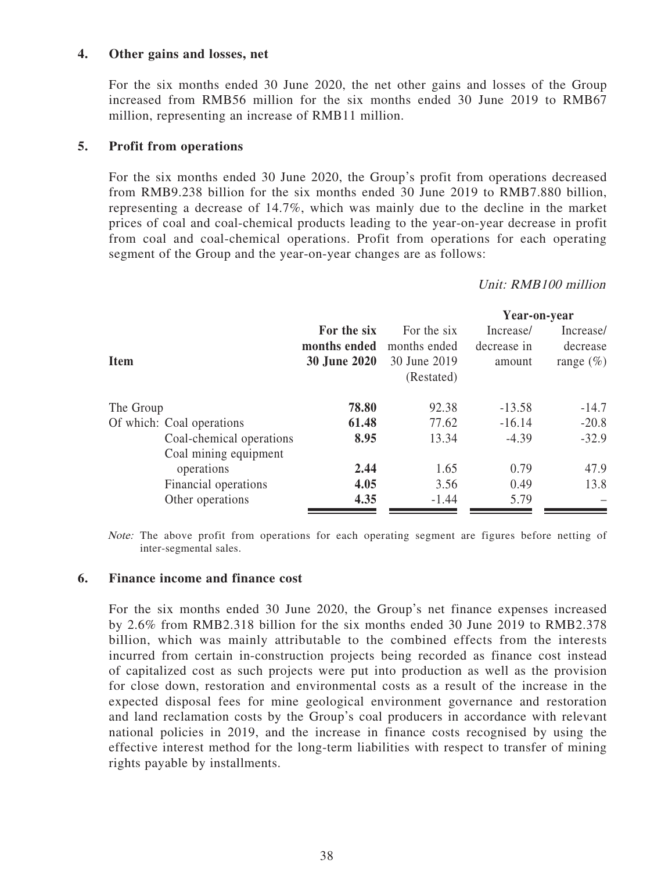### **4. Other gains and losses, net**

For the six months ended 30 June 2020, the net other gains and losses of the Group increased from RMB56 million for the six months ended 30 June 2019 to RMB67 million, representing an increase of RMB11 million.

### **5. Profit from operations**

For the six months ended 30 June 2020, the Group's profit from operations decreased from RMB9.238 billion for the six months ended 30 June 2019 to RMB7.880 billion, representing a decrease of 14.7%, which was mainly due to the decline in the market prices of coal and coal-chemical products leading to the year-on-year decrease in profit from coal and coal-chemical operations. Profit from operations for each operating segment of the Group and the year-on-year changes are as follows:

Unit: RMB100 million

|                           |                     |              | Year-on-year |               |
|---------------------------|---------------------|--------------|--------------|---------------|
|                           | For the six         | For the six  | Increase/    | Increase/     |
|                           | months ended        | months ended | decrease in  | decrease      |
| <b>Item</b>               | <b>30 June 2020</b> | 30 June 2019 | amount       | range $(\% )$ |
|                           |                     | (Restated)   |              |               |
| The Group                 | 78.80               | 92.38        | $-13.58$     | $-14.7$       |
| Of which: Coal operations | 61.48               | 77.62        | $-16.14$     | $-20.8$       |
| Coal-chemical operations  | 8.95                | 13.34        | $-4.39$      | $-32.9$       |
| Coal mining equipment     |                     |              |              |               |
| operations                | 2.44                | 1.65         | 0.79         | 47.9          |
| Financial operations      | 4.05                | 3.56         | 0.49         | 13.8          |
| Other operations          | 4.35                | $-1.44$      | 5.79         |               |
|                           |                     |              |              |               |

Note: The above profit from operations for each operating segment are figures before netting of inter-segmental sales.

### **6. Finance income and finance cost**

For the six months ended 30 June 2020, the Group's net finance expenses increased by 2.6% from RMB2.318 billion for the six months ended 30 June 2019 to RMB2.378 billion, which was mainly attributable to the combined effects from the interests incurred from certain in-construction projects being recorded as finance cost instead of capitalized cost as such projects were put into production as well as the provision for close down, restoration and environmental costs as a result of the increase in the expected disposal fees for mine geological environment governance and restoration and land reclamation costs by the Group's coal producers in accordance with relevant national policies in 2019, and the increase in finance costs recognised by using the effective interest method for the long-term liabilities with respect to transfer of mining rights payable by installments.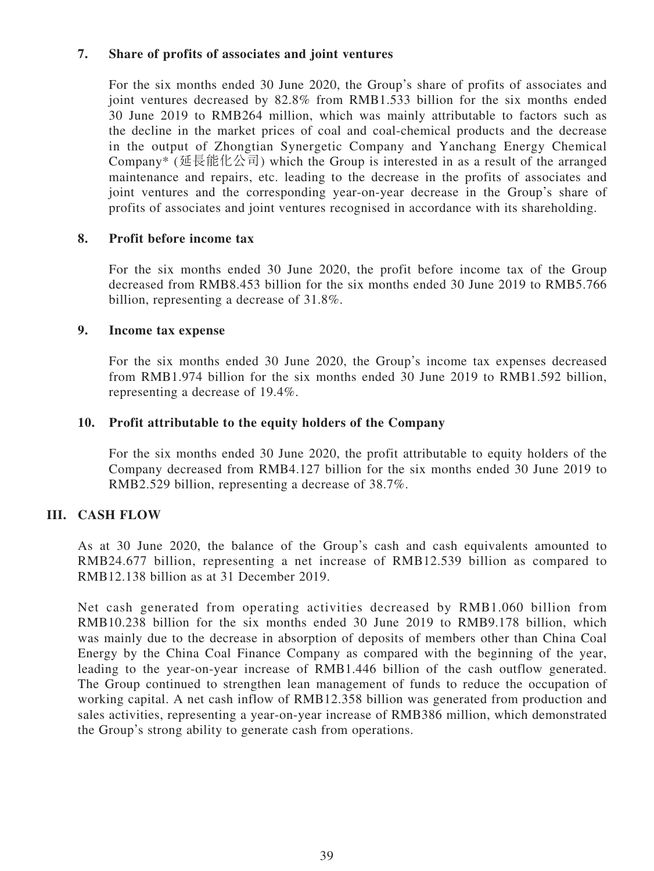### **7. Share of profits of associates and joint ventures**

For the six months ended 30 June 2020, the Group's share of profits of associates and joint ventures decreased by 82.8% from RMB1.533 billion for the six months ended 30 June 2019 to RMB264 million, which was mainly attributable to factors such as the decline in the market prices of coal and coal-chemical products and the decrease in the output of Zhongtian Synergetic Company and Yanchang Energy Chemical Company\* (延長能化公司) which the Group is interested in as a result of the arranged maintenance and repairs, etc. leading to the decrease in the profits of associates and joint ventures and the corresponding year-on-year decrease in the Group's share of profits of associates and joint ventures recognised in accordance with its shareholding.

### **8. Profit before income tax**

For the six months ended 30 June 2020, the profit before income tax of the Group decreased from RMB8.453 billion for the six months ended 30 June 2019 to RMB5.766 billion, representing a decrease of 31.8%.

### **9. Income tax expense**

For the six months ended 30 June 2020, the Group's income tax expenses decreased from RMB1.974 billion for the six months ended 30 June 2019 to RMB1.592 billion, representing a decrease of 19.4%.

### **10. Profit attributable to the equity holders of the Company**

For the six months ended 30 June 2020, the profit attributable to equity holders of the Company decreased from RMB4.127 billion for the six months ended 30 June 2019 to RMB2.529 billion, representing a decrease of 38.7%.

# **III. CASH FLOW**

As at 30 June 2020, the balance of the Group's cash and cash equivalents amounted to RMB24.677 billion, representing a net increase of RMB12.539 billion as compared to RMB12.138 billion as at 31 December 2019.

Net cash generated from operating activities decreased by RMB1.060 billion from RMB10.238 billion for the six months ended 30 June 2019 to RMB9.178 billion, which was mainly due to the decrease in absorption of deposits of members other than China Coal Energy by the China Coal Finance Company as compared with the beginning of the year, leading to the year-on-year increase of RMB1.446 billion of the cash outflow generated. The Group continued to strengthen lean management of funds to reduce the occupation of working capital. A net cash inflow of RMB12.358 billion was generated from production and sales activities, representing a year-on-year increase of RMB386 million, which demonstrated the Group's strong ability to generate cash from operations.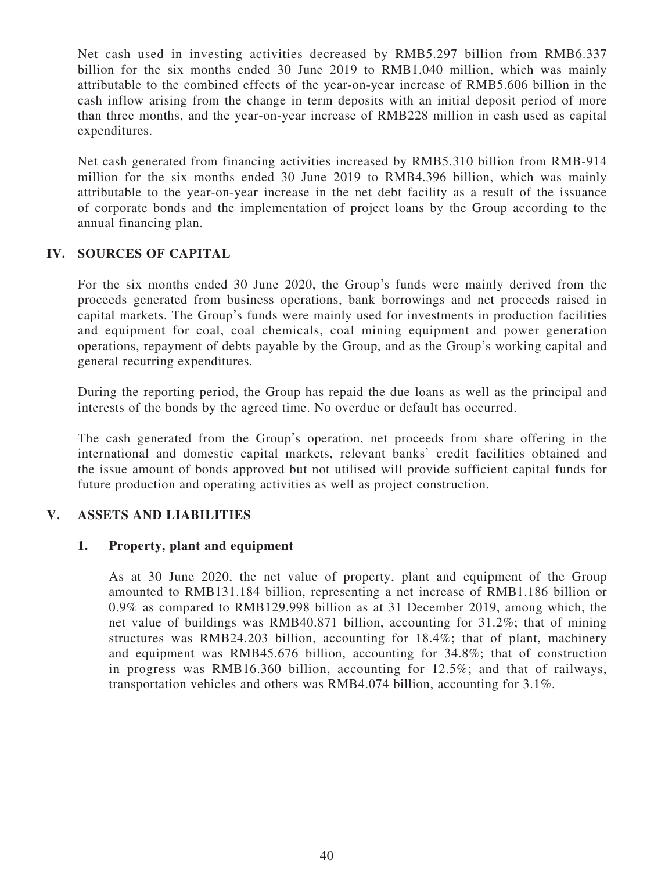Net cash used in investing activities decreased by RMB5.297 billion from RMB6.337 billion for the six months ended 30 June 2019 to RMB1,040 million, which was mainly attributable to the combined effects of the year-on-year increase of RMB5.606 billion in the cash inflow arising from the change in term deposits with an initial deposit period of more than three months, and the year-on-year increase of RMB228 million in cash used as capital expenditures.

Net cash generated from financing activities increased by RMB5.310 billion from RMB-914 million for the six months ended 30 June 2019 to RMB4.396 billion, which was mainly attributable to the year-on-year increase in the net debt facility as a result of the issuance of corporate bonds and the implementation of project loans by the Group according to the annual financing plan.

# **IV. SOURCES OF CAPITAL**

For the six months ended 30 June 2020, the Group's funds were mainly derived from the proceeds generated from business operations, bank borrowings and net proceeds raised in capital markets. The Group's funds were mainly used for investments in production facilities and equipment for coal, coal chemicals, coal mining equipment and power generation operations, repayment of debts payable by the Group, and as the Group's working capital and general recurring expenditures.

During the reporting period, the Group has repaid the due loans as well as the principal and interests of the bonds by the agreed time. No overdue or default has occurred.

The cash generated from the Group's operation, net proceeds from share offering in the international and domestic capital markets, relevant banks' credit facilities obtained and the issue amount of bonds approved but not utilised will provide sufficient capital funds for future production and operating activities as well as project construction.

# **V. ASSETS AND LIABILITIES**

### **1. Property, plant and equipment**

As at 30 June 2020, the net value of property, plant and equipment of the Group amounted to RMB131.184 billion, representing a net increase of RMB1.186 billion or 0.9% as compared to RMB129.998 billion as at 31 December 2019, among which, the net value of buildings was RMB40.871 billion, accounting for 31.2%; that of mining structures was RMB24.203 billion, accounting for 18.4%; that of plant, machinery and equipment was RMB45.676 billion, accounting for 34.8%; that of construction in progress was RMB16.360 billion, accounting for 12.5%; and that of railways, transportation vehicles and others was RMB4.074 billion, accounting for 3.1%.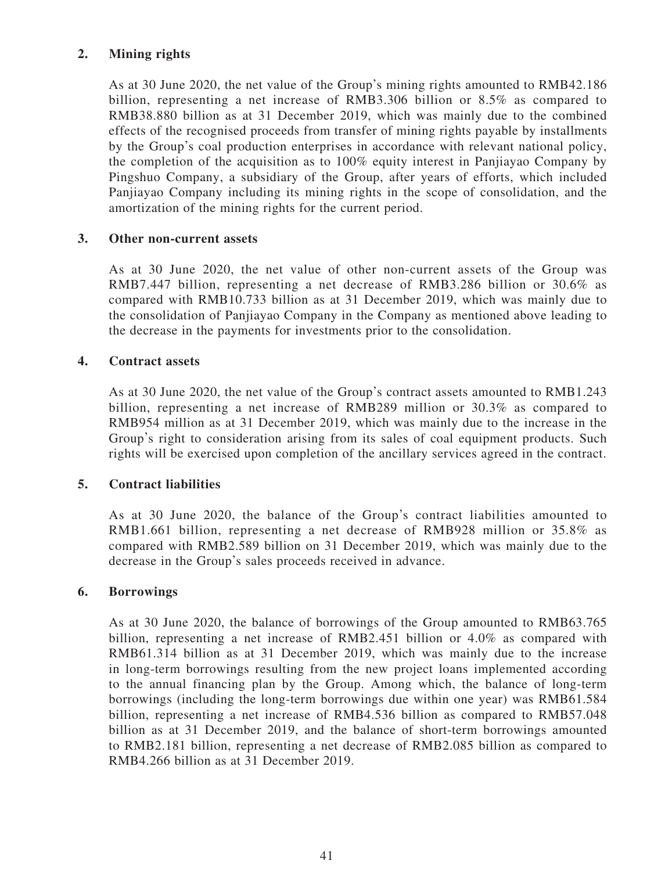# **2. Mining rights**

As at 30 June 2020, the net value of the Group's mining rights amounted to RMB42.186 billion, representing a net increase of RMB3.306 billion or 8.5% as compared to RMB38.880 billion as at 31 December 2019, which was mainly due to the combined effects of the recognised proceeds from transfer of mining rights payable by installments by the Group's coal production enterprises in accordance with relevant national policy, the completion of the acquisition as to 100% equity interest in Panjiayao Company by Pingshuo Company, a subsidiary of the Group, after years of efforts, which included Panjiayao Company including its mining rights in the scope of consolidation, and the amortization of the mining rights for the current period.

### **3. Other non-current assets**

As at 30 June 2020, the net value of other non-current assets of the Group was RMB7.447 billion, representing a net decrease of RMB3.286 billion or 30.6% as compared with RMB10.733 billion as at 31 December 2019, which was mainly due to the consolidation of Panjiayao Company in the Company as mentioned above leading to the decrease in the payments for investments prior to the consolidation.

### **4. Contract assets**

As at 30 June 2020, the net value of the Group's contract assets amounted to RMB1.243 billion, representing a net increase of RMB289 million or 30.3% as compared to RMB954 million as at 31 December 2019, which was mainly due to the increase in the Group's right to consideration arising from its sales of coal equipment products. Such rights will be exercised upon completion of the ancillary services agreed in the contract.

### **5. Contract liabilities**

As at 30 June 2020, the balance of the Group's contract liabilities amounted to RMB1.661 billion, representing a net decrease of RMB928 million or 35.8% as compared with RMB2.589 billion on 31 December 2019, which was mainly due to the decrease in the Group's sales proceeds received in advance.

### **6. Borrowings**

As at 30 June 2020, the balance of borrowings of the Group amounted to RMB63.765 billion, representing a net increase of RMB2.451 billion or 4.0% as compared with RMB61.314 billion as at 31 December 2019, which was mainly due to the increase in long-term borrowings resulting from the new project loans implemented according to the annual financing plan by the Group. Among which, the balance of long-term borrowings (including the long-term borrowings due within one year) was RMB61.584 billion, representing a net increase of RMB4.536 billion as compared to RMB57.048 billion as at 31 December 2019, and the balance of short-term borrowings amounted to RMB2.181 billion, representing a net decrease of RMB2.085 billion as compared to RMB4.266 billion as at 31 December 2019.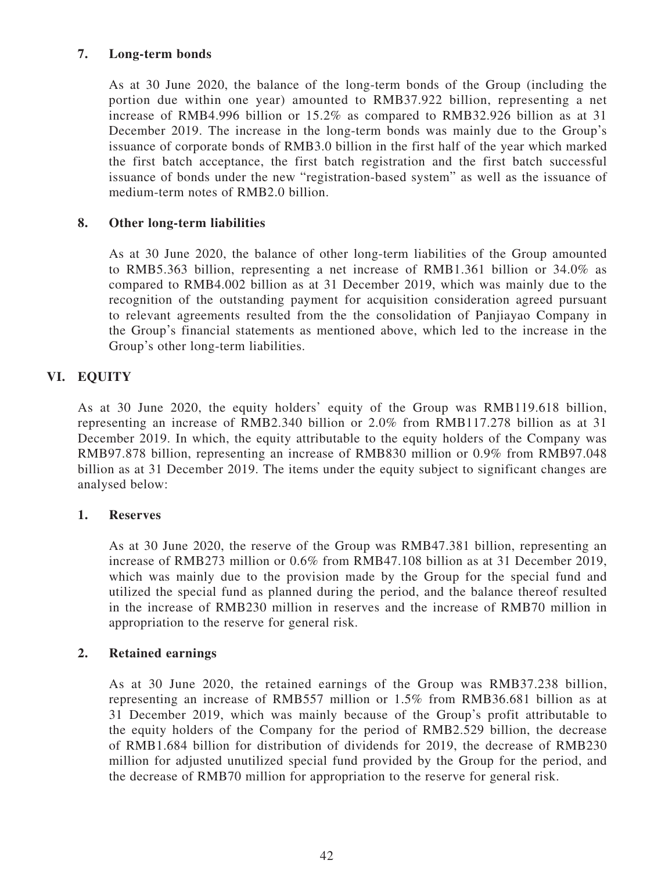# **7. Long-term bonds**

As at 30 June 2020, the balance of the long-term bonds of the Group (including the portion due within one year) amounted to RMB37.922 billion, representing a net increase of RMB4.996 billion or 15.2% as compared to RMB32.926 billion as at 31 December 2019. The increase in the long-term bonds was mainly due to the Group's issuance of corporate bonds of RMB3.0 billion in the first half of the year which marked the first batch acceptance, the first batch registration and the first batch successful issuance of bonds under the new "registration-based system" as well as the issuance of medium-term notes of RMB2.0 billion.

# **8. Other long-term liabilities**

As at 30 June 2020, the balance of other long-term liabilities of the Group amounted to RMB5.363 billion, representing a net increase of RMB1.361 billion or 34.0% as compared to RMB4.002 billion as at 31 December 2019, which was mainly due to the recognition of the outstanding payment for acquisition consideration agreed pursuant to relevant agreements resulted from the the consolidation of Panjiayao Company in the Group's financial statements as mentioned above, which led to the increase in the Group's other long-term liabilities.

# **VI. EQUITY**

As at 30 June 2020, the equity holders' equity of the Group was RMB119.618 billion, representing an increase of RMB2.340 billion or 2.0% from RMB117.278 billion as at 31 December 2019. In which, the equity attributable to the equity holders of the Company was RMB97.878 billion, representing an increase of RMB830 million or 0.9% from RMB97.048 billion as at 31 December 2019. The items under the equity subject to significant changes are analysed below:

### **1. Reserves**

As at 30 June 2020, the reserve of the Group was RMB47.381 billion, representing an increase of RMB273 million or 0.6% from RMB47.108 billion as at 31 December 2019, which was mainly due to the provision made by the Group for the special fund and utilized the special fund as planned during the period, and the balance thereof resulted in the increase of RMB230 million in reserves and the increase of RMB70 million in appropriation to the reserve for general risk.

### **2. Retained earnings**

As at 30 June 2020, the retained earnings of the Group was RMB37.238 billion, representing an increase of RMB557 million or 1.5% from RMB36.681 billion as at 31 December 2019, which was mainly because of the Group's profit attributable to the equity holders of the Company for the period of RMB2.529 billion, the decrease of RMB1.684 billion for distribution of dividends for 2019, the decrease of RMB230 million for adjusted unutilized special fund provided by the Group for the period, and the decrease of RMB70 million for appropriation to the reserve for general risk.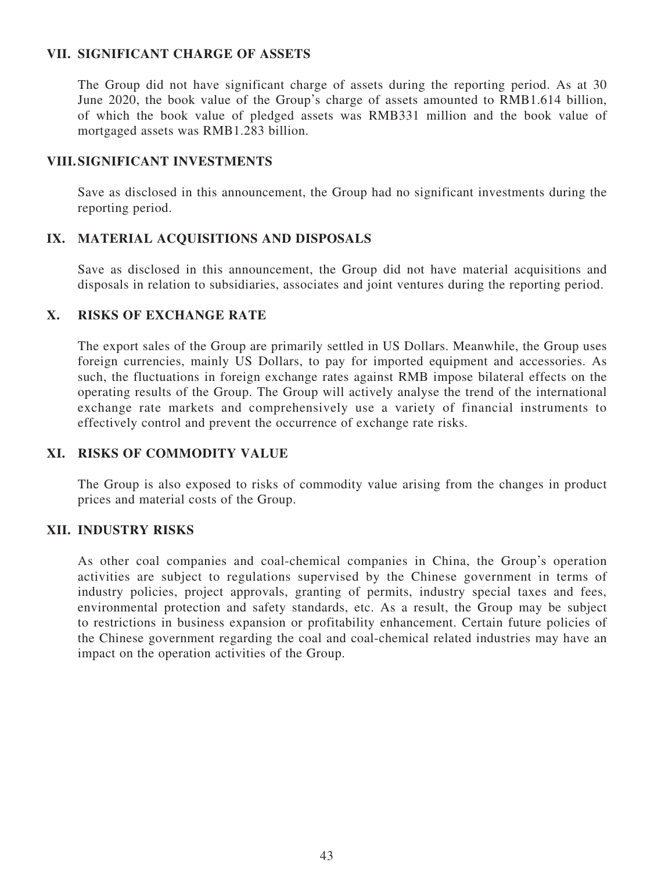### **VII. SIGNIFICANT CHARGE OF ASSETS**

The Group did not have significant charge of assets during the reporting period. As at 30 June 2020, the book value of the Group's charge of assets amounted to RMB1.614 billion, of which the book value of pledged assets was RMB331 million and the book value of mortgaged assets was RMB1.283 billion.

### **VIII. SIGNIFICANT INVESTMENTS**

Save as disclosed in this announcement, the Group had no significant investments during the reporting period.

# **IX. MATERIAL ACQUISITIONS AND DISPOSALS**

Save as disclosed in this announcement, the Group did not have material acquisitions and disposals in relation to subsidiaries, associates and joint ventures during the reporting period.

### **X. RISKS OF EXCHANGE RATE**

The export sales of the Group are primarily settled in US Dollars. Meanwhile, the Group uses foreign currencies, mainly US Dollars, to pay for imported equipment and accessories. As such, the fluctuations in foreign exchange rates against RMB impose bilateral effects on the operating results of the Group. The Group will actively analyse the trend of the international exchange rate markets and comprehensively use a variety of financial instruments to effectively control and prevent the occurrence of exchange rate risks.

# **XI. RISKS OF COMMODITY VALUE**

The Group is also exposed to risks of commodity value arising from the changes in product prices and material costs of the Group.

### **XII. INDUSTRY RISKS**

As other coal companies and coal-chemical companies in China, the Group's operation activities are subject to regulations supervised by the Chinese government in terms of industry policies, project approvals, granting of permits, industry special taxes and fees, environmental protection and safety standards, etc. As a result, the Group may be subject to restrictions in business expansion or profitability enhancement. Certain future policies of the Chinese government regarding the coal and coal-chemical related industries may have an impact on the operation activities of the Group.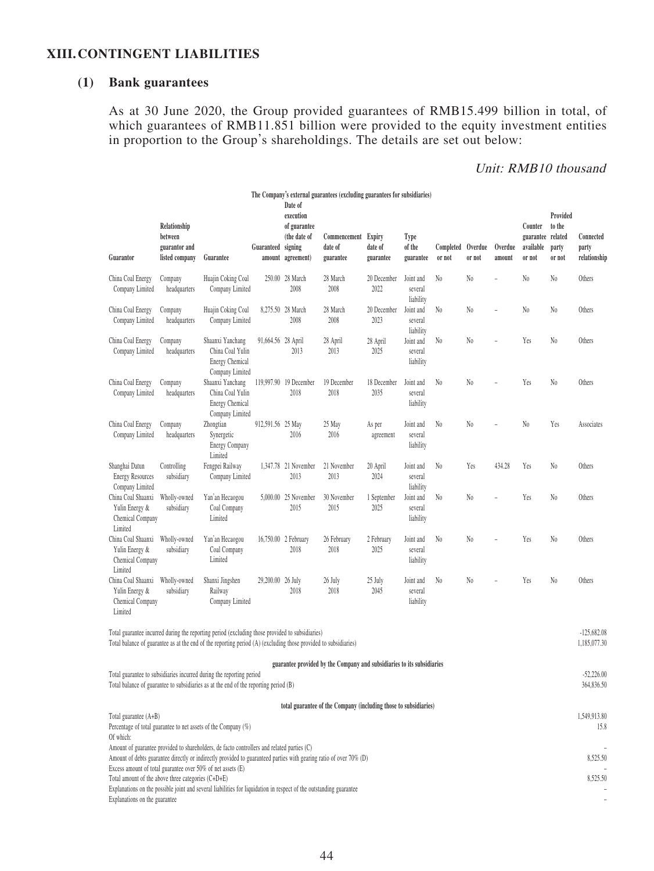### **XIII. CONTINGENT LIABILITIES**

# **(1) Bank guarantees**

As at 30 June 2020, the Group provided guarantees of RMB15.499 billion in total, of which guarantees of RMB11.851 billion were provided to the equity investment entities in proportion to the Group's shareholdings. The details are set out below:

# Unit: RMB10 thousand

|                                                                                     |                                                            |                                                                                                                                                                                                                    |                    | Date of                                                                   | The Company's external guarantees (excluding guarantees for subsidiaries) |                      |                                   |                             |                |                   |                                                     |                                       |                                    |
|-------------------------------------------------------------------------------------|------------------------------------------------------------|--------------------------------------------------------------------------------------------------------------------------------------------------------------------------------------------------------------------|--------------------|---------------------------------------------------------------------------|---------------------------------------------------------------------------|----------------------|-----------------------------------|-----------------------------|----------------|-------------------|-----------------------------------------------------|---------------------------------------|------------------------------------|
| Guarantor                                                                           | Relationship<br>between<br>guarantor and<br>listed company | Guarantee                                                                                                                                                                                                          | Guaranteed         | execution<br>of guarantee<br>(the date of<br>signing<br>amount agreement) | Commencement Expiry<br>date of<br>guarantee                               | date of<br>guarantee | Type<br>of the<br>guarantee       | Completed Overdue<br>or not | or not         | Overdue<br>amount | Counter<br>guarantee related<br>available<br>or not | Provided<br>to the<br>party<br>or not | Connected<br>party<br>relationship |
| China Coal Energy<br>Company Limited                                                | Company<br>headquarters                                    | Huajin Coking Coal<br>Company Limited                                                                                                                                                                              |                    | 250.00 28 March<br>2008                                                   | 28 March<br>2008                                                          | 20 December<br>2022  | Joint and<br>several<br>liability | N0                          | N0             | $\overline{a}$    | N <sub>0</sub>                                      | N0                                    | Others                             |
| China Coal Energy<br>Company Limited                                                | Company<br>headquarters                                    | Huajin Coking Coal<br>Company Limited                                                                                                                                                                              |                    | 8,275.50 28 March<br>2008                                                 | 28 March<br>2008                                                          | 20 December<br>2023  | Joint and<br>several<br>liability | N0                          | N <sub>0</sub> |                   | N <sub>0</sub>                                      | N0                                    | Others                             |
| China Coal Energy<br>Company Limited                                                | Company<br>headquarters                                    | Shaanxi Yanchang<br>China Coal Yulin<br><b>Energy Chemical</b><br>Company Limited                                                                                                                                  | 91,664.56 28 April | 2013                                                                      | 28 April<br>2013                                                          | 28 April<br>2025     | Joint and<br>several<br>liability | N <sub>0</sub>              | N <sub>0</sub> |                   | Yes                                                 | N0                                    | Others                             |
| China Coal Energy<br>Company Limited                                                | Company<br>headquarters                                    | Shaanxi Yanchang<br>China Coal Yulin<br><b>Energy Chemical</b><br>Company Limited                                                                                                                                  |                    | 119,997.90 19 December<br>2018                                            | 19 December<br>2018                                                       | 18 December<br>2035  | Joint and<br>several<br>liability | N <sub>0</sub>              | N <sub>0</sub> | ÷                 | Yes                                                 | N0                                    | Others                             |
| China Coal Energy<br>Company Limited                                                | Company<br>headquarters                                    | Zhongtian<br>Synergetic<br><b>Energy Company</b><br>Limited                                                                                                                                                        | 912,591.56 25 May  | 2016                                                                      | 25 May<br>2016                                                            | As per<br>agreement  | Joint and<br>several<br>liability | N <sub>0</sub>              | N0             |                   | N <sub>0</sub>                                      | Yes                                   | Associates                         |
| Shanghai Datun<br><b>Energy Resources</b><br>Company Limited                        | Controlling<br>subsidiary                                  | Fengpei Railway<br>Company Limited                                                                                                                                                                                 |                    | 1,347.78 21 November<br>2013                                              | 21 November<br>2013                                                       | 20 April<br>2024     | Joint and<br>several<br>liability | N <sub>0</sub>              | Yes            | 434.28            | Yes                                                 | N0                                    | Others                             |
| China Coal Shaanxi<br>Yulin Energy &<br>Chemical Company<br>Limited                 | Wholly-owned<br>subsidiary                                 | Yan'an Hecaogou<br>Coal Company<br>Limited                                                                                                                                                                         | 5,000.00           | 25 November<br>2015                                                       | 30 November<br>2015                                                       | 1 September<br>2025  | Joint and<br>several<br>liability | N <sub>0</sub>              | N <sub>0</sub> |                   | Yes                                                 | N0                                    | Others                             |
| China Coal Shaanxi<br>Yulin Energy &<br>Chemical Company<br>Limited                 | Wholly-owned<br>subsidiary                                 | Yan'an Hecaogou<br>Coal Company<br>Limited                                                                                                                                                                         |                    | 16,750.00 2 February<br>2018                                              | 26 February<br>2018                                                       | 2 February<br>2025   | Joint and<br>several<br>liability | No                          | N <sub>0</sub> |                   | Yes                                                 | N0                                    | Others                             |
| China Coal Shaanxi<br>Yulin Energy &<br>Chemical Company<br>Limited                 | Wholly-owned<br>subsidiary                                 | Shanxi Jingshen<br>Railway<br>Company Limited                                                                                                                                                                      | 29,200.00 26 July  | 2018                                                                      | 26 July<br>2018                                                           | 25 July<br>2045      | Joint and<br>several<br>liability | N <sub>0</sub>              | N0             | $\overline{a}$    | Yes                                                 | N0                                    | Others                             |
|                                                                                     |                                                            | Total guarantee incurred during the reporting period (excluding those provided to subsidiaries)<br>Total balance of guarantee as at the end of the reporting period (A) (excluding those provided to subsidiaries) |                    |                                                                           |                                                                           |                      |                                   |                             |                |                   |                                                     |                                       | $-125,682.08$<br>1,185,077.30      |
|                                                                                     |                                                            | Total guarantee to subsidiaries incurred during the reporting period<br>Total balance of guarantee to subsidiaries as at the end of the reporting period (B)                                                       |                    |                                                                           | guarantee provided by the Company and subsidiaries to its subsidiaries    |                      |                                   |                             |                |                   |                                                     |                                       | $-52,226.00$<br>364,836.50         |
|                                                                                     |                                                            |                                                                                                                                                                                                                    |                    |                                                                           | total guarantee of the Company (including those to subsidiaries)          |                      |                                   |                             |                |                   |                                                     |                                       |                                    |
| Total guarantee (A+B)<br>Of which:                                                  |                                                            | Percentage of total guarantee to net assets of the Company (%)<br>Amount of guarantee provided to shareholders, de facto controllers and related parties (C)                                                       |                    |                                                                           |                                                                           |                      |                                   |                             |                |                   |                                                     |                                       | 1,549,913.80<br>15.8               |
| Excess amount of total guarantee over 50% of net assets (E)                         |                                                            | Amount of debts guarantee directly or indirectly provided to guaranteed parties with gearing ratio of over 70% (D)                                                                                                 |                    |                                                                           |                                                                           |                      |                                   |                             |                |                   |                                                     |                                       | 8,525.50                           |
| Total amount of the above three categories (C+D+E)<br>Explanations on the guarantee |                                                            | Explanations on the possible joint and several liabilities for liquidation in respect of the outstanding guarantee                                                                                                 |                    |                                                                           |                                                                           |                      |                                   |                             |                |                   |                                                     |                                       | 8,525.50                           |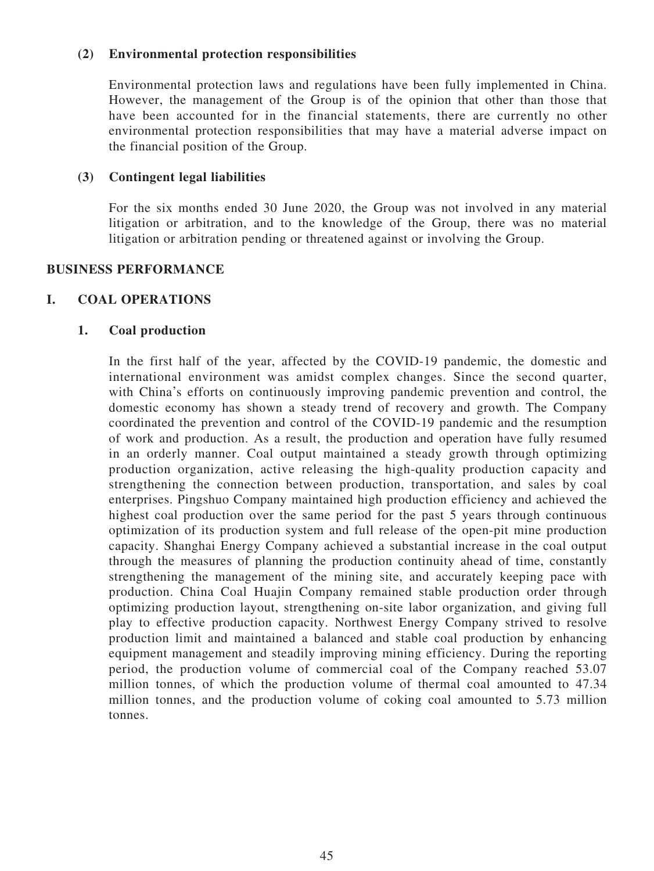### **(2) Environmental protection responsibilities**

Environmental protection laws and regulations have been fully implemented in China. However, the management of the Group is of the opinion that other than those that have been accounted for in the financial statements, there are currently no other environmental protection responsibilities that may have a material adverse impact on the financial position of the Group.

### **(3) Contingent legal liabilities**

For the six months ended 30 June 2020, the Group was not involved in any material litigation or arbitration, and to the knowledge of the Group, there was no material litigation or arbitration pending or threatened against or involving the Group.

### **BUSINESS PERFORMANCE**

### **I. COAL OPERATIONS**

### **1. Coal production**

In the first half of the year, affected by the COVID-19 pandemic, the domestic and international environment was amidst complex changes. Since the second quarter, with China's efforts on continuously improving pandemic prevention and control, the domestic economy has shown a steady trend of recovery and growth. The Company coordinated the prevention and control of the COVID-19 pandemic and the resumption of work and production. As a result, the production and operation have fully resumed in an orderly manner. Coal output maintained a steady growth through optimizing production organization, active releasing the high-quality production capacity and strengthening the connection between production, transportation, and sales by coal enterprises. Pingshuo Company maintained high production efficiency and achieved the highest coal production over the same period for the past 5 years through continuous optimization of its production system and full release of the open-pit mine production capacity. Shanghai Energy Company achieved a substantial increase in the coal output through the measures of planning the production continuity ahead of time, constantly strengthening the management of the mining site, and accurately keeping pace with production. China Coal Huajin Company remained stable production order through optimizing production layout, strengthening on-site labor organization, and giving full play to effective production capacity. Northwest Energy Company strived to resolve production limit and maintained a balanced and stable coal production by enhancing equipment management and steadily improving mining efficiency. During the reporting period, the production volume of commercial coal of the Company reached 53.07 million tonnes, of which the production volume of thermal coal amounted to 47.34 million tonnes, and the production volume of coking coal amounted to 5.73 million tonnes.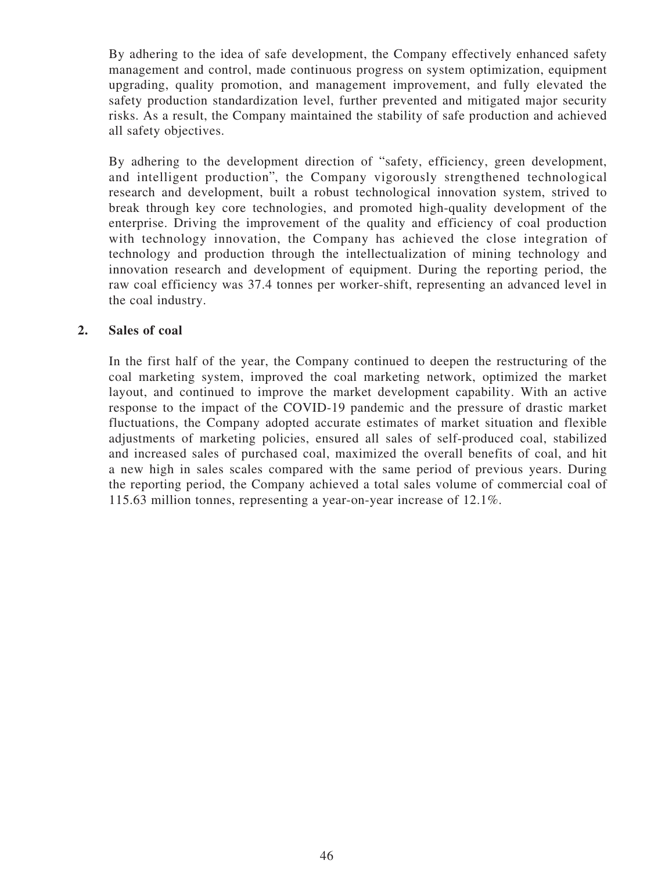By adhering to the idea of safe development, the Company effectively enhanced safety management and control, made continuous progress on system optimization, equipment upgrading, quality promotion, and management improvement, and fully elevated the safety production standardization level, further prevented and mitigated major security risks. As a result, the Company maintained the stability of safe production and achieved all safety objectives.

By adhering to the development direction of "safety, efficiency, green development, and intelligent production", the Company vigorously strengthened technological research and development, built a robust technological innovation system, strived to break through key core technologies, and promoted high-quality development of the enterprise. Driving the improvement of the quality and efficiency of coal production with technology innovation, the Company has achieved the close integration of technology and production through the intellectualization of mining technology and innovation research and development of equipment. During the reporting period, the raw coal efficiency was 37.4 tonnes per worker-shift, representing an advanced level in the coal industry.

### **2. Sales of coal**

In the first half of the year, the Company continued to deepen the restructuring of the coal marketing system, improved the coal marketing network, optimized the market layout, and continued to improve the market development capability. With an active response to the impact of the COVID-19 pandemic and the pressure of drastic market fluctuations, the Company adopted accurate estimates of market situation and flexible adjustments of marketing policies, ensured all sales of self-produced coal, stabilized and increased sales of purchased coal, maximized the overall benefits of coal, and hit a new high in sales scales compared with the same period of previous years. During the reporting period, the Company achieved a total sales volume of commercial coal of 115.63 million tonnes, representing a year-on-year increase of 12.1%.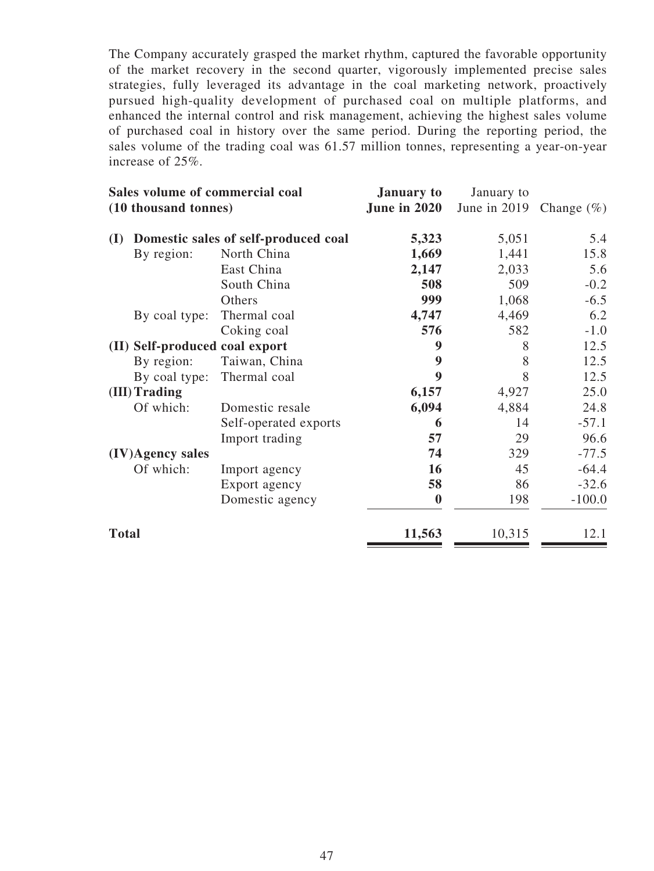The Company accurately grasped the market rhythm, captured the favorable opportunity of the market recovery in the second quarter, vigorously implemented precise sales strategies, fully leveraged its advantage in the coal marketing network, proactively pursued high-quality development of purchased coal on multiple platforms, and enhanced the internal control and risk management, achieving the highest sales volume of purchased coal in history over the same period. During the reporting period, the sales volume of the trading coal was 61.57 million tonnes, representing a year-on-year increase of 25%.

|                                | Sales volume of commercial coal<br>(10 thousand tonnes) |                  | January to<br>June in 2019 | Change $(\%)$ |  |
|--------------------------------|---------------------------------------------------------|------------------|----------------------------|---------------|--|
| (I)                            | Domestic sales of self-produced coal                    | 5,323            | 5,051                      | 5.4           |  |
| By region:                     | North China                                             | 1,669            | 1,441                      | 15.8          |  |
|                                | East China                                              | 2,147            | 2,033                      | 5.6           |  |
|                                | South China                                             | 508              | 509                        | $-0.2$        |  |
|                                | Others                                                  | 999              | 1,068                      | $-6.5$        |  |
| By coal type:                  | Thermal coal                                            | 4,747            | 4,469                      | 6.2           |  |
|                                | Coking coal                                             | 576              | 582                        | $-1.0$        |  |
| (II) Self-produced coal export |                                                         | 9                | 8                          | 12.5          |  |
| By region:                     | Taiwan, China                                           | 9                | 8                          | 12.5          |  |
| By coal type:                  | Thermal coal                                            | 9                | 8                          | 12.5          |  |
| (III) Trading                  |                                                         | 6,157            | 4,927                      | 25.0          |  |
| Of which:                      | Domestic resale                                         | 6,094            | 4,884                      | 24.8          |  |
|                                | Self-operated exports                                   | 6                | 14                         | $-57.1$       |  |
|                                | Import trading                                          | 57               | 29                         | 96.6          |  |
| (IV)Agency sales               |                                                         | 74               | 329                        | $-77.5$       |  |
| Of which:                      | Import agency                                           | <b>16</b>        | 45                         | $-64.4$       |  |
|                                | Export agency                                           | 58               | 86                         | $-32.6$       |  |
|                                | Domestic agency                                         | $\boldsymbol{0}$ | 198                        | $-100.0$      |  |
| <b>Total</b>                   |                                                         | 11,563           | 10,315                     | 12.1          |  |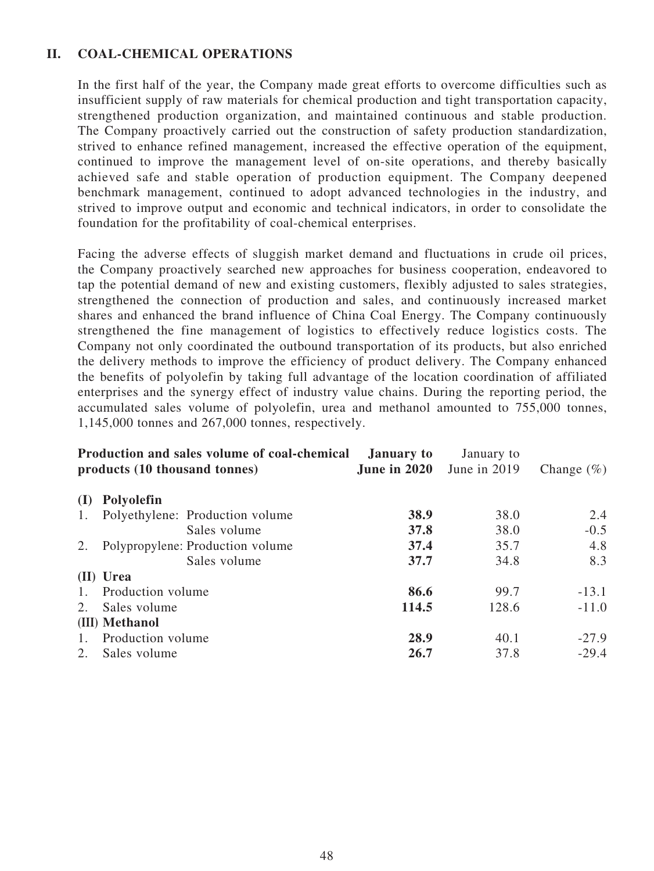# **II. COAL-CHEMICAL OPERATIONS**

In the first half of the year, the Company made great efforts to overcome difficulties such as insufficient supply of raw materials for chemical production and tight transportation capacity, strengthened production organization, and maintained continuous and stable production. The Company proactively carried out the construction of safety production standardization, strived to enhance refined management, increased the effective operation of the equipment, continued to improve the management level of on-site operations, and thereby basically achieved safe and stable operation of production equipment. The Company deepened benchmark management, continued to adopt advanced technologies in the industry, and strived to improve output and economic and technical indicators, in order to consolidate the foundation for the profitability of coal-chemical enterprises.

Facing the adverse effects of sluggish market demand and fluctuations in crude oil prices, the Company proactively searched new approaches for business cooperation, endeavored to tap the potential demand of new and existing customers, flexibly adjusted to sales strategies, strengthened the connection of production and sales, and continuously increased market shares and enhanced the brand influence of China Coal Energy. The Company continuously strengthened the fine management of logistics to effectively reduce logistics costs. The Company not only coordinated the outbound transportation of its products, but also enriched the delivery methods to improve the efficiency of product delivery. The Company enhanced the benefits of polyolefin by taking full advantage of the location coordination of affiliated enterprises and the synergy effect of industry value chains. During the reporting period, the accumulated sales volume of polyolefin, urea and methanol amounted to 755,000 tonnes, 1,145,000 tonnes and 267,000 tonnes, respectively.

|                  | Production and sales volume of coal-chemical<br>products (10 thousand tonnes) | <b>January to</b><br>June in $2020$ | January to<br>June in 2019 | Change $(\%)$ |
|------------------|-------------------------------------------------------------------------------|-------------------------------------|----------------------------|---------------|
| (I)              | Polyolefin                                                                    |                                     |                            |               |
| 1.               | Polyethylene: Production volume                                               | 38.9                                | 38.0                       | 2.4           |
|                  | Sales volume                                                                  | 37.8                                | 38.0                       | $-0.5$        |
| 2.               | Polypropylene: Production volume                                              | 37.4                                | 35.7                       | 4.8           |
|                  | Sales volume                                                                  | 37.7                                | 34.8                       | 8.3           |
|                  | (II) Urea                                                                     |                                     |                            |               |
| 1.               | Production volume                                                             | 86.6                                | 99.7                       | $-13.1$       |
| 2.               | Sales volume                                                                  | 114.5                               | 128.6                      | $-11.0$       |
|                  | (III) Methanol                                                                |                                     |                            |               |
| $\overline{1}$ . | Production volume                                                             | 28.9                                | 40.1                       | $-27.9$       |
| 2.               | Sales volume                                                                  | 26.7                                | 37.8                       | $-29.4$       |
|                  |                                                                               |                                     |                            |               |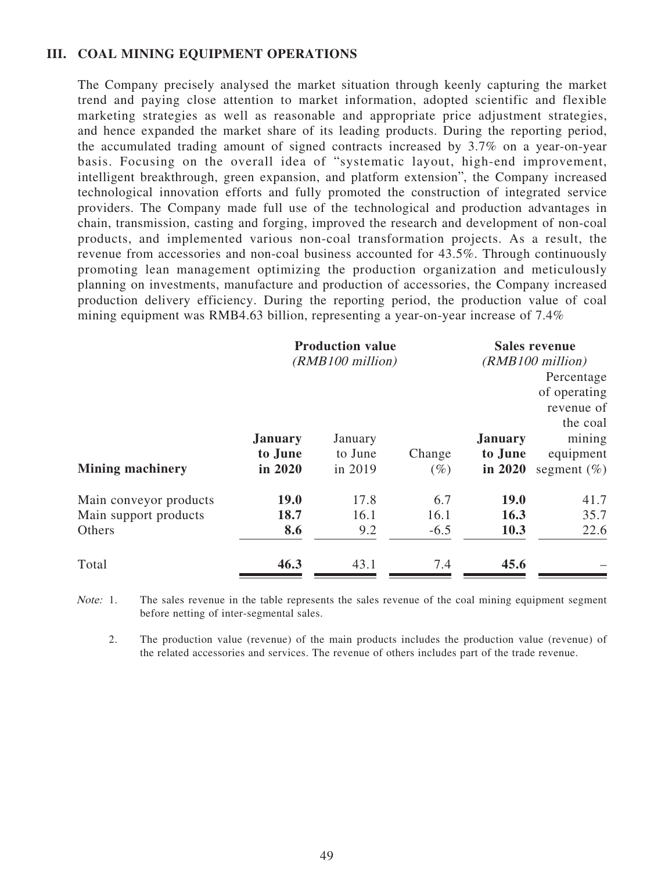### **III. COAL MINING EQUIPMENT OPERATIONS**

The Company precisely analysed the market situation through keenly capturing the market trend and paying close attention to market information, adopted scientific and flexible marketing strategies as well as reasonable and appropriate price adjustment strategies, and hence expanded the market share of its leading products. During the reporting period, the accumulated trading amount of signed contracts increased by 3.7% on a year-on-year basis. Focusing on the overall idea of "systematic layout, high-end improvement, intelligent breakthrough, green expansion, and platform extension", the Company increased technological innovation efforts and fully promoted the construction of integrated service providers. The Company made full use of the technological and production advantages in chain, transmission, casting and forging, improved the research and development of non-coal products, and implemented various non-coal transformation projects. As a result, the revenue from accessories and non-coal business accounted for 43.5%. Through continuously promoting lean management optimizing the production organization and meticulously planning on investments, manufacture and production of accessories, the Company increased production delivery efficiency. During the reporting period, the production value of coal mining equipment was RMB4.63 billion, representing a year-on-year increase of 7.4%

|                                                           |                                      | <b>Production value</b><br>(RMB100 million) |                       |                                      | <b>Sales revenue</b><br>(RMB100 million)<br>Percentage<br>of operating<br>revenue of |
|-----------------------------------------------------------|--------------------------------------|---------------------------------------------|-----------------------|--------------------------------------|--------------------------------------------------------------------------------------|
| <b>Mining machinery</b>                                   | <b>January</b><br>to June<br>in 2020 | January<br>to June<br>in 2019               | Change<br>$(\%)$      | <b>January</b><br>to June<br>in 2020 | the coal<br>mining<br>equipment<br>segment $(\% )$                                   |
| Main conveyor products<br>Main support products<br>Others | <b>19.0</b><br>18.7<br>8.6           | 17.8<br>16.1<br>9.2                         | 6.7<br>16.1<br>$-6.5$ | <b>19.0</b><br>16.3<br>10.3          | 41.7<br>35.7<br>22.6                                                                 |
| Total                                                     | 46.3                                 | 43.1                                        | 7.4                   | 45.6                                 |                                                                                      |

Note: 1. The sales revenue in the table represents the sales revenue of the coal mining equipment segment before netting of inter-segmental sales.

2. The production value (revenue) of the main products includes the production value (revenue) of the related accessories and services. The revenue of others includes part of the trade revenue.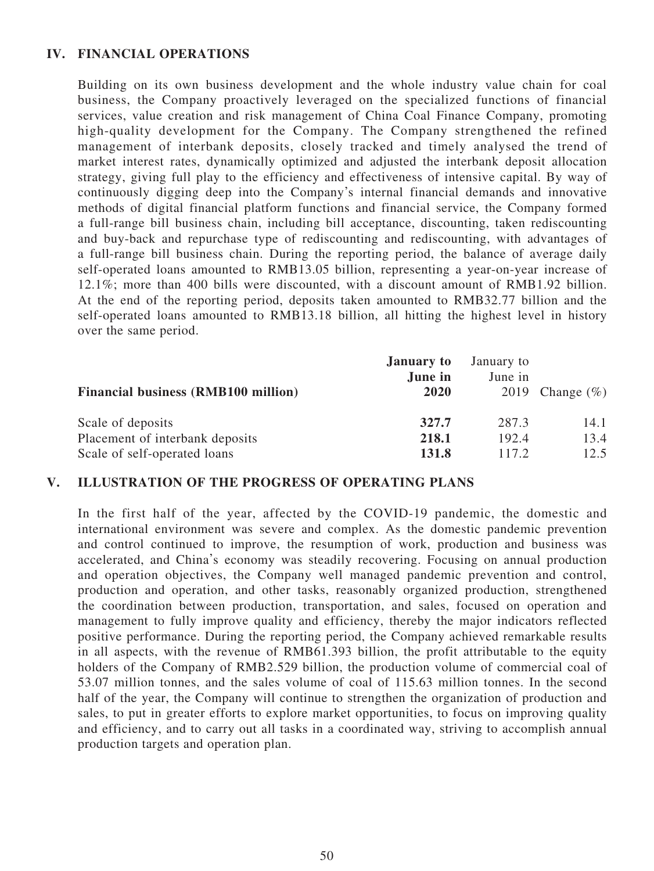# **IV. FINANCIAL OPERATIONS**

Building on its own business development and the whole industry value chain for coal business, the Company proactively leveraged on the specialized functions of financial services, value creation and risk management of China Coal Finance Company, promoting high-quality development for the Company. The Company strengthened the refined management of interbank deposits, closely tracked and timely analysed the trend of market interest rates, dynamically optimized and adjusted the interbank deposit allocation strategy, giving full play to the efficiency and effectiveness of intensive capital. By way of continuously digging deep into the Company's internal financial demands and innovative methods of digital financial platform functions and financial service, the Company formed a full-range bill business chain, including bill acceptance, discounting, taken rediscounting and buy-back and repurchase type of rediscounting and rediscounting, with advantages of a full-range bill business chain. During the reporting period, the balance of average daily self-operated loans amounted to RMB13.05 billion, representing a year-on-year increase of 12.1%; more than 400 bills were discounted, with a discount amount of RMB1.92 billion. At the end of the reporting period, deposits taken amounted to RMB32.77 billion and the self-operated loans amounted to RMB13.18 billion, all hitting the highest level in history over the same period.

| <b>Financial business (RMB100 million)</b> | <b>January to</b><br>June in<br>2020 | January to<br>June in | 2019 Change $(\%)$ |
|--------------------------------------------|--------------------------------------|-----------------------|--------------------|
| Scale of deposits                          | 327.7                                | 287.3                 | 14.1               |
| Placement of interbank deposits            | 218.1                                | 192.4                 | 13.4               |
| Scale of self-operated loans               | 131.8                                | 117.2                 | 12.5               |

### **V. ILLUSTRATION OF THE PROGRESS OF OPERATING PLANS**

In the first half of the year, affected by the COVID-19 pandemic, the domestic and international environment was severe and complex. As the domestic pandemic prevention and control continued to improve, the resumption of work, production and business was accelerated, and China's economy was steadily recovering. Focusing on annual production and operation objectives, the Company well managed pandemic prevention and control, production and operation, and other tasks, reasonably organized production, strengthened the coordination between production, transportation, and sales, focused on operation and management to fully improve quality and efficiency, thereby the major indicators reflected positive performance. During the reporting period, the Company achieved remarkable results in all aspects, with the revenue of RMB61.393 billion, the profit attributable to the equity holders of the Company of RMB2.529 billion, the production volume of commercial coal of 53.07 million tonnes, and the sales volume of coal of 115.63 million tonnes. In the second half of the year, the Company will continue to strengthen the organization of production and sales, to put in greater efforts to explore market opportunities, to focus on improving quality and efficiency, and to carry out all tasks in a coordinated way, striving to accomplish annual production targets and operation plan.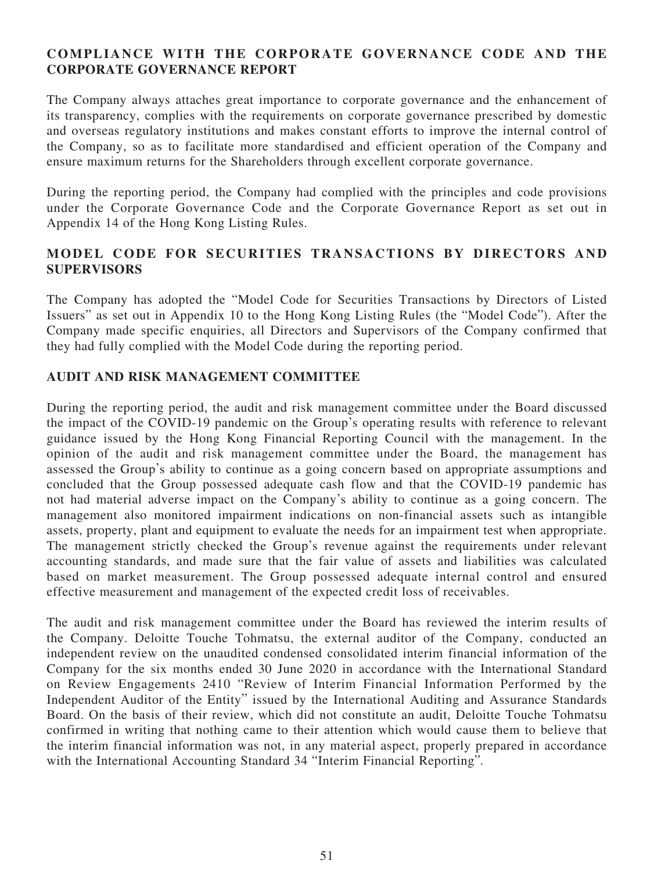# **COMPLIANCE WITH THE CORPORATE GOVERNANCE CODE AND THE CORPORATE GOVERNANCE REPORT**

The Company always attaches great importance to corporate governance and the enhancement of its transparency, complies with the requirements on corporate governance prescribed by domestic and overseas regulatory institutions and makes constant efforts to improve the internal control of the Company, so as to facilitate more standardised and efficient operation of the Company and ensure maximum returns for the Shareholders through excellent corporate governance.

During the reporting period, the Company had complied with the principles and code provisions under the Corporate Governance Code and the Corporate Governance Report as set out in Appendix 14 of the Hong Kong Listing Rules.

# **MODEL CODE FOR SECURITIES TRANSACTIONS BY DIRECTORS AND SUPERVISORS**

The Company has adopted the "Model Code for Securities Transactions by Directors of Listed Issuers" as set out in Appendix 10 to the Hong Kong Listing Rules (the "Model Code"). After the Company made specific enquiries, all Directors and Supervisors of the Company confirmed that they had fully complied with the Model Code during the reporting period.

# **AUDIT AND RISK MANAGEMENT COMMITTEE**

During the reporting period, the audit and risk management committee under the Board discussed the impact of the COVID-19 pandemic on the Group's operating results with reference to relevant guidance issued by the Hong Kong Financial Reporting Council with the management. In the opinion of the audit and risk management committee under the Board, the management has assessed the Group's ability to continue as a going concern based on appropriate assumptions and concluded that the Group possessed adequate cash flow and that the COVID-19 pandemic has not had material adverse impact on the Company's ability to continue as a going concern. The management also monitored impairment indications on non-financial assets such as intangible assets, property, plant and equipment to evaluate the needs for an impairment test when appropriate. The management strictly checked the Group's revenue against the requirements under relevant accounting standards, and made sure that the fair value of assets and liabilities was calculated based on market measurement. The Group possessed adequate internal control and ensured effective measurement and management of the expected credit loss of receivables.

The audit and risk management committee under the Board has reviewed the interim results of the Company. Deloitte Touche Tohmatsu, the external auditor of the Company, conducted an independent review on the unaudited condensed consolidated interim financial information of the Company for the six months ended 30 June 2020 in accordance with the International Standard on Review Engagements 2410 "Review of Interim Financial Information Performed by the Independent Auditor of the Entity" issued by the International Auditing and Assurance Standards Board. On the basis of their review, which did not constitute an audit, Deloitte Touche Tohmatsu confirmed in writing that nothing came to their attention which would cause them to believe that the interim financial information was not, in any material aspect, properly prepared in accordance with the International Accounting Standard 34 "Interim Financial Reporting".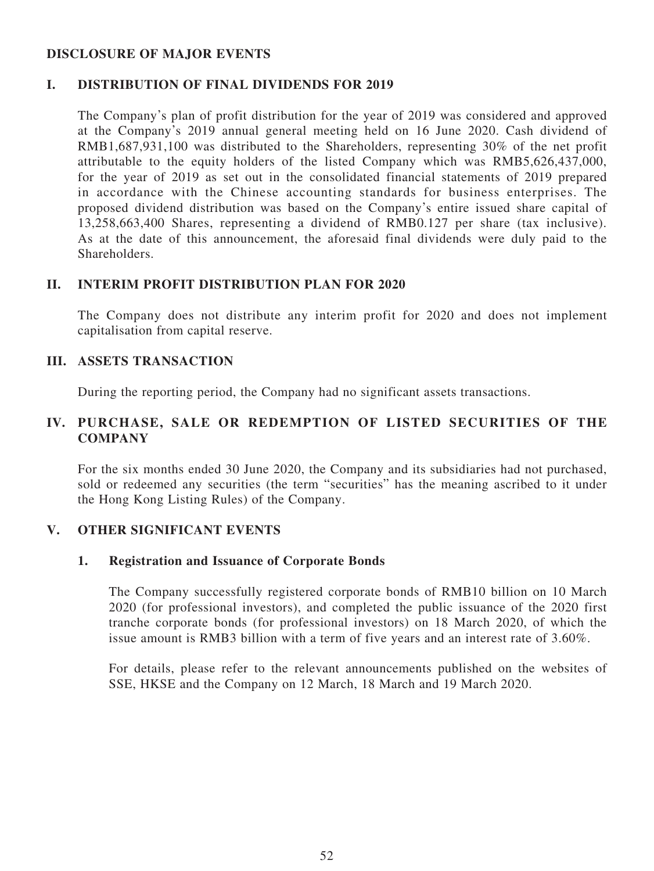### **DISCLOSURE OF MAJOR EVENTS**

### **I. DISTRIBUTION OF FINAL DIVIDENDS FOR 2019**

The Company's plan of profit distribution for the year of 2019 was considered and approved at the Company's 2019 annual general meeting held on 16 June 2020. Cash dividend of RMB1,687,931,100 was distributed to the Shareholders, representing 30% of the net profit attributable to the equity holders of the listed Company which was RMB5,626,437,000, for the year of 2019 as set out in the consolidated financial statements of 2019 prepared in accordance with the Chinese accounting standards for business enterprises. The proposed dividend distribution was based on the Company's entire issued share capital of 13,258,663,400 Shares, representing a dividend of RMB0.127 per share (tax inclusive). As at the date of this announcement, the aforesaid final dividends were duly paid to the Shareholders.

### **II. INTERIM PROFIT DISTRIBUTION PLAN FOR 2020**

The Company does not distribute any interim profit for 2020 and does not implement capitalisation from capital reserve.

### **III. ASSETS TRANSACTION**

During the reporting period, the Company had no significant assets transactions.

# **IV. PURCHASE, SALE OR REDEMPTION OF LISTED SECURITIES OF THE COMPANY**

For the six months ended 30 June 2020, the Company and its subsidiaries had not purchased, sold or redeemed any securities (the term "securities" has the meaning ascribed to it under the Hong Kong Listing Rules) of the Company.

### **V. OTHER SIGNIFICANT EVENTS**

### **1. Registration and Issuance of Corporate Bonds**

The Company successfully registered corporate bonds of RMB10 billion on 10 March 2020 (for professional investors), and completed the public issuance of the 2020 first tranche corporate bonds (for professional investors) on 18 March 2020, of which the issue amount is RMB3 billion with a term of five years and an interest rate of 3.60%.

For details, please refer to the relevant announcements published on the websites of SSE, HKSE and the Company on 12 March, 18 March and 19 March 2020.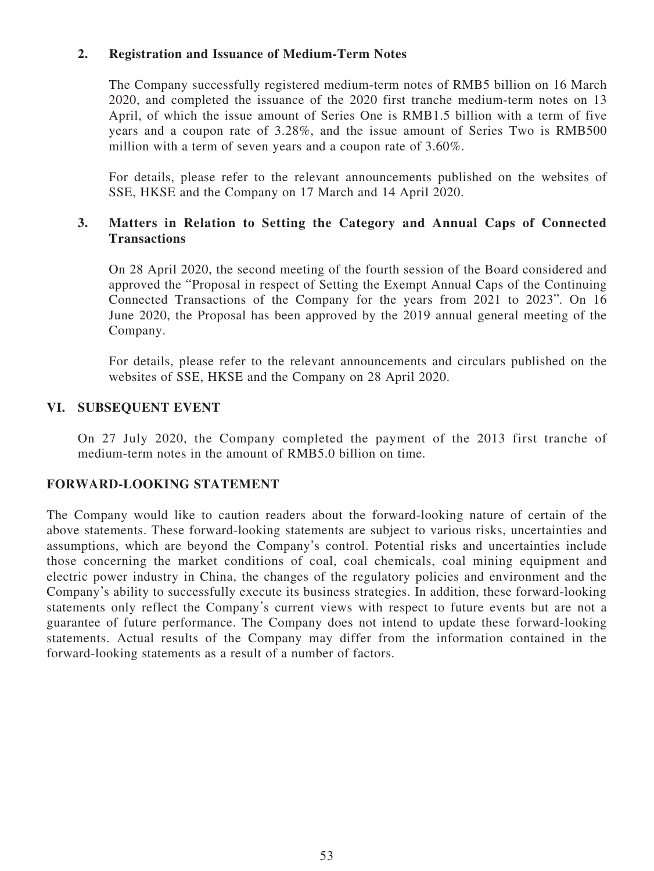# **2. Registration and Issuance of Medium-Term Notes**

The Company successfully registered medium-term notes of RMB5 billion on 16 March 2020, and completed the issuance of the 2020 first tranche medium-term notes on 13 April, of which the issue amount of Series One is RMB1.5 billion with a term of five years and a coupon rate of 3.28%, and the issue amount of Series Two is RMB500 million with a term of seven years and a coupon rate of 3.60%.

For details, please refer to the relevant announcements published on the websites of SSE, HKSE and the Company on 17 March and 14 April 2020.

# **3. Matters in Relation to Setting the Category and Annual Caps of Connected Transactions**

On 28 April 2020, the second meeting of the fourth session of the Board considered and approved the "Proposal in respect of Setting the Exempt Annual Caps of the Continuing Connected Transactions of the Company for the years from 2021 to 2023". On 16 June 2020, the Proposal has been approved by the 2019 annual general meeting of the Company.

For details, please refer to the relevant announcements and circulars published on the websites of SSE, HKSE and the Company on 28 April 2020.

### **VI. SUBSEQUENT EVENT**

On 27 July 2020, the Company completed the payment of the 2013 first tranche of medium-term notes in the amount of RMB5.0 billion on time.

### **FORWARD-LOOKING STATEMENT**

The Company would like to caution readers about the forward-looking nature of certain of the above statements. These forward-looking statements are subject to various risks, uncertainties and assumptions, which are beyond the Company's control. Potential risks and uncertainties include those concerning the market conditions of coal, coal chemicals, coal mining equipment and electric power industry in China, the changes of the regulatory policies and environment and the Company's ability to successfully execute its business strategies. In addition, these forward-looking statements only reflect the Company's current views with respect to future events but are not a guarantee of future performance. The Company does not intend to update these forward-looking statements. Actual results of the Company may differ from the information contained in the forward-looking statements as a result of a number of factors.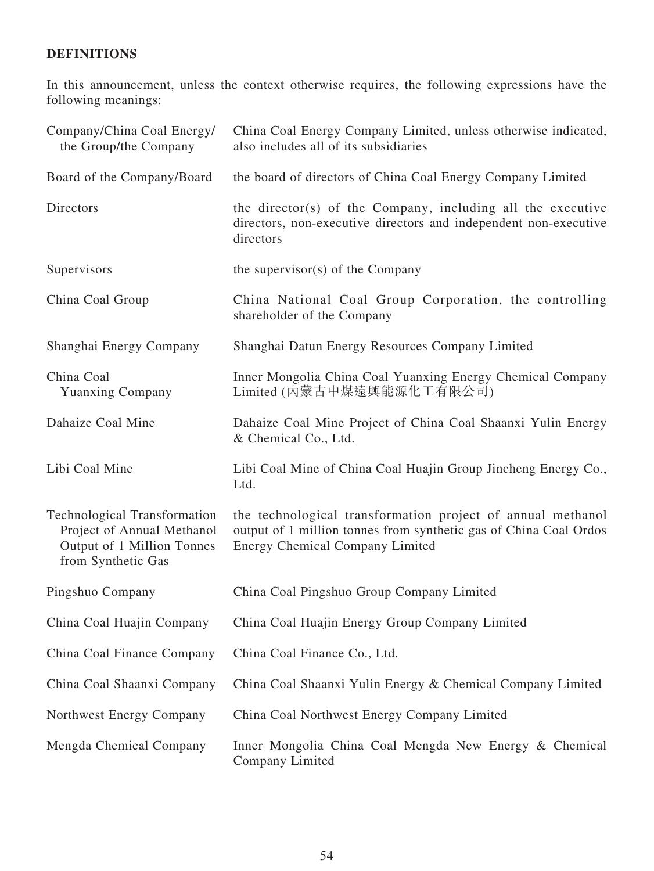# **DEFINITIONS**

In this announcement, unless the context otherwise requires, the following expressions have the following meanings:

| Company/China Coal Energy/<br>the Group/the Company                                                                   | China Coal Energy Company Limited, unless otherwise indicated,<br>also includes all of its subsidiaries                                                             |
|-----------------------------------------------------------------------------------------------------------------------|---------------------------------------------------------------------------------------------------------------------------------------------------------------------|
| Board of the Company/Board                                                                                            | the board of directors of China Coal Energy Company Limited                                                                                                         |
| Directors                                                                                                             | the director(s) of the Company, including all the executive<br>directors, non-executive directors and independent non-executive<br>directors                        |
| Supervisors                                                                                                           | the supervisor $(s)$ of the Company                                                                                                                                 |
| China Coal Group                                                                                                      | China National Coal Group Corporation, the controlling<br>shareholder of the Company                                                                                |
| Shanghai Energy Company                                                                                               | Shanghai Datun Energy Resources Company Limited                                                                                                                     |
| China Coal<br><b>Yuanxing Company</b>                                                                                 | Inner Mongolia China Coal Yuanxing Energy Chemical Company<br>Limited (內蒙古中煤遠興能源化工有限公司)                                                                             |
| Dahaize Coal Mine                                                                                                     | Dahaize Coal Mine Project of China Coal Shaanxi Yulin Energy<br>& Chemical Co., Ltd.                                                                                |
| Libi Coal Mine                                                                                                        | Libi Coal Mine of China Coal Huajin Group Jincheng Energy Co.,<br>Ltd.                                                                                              |
| <b>Technological Transformation</b><br>Project of Annual Methanol<br>Output of 1 Million Tonnes<br>from Synthetic Gas | the technological transformation project of annual methanol<br>output of 1 million tonnes from synthetic gas of China Coal Ordos<br>Energy Chemical Company Limited |
| Pingshuo Company                                                                                                      | China Coal Pingshuo Group Company Limited                                                                                                                           |
| China Coal Huajin Company                                                                                             | China Coal Huajin Energy Group Company Limited                                                                                                                      |
| China Coal Finance Company                                                                                            | China Coal Finance Co., Ltd.                                                                                                                                        |
| China Coal Shaanxi Company                                                                                            | China Coal Shaanxi Yulin Energy & Chemical Company Limited                                                                                                          |
| Northwest Energy Company                                                                                              | China Coal Northwest Energy Company Limited                                                                                                                         |
| Mengda Chemical Company                                                                                               | Inner Mongolia China Coal Mengda New Energy & Chemical<br>Company Limited                                                                                           |